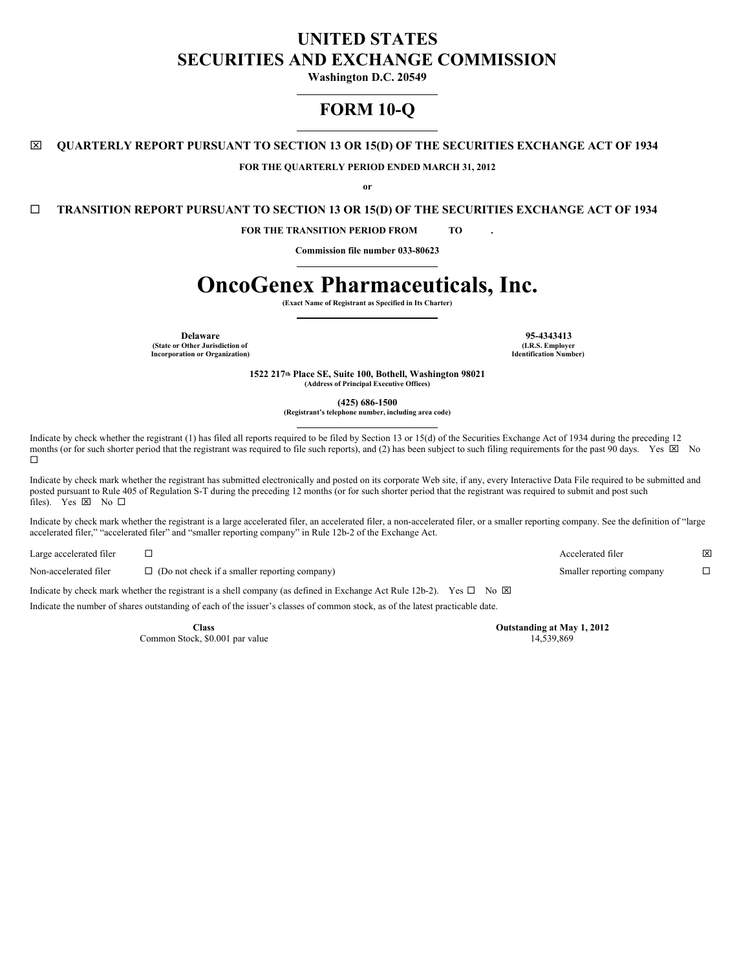## **UNITED STATES SECURITIES AND EXCHANGE COMMISSION**

**Washington D.C. 20549**

## **FORM 10-Q**

## x **QUARTERLY REPORT PURSUANT TO SECTION 13 OR 15(D) OF THE SECURITIES EXCHANGE ACT OF 1934**

**FOR THE QUARTERLY PERIOD ENDED MARCH 31, 2012**

**or**

¨ **TRANSITION REPORT PURSUANT TO SECTION 13 OR 15(D) OF THE SECURITIES EXCHANGE ACT OF 1934**

**FOR THE TRANSITION PERIOD FROM TO .**

**Commission file number 033-80623**

# **OncoGenex Pharmaceuticals, Inc.**

**(Exact Name of Registrant as Specified in Its Charter)**

**Delaware 95-4343413 (State or Other Jurisdiction of Incorporation or Organization)**

**(I.R.S. Employer Identification Number)**

**1522 217 Place SE, Suite 100, Bothell, Washington 98021 th(Address of Principal Executive Offices)**

**(425) 686-1500**

**(Registrant's telephone number, including area code)**

Indicate by check whether the registrant (1) has filed all reports required to be filed by Section 13 or 15(d) of the Securities Exchange Act of 1934 during the preceding 12 months (or for such shorter period that the registrant was required to file such reports), and (2) has been subject to such filing requirements for the past 90 days. Yes  $\boxtimes$  No  $\Box$ 

Indicate by check mark whether the registrant has submitted electronically and posted on its corporate Web site, if any, every Interactive Data File required to be submitted and posted pursuant to Rule 405 of Regulation S-T during the preceding 12 months (or for such shorter period that the registrant was required to submit and post such files). Yes  $\boxtimes$  No  $\square$ 

Indicate by check mark whether the registrant is a large accelerated filer, an accelerated filer, a non-accelerated filer, or a smaller reporting company. See the definition of "large accelerated filer," "accelerated filer" and "smaller reporting company" in Rule 12b-2 of the Exchange Act.

| Large accelerated filer |                                                                                                                                     | Accelerated filer         | × |
|-------------------------|-------------------------------------------------------------------------------------------------------------------------------------|---------------------------|---|
| Non-accelerated filer   | $\Box$ (Do not check if a smaller reporting company)                                                                                | Smaller reporting company |   |
|                         | Indicate by check mark whether the registrant is a shell company (as defined in Exchange Act Rule 12b-2). Yes $\Box$ No $\boxtimes$ |                           |   |

Indicate the number of shares outstanding of each of the issuer's classes of common stock, as of the latest practicable date.

Common Stock, \$0.001 par value 14,539,869

**Class Outstanding at May 1, 2012**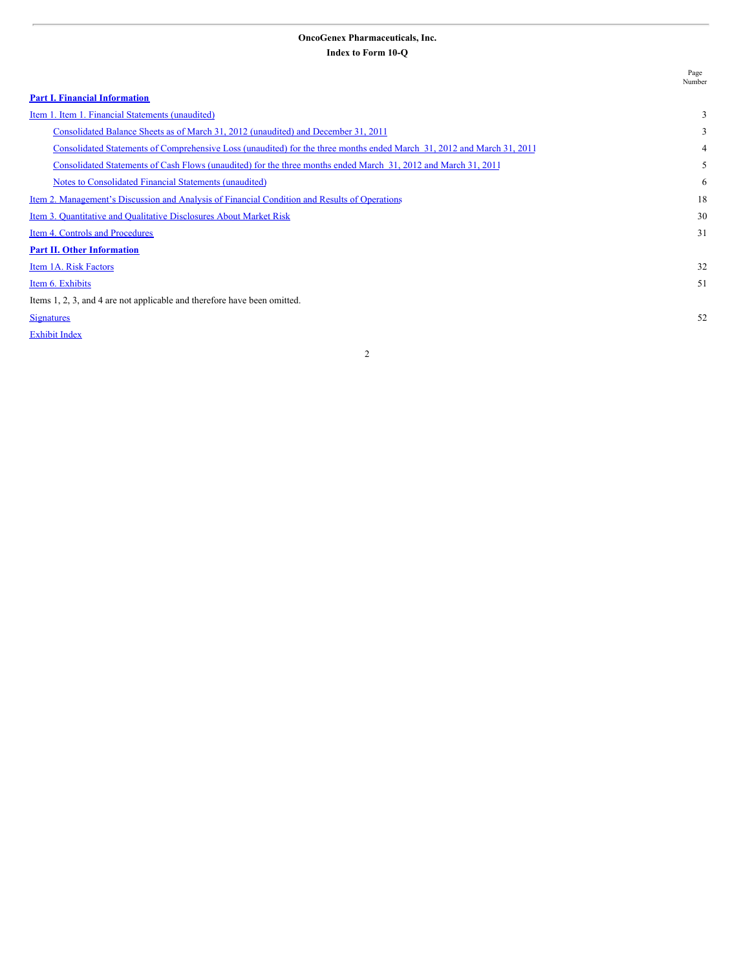## **OncoGenex Pharmaceuticals, Inc. Index to Form 10-Q**

## **Part I. Financial [Information](#page-2-0)** Item 1. Item 1. Financial Statements [\(unaudited\)](#page-2-1) 3 [Consolidated](#page-2-2) Balance Sheets as of March 31, 2012 (unaudited) and December 31, 2011 3 Consolidated Statements of [Comprehensive](#page-3-0) Loss (unaudited) for the three months ended March 31, 2012 and March 31, 2011 4 [Consolidated](#page-4-0) Statements of Cash Flows (unaudited) for the three months ended March 31, 2012 and March 31, 2011 5 Notes to [Consolidated](#page-5-0) Financial Statements (unaudited) 6 Item 2. [Management's](#page-17-0) Discussion and Analysis of Financial Condition and Results of Operations 18 Item 3. [Quantitative](#page-29-0) and Qualitative Disclosures About Market Risk 30 30 **Item 4. Controls and [Procedures](#page-30-0)** 31 **Part II. Other [Information](#page-31-0)** Item 1A. Risk [Factors](#page-31-1) 32  $I$ tem 6. [Exhibits](#page-50-0) 51 Items 1, 2, 3, and 4 are not applicable and therefore have been omitted. **[Signatures](#page-51-0)** 52

[Exhibit](#page-52-0) Index

2

Page Number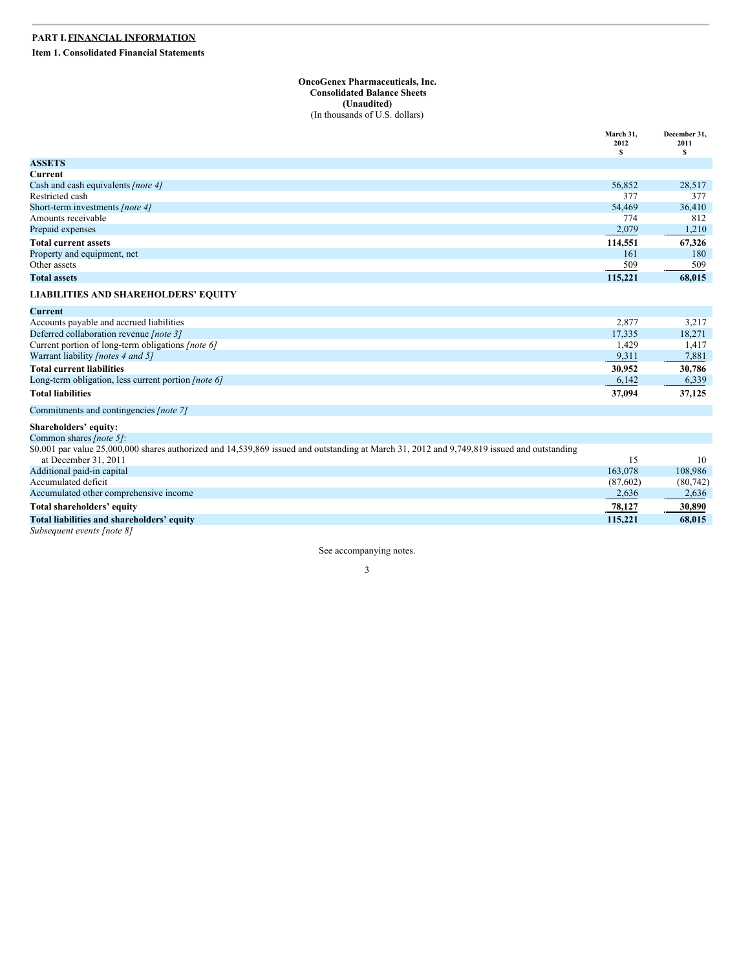<span id="page-2-1"></span><span id="page-2-0"></span>**Item 1. Consolidated Financial Statements**

#### <span id="page-2-2"></span>**OncoGenex Pharmaceuticals, Inc. Consolidated Balance Sheets (Unaudited)** (In thousands of U.S. dollars)

**March 31,**

**December 31,**

|                                    | 2012    | 2011   |
|------------------------------------|---------|--------|
| <b>ASSETS</b>                      |         |        |
| Current                            |         |        |
| Cash and cash equivalents [note 4] | 56,852  | 28,517 |
| Restricted cash                    | 377     | 377    |
| Short-term investments [note 4]    | 54,469  | 36,410 |
| Amounts receivable                 | 774     | 812    |
| Prepaid expenses                   | 2,079   | 1,210  |
| <b>Total current assets</b>        | 114,551 | 67,326 |
| Property and equipment, net        | 161     | 180    |
| Other assets                       | 509     | 509    |
| <b>Total assets</b>                | 115,221 | 68,015 |

## **LIABILITIES AND SHAREHOLDERS' EQUITY**

| Current                                                    |        |        |
|------------------------------------------------------------|--------|--------|
| Accounts payable and accrued liabilities                   | 2,877  | 3,217  |
| Deferred collaboration revenue [note 3]                    | 17.335 | 18,271 |
| Current portion of long-term obligations [note 6]          | 1,429  | 1.417  |
| Warrant liability <i>[notes 4 and 5]</i>                   | 9,311  | 7,881  |
| <b>Total current liabilities</b>                           | 30.952 | 30,786 |
| Long-term obligation, less current portion <i>[note 6]</i> | 6,142  | 6,339  |
| <b>Total liabilities</b>                                   | 37.094 | 37,125 |
|                                                            |        |        |

## Commitments and contingencies *[note 7]*

## **Shareholders' equity:**

| Common shares <i>[note 5]</i> :                                                                                                              |          |           |
|----------------------------------------------------------------------------------------------------------------------------------------------|----------|-----------|
| $$0.001$ par value 25,000,000 shares authorized and 14,539,869 issued and outstanding at March 31, 2012 and 9,749,819 issued and outstanding |          |           |
| at December 31, 2011                                                                                                                         | 15       | 10        |
| Additional paid-in capital                                                                                                                   | 163,078  | 108,986   |
| Accumulated deficit                                                                                                                          | (87,602) | (80, 742) |
| Accumulated other comprehensive income                                                                                                       | 2,636    | 2,636     |
| Total shareholders' equity                                                                                                                   | 78,127   | 30,890    |
| Total liabilities and shareholders' equity                                                                                                   | 115,221  | 68,015    |
|                                                                                                                                              |          |           |

*Subsequent events [note 8]*

See accompanying notes.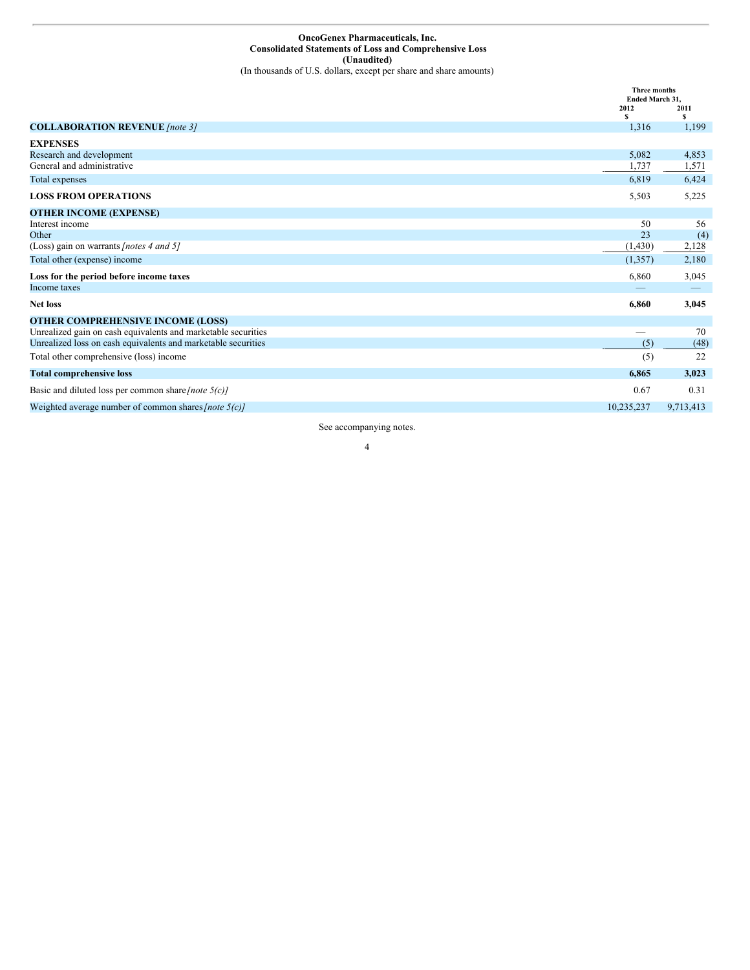## <span id="page-3-0"></span>**OncoGenex Pharmaceuticals, Inc. Consolidated Statements of Loss and Comprehensive Loss**

**(Unaudited)**

(In thousands of U.S. dollars, except per share and share amounts)

|                                                               | <b>Three months</b><br>Ended March 31,<br>2012 | 2011      |
|---------------------------------------------------------------|------------------------------------------------|-----------|
| <b>COLLABORATION REVENUE</b> [note 3]                         | S<br>1,316                                     | 1,199     |
| <b>EXPENSES</b>                                               |                                                |           |
| Research and development                                      | 5,082                                          | 4,853     |
| General and administrative                                    | 1,737                                          | 1,571     |
| Total expenses                                                | 6,819                                          | 6,424     |
| <b>LOSS FROM OPERATIONS</b>                                   | 5,503                                          | 5,225     |
| <b>OTHER INCOME (EXPENSE)</b>                                 |                                                |           |
| Interest income                                               | 50                                             | 56        |
| Other                                                         | 23                                             | (4)       |
| (Loss) gain on warrants [notes 4 and 5]                       | (1, 430)                                       | 2,128     |
| Total other (expense) income                                  | (1, 357)                                       | 2,180     |
| Loss for the period before income taxes                       | 6,860                                          | 3,045     |
| Income taxes                                                  |                                                |           |
| <b>Net loss</b>                                               | 6,860                                          | 3,045     |
| <b>OTHER COMPREHENSIVE INCOME (LOSS)</b>                      |                                                |           |
| Unrealized gain on cash equivalents and marketable securities |                                                | 70        |
| Unrealized loss on cash equivalents and marketable securities | (5)                                            | (48)      |
| Total other comprehensive (loss) income                       | (5)                                            | 22        |
| <b>Total comprehensive loss</b>                               | 6,865                                          | 3,023     |
| Basic and diluted loss per common share [note $5(c)$ ]        | 0.67                                           | 0.31      |
| Weighted average number of common shares [note $5(c)$ ]       | 10,235,237                                     | 9,713,413 |

See accompanying notes.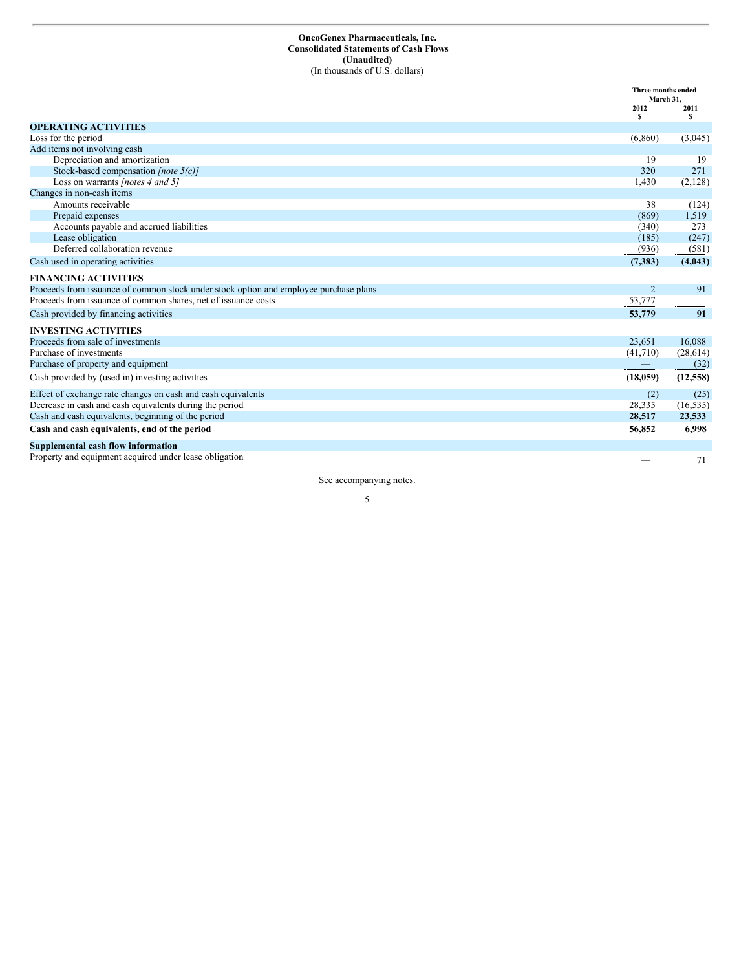#### <span id="page-4-0"></span>**OncoGenex Pharmaceuticals, Inc. Consolidated Statements of Cash Flows (Unaudited)** (In thousands of U.S. dollars)

|                                                                                       | Three months ended<br>March 31,<br>2012 | 2011      |
|---------------------------------------------------------------------------------------|-----------------------------------------|-----------|
|                                                                                       | s                                       | s         |
| <b>OPERATING ACTIVITIES</b>                                                           |                                         |           |
| Loss for the period                                                                   | (6,860)                                 | (3,045)   |
| Add items not involving cash                                                          |                                         |           |
| Depreciation and amortization                                                         | 19                                      | 19        |
| Stock-based compensation [note 5(c)]                                                  | 320                                     | 271       |
| Loss on warrants [notes 4 and 5]                                                      | 1,430                                   | (2,128)   |
| Changes in non-cash items                                                             |                                         |           |
| Amounts receivable                                                                    | 38                                      | (124)     |
| Prepaid expenses                                                                      | (869)                                   | 1,519     |
| Accounts payable and accrued liabilities                                              | (340)                                   | 273       |
| Lease obligation                                                                      | (185)                                   | (247)     |
| Deferred collaboration revenue                                                        | (936)                                   | (581)     |
| Cash used in operating activities                                                     | (7, 383)                                | (4,043)   |
| <b>FINANCING ACTIVITIES</b>                                                           |                                         |           |
| Proceeds from issuance of common stock under stock option and employee purchase plans | $\overline{2}$                          | 91        |
| Proceeds from issuance of common shares, net of issuance costs                        | 53,777                                  |           |
| Cash provided by financing activities                                                 | 53,779                                  | 91        |
| <b>INVESTING ACTIVITIES</b>                                                           |                                         |           |
| Proceeds from sale of investments                                                     | 23,651                                  | 16,088    |
| Purchase of investments                                                               | (41,710)                                | (28, 614) |
| Purchase of property and equipment                                                    |                                         | (32)      |
| Cash provided by (used in) investing activities                                       | (18,059)                                | (12, 558) |
| Effect of exchange rate changes on cash and cash equivalents                          | (2)                                     | (25)      |
| Decrease in cash and cash equivalents during the period                               | 28,335                                  | (16, 535) |
| Cash and cash equivalents, beginning of the period                                    | 28,517                                  | 23,533    |
| Cash and cash equivalents, end of the period                                          | 56,852                                  | 6,998     |
| <b>Supplemental cash flow information</b>                                             |                                         |           |
| Property and equipment acquired under lease obligation                                |                                         | 71        |

See accompanying notes.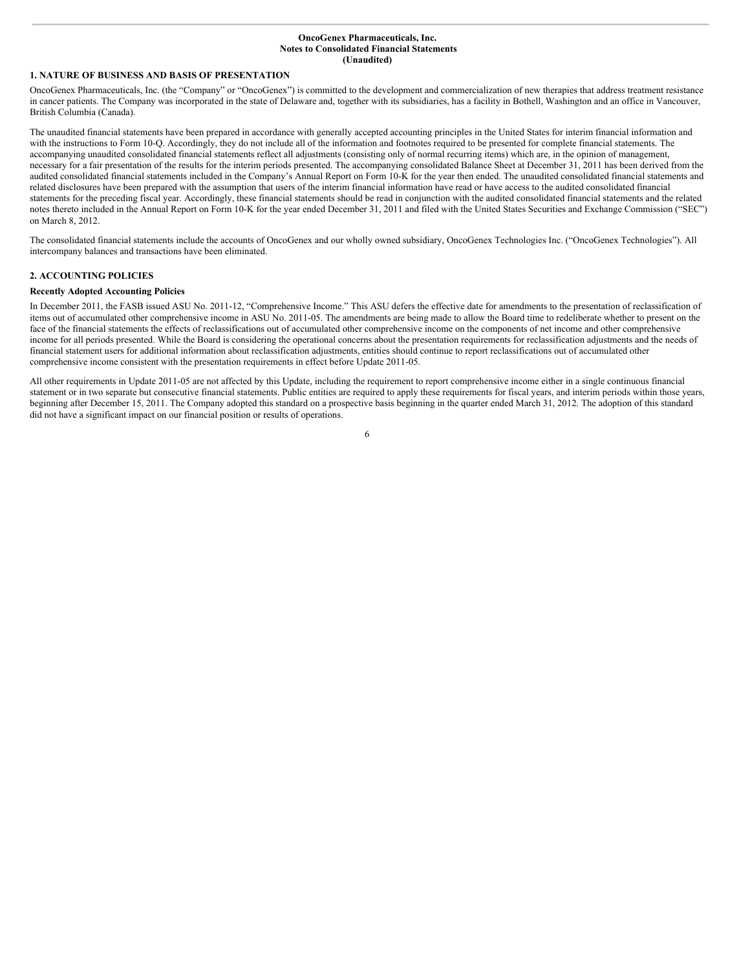#### <span id="page-5-0"></span>**OncoGenex Pharmaceuticals, Inc. Notes to Consolidated Financial Statements (Unaudited)**

### **1. NATURE OF BUSINESS AND BASIS OF PRESENTATION**

OncoGenex Pharmaceuticals, Inc. (the "Company" or "OncoGenex") is committed to the development and commercialization of new therapies that address treatment resistance in cancer patients. The Company was incorporated in the state of Delaware and, together with its subsidiaries, has a facility in Bothell, Washington and an office in Vancouver, British Columbia (Canada).

The unaudited financial statements have been prepared in accordance with generally accepted accounting principles in the United States for interim financial information and with the instructions to Form 10-Q. Accordingly, they do not include all of the information and footnotes required to be presented for complete financial statements. The accompanying unaudited consolidated financial statements reflect all adjustments (consisting only of normal recurring items) which are, in the opinion of management, necessary for a fair presentation of the results for the interim periods presented. The accompanying consolidated Balance Sheet at December 31, 2011 has been derived from the audited consolidated financial statements included in the Company's Annual Report on Form 10-K for the year then ended. The unaudited consolidated financial statements and related disclosures have been prepared with the assumption that users of the interim financial information have read or have access to the audited consolidated financial statements for the preceding fiscal year. Accordingly, these financial statements should be read in conjunction with the audited consolidated financial statements and the related notes thereto included in the Annual Report on Form 10-K for the year ended December 31, 2011 and filed with the United States Securities and Exchange Commission ("SEC") on March 8, 2012.

The consolidated financial statements include the accounts of OncoGenex and our wholly owned subsidiary, OncoGenex Technologies Inc. ("OncoGenex Technologies"). All intercompany balances and transactions have been eliminated.

## **2. ACCOUNTING POLICIES**

#### **Recently Adopted Accounting Policies**

In December 2011, the FASB issued ASU No. 2011-12, "Comprehensive Income." This ASU defers the effective date for amendments to the presentation of reclassification of items out of accumulated other comprehensive income in ASU No. 2011-05. The amendments are being made to allow the Board time to redeliberate whether to present on the face of the financial statements the effects of reclassifications out of accumulated other comprehensive income on the components of net income and other comprehensive income for all periods presented. While the Board is considering the operational concerns about the presentation requirements for reclassification adjustments and the needs of financial statement users for additional information about reclassification adjustments, entities should continue to report reclassifications out of accumulated other comprehensive income consistent with the presentation requirements in effect before Update 2011-05.

All other requirements in Update 2011-05 are not affected by this Update, including the requirement to report comprehensive income either in a single continuous financial statement or in two separate but consecutive financial statements. Public entities are required to apply these requirements for fiscal years, and interim periods within those years, beginning after December 15, 2011. The Company adopted this standard on a prospective basis beginning in the quarter ended March 31, 2012. The adoption of this standard did not have a significant impact on our financial position or results of operations.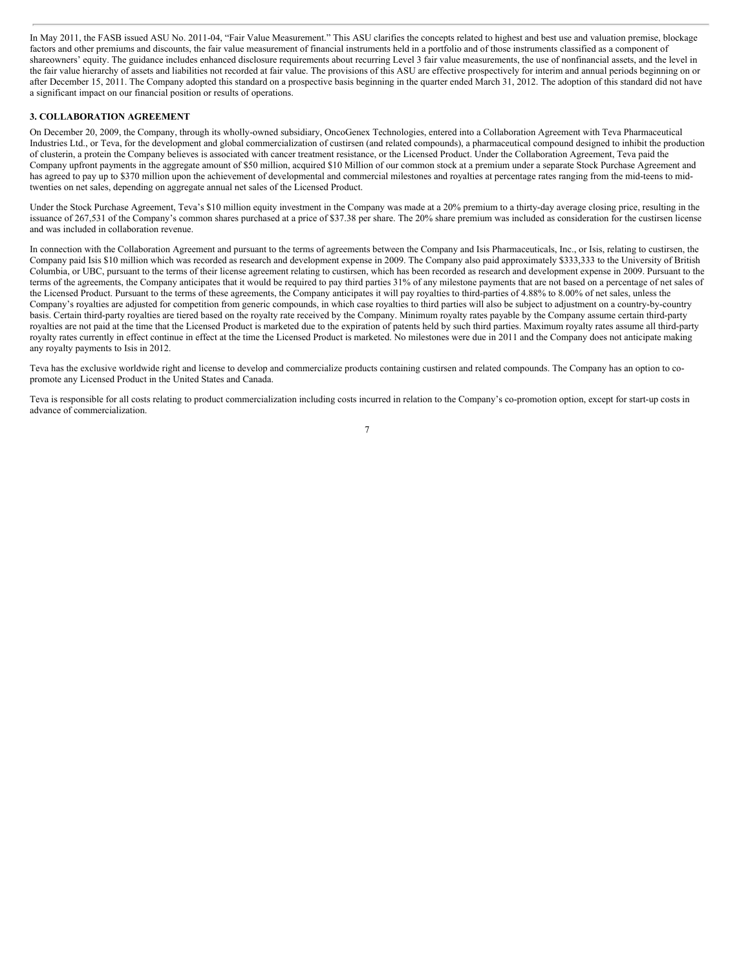In May 2011, the FASB issued ASU No. 2011-04, "Fair Value Measurement." This ASU clarifies the concepts related to highest and best use and valuation premise, blockage factors and other premiums and discounts, the fair value measurement of financial instruments held in a portfolio and of those instruments classified as a component of shareowners' equity. The guidance includes enhanced disclosure requirements about recurring Level 3 fair value measurements, the use of nonfinancial assets, and the level in the fair value hierarchy of assets and liabilities not recorded at fair value. The provisions of this ASU are effective prospectively for interim and annual periods beginning on or after December 15, 2011. The Company adopted this standard on a prospective basis beginning in the quarter ended March 31, 2012. The adoption of this standard did not have a significant impact on our financial position or results of operations.

#### **3. COLLABORATION AGREEMENT**

On December 20, 2009, the Company, through its wholly-owned subsidiary, OncoGenex Technologies, entered into a Collaboration Agreement with Teva Pharmaceutical Industries Ltd., or Teva, for the development and global commercialization of custirsen (and related compounds), a pharmaceutical compound designed to inhibit the production of clusterin, a protein the Company believes is associated with cancer treatment resistance, or the Licensed Product. Under the Collaboration Agreement, Teva paid the Company upfront payments in the aggregate amount of \$50 million, acquired \$10 Million of our common stock at a premium under a separate Stock Purchase Agreement and has agreed to pay up to \$370 million upon the achievement of developmental and commercial milestones and royalties at percentage rates ranging from the mid-teens to midtwenties on net sales, depending on aggregate annual net sales of the Licensed Product.

Under the Stock Purchase Agreement, Teva's \$10 million equity investment in the Company was made at a 20% premium to a thirty-day average closing price, resulting in the issuance of 267,531 of the Company's common shares purchased at a price of \$37.38 per share. The 20% share premium was included as consideration for the custirsen license and was included in collaboration revenue.

In connection with the Collaboration Agreement and pursuant to the terms of agreements between the Company and Isis Pharmaceuticals, Inc., or Isis, relating to custirsen, the Company paid Isis \$10 million which was recorded as research and development expense in 2009. The Company also paid approximately \$333,333 to the University of British Columbia, or UBC, pursuant to the terms of their license agreement relating to custirsen, which has been recorded as research and development expense in 2009. Pursuant to the terms of the agreements, the Company anticipates that it would be required to pay third parties 31% of any milestone payments that are not based on a percentage of net sales of the Licensed Product. Pursuant to the terms of these agreements, the Company anticipates it will pay royalties to third-parties of 4.88% to 8.00% of net sales, unless the Company's royalties are adjusted for competition from generic compounds, in which case royalties to third parties will also be subject to adjustment on a country-by-country basis. Certain third-party royalties are tiered based on the royalty rate received by the Company. Minimum royalty rates payable by the Company assume certain third-party royalties are not paid at the time that the Licensed Product is marketed due to the expiration of patents held by such third parties. Maximum royalty rates assume all third-party royalty rates currently in effect continue in effect at the time the Licensed Product is marketed. No milestones were due in 2011 and the Company does not anticipate making any royalty payments to Isis in 2012.

Teva has the exclusive worldwide right and license to develop and commercialize products containing custirsen and related compounds. The Company has an option to copromote any Licensed Product in the United States and Canada.

Teva is responsible for all costs relating to product commercialization including costs incurred in relation to the Company's co-promotion option, except for start-up costs in advance of commercialization.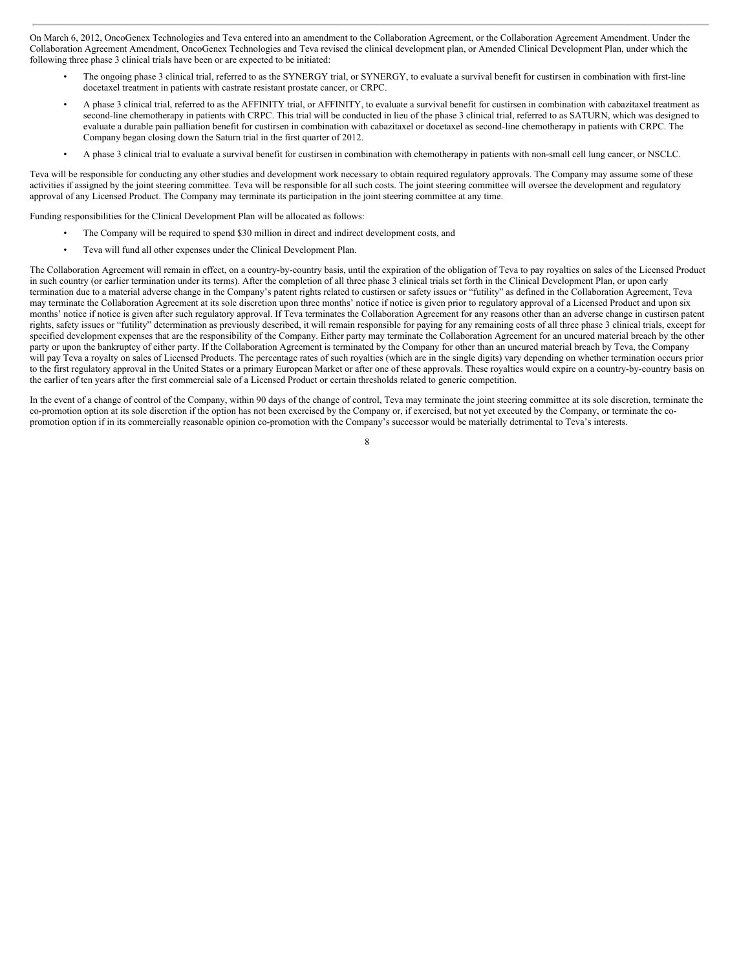On March 6, 2012, OncoGenex Technologies and Teva entered into an amendment to the Collaboration Agreement, or the Collaboration Agreement Amendment. Under the Collaboration Agreement Amendment, OncoGenex Technologies and Teva revised the clinical development plan, or Amended Clinical Development Plan, under which the following three phase 3 clinical trials have been or are expected to be initiated:

- The ongoing phase 3 clinical trial, referred to as the SYNERGY trial, or SYNERGY, to evaluate a survival benefit for custirsen in combination with first-line docetaxel treatment in patients with castrate resistant prostate cancer, or CRPC.
- A phase 3 clinical trial, referred to as the AFFINITY trial, or AFFINITY, to evaluate a survival benefit for custirsen in combination with cabazitaxel treatment as second-line chemotherapy in patients with CRPC. This trial will be conducted in lieu of the phase 3 clinical trial, referred to as SATURN, which was designed to evaluate a durable pain palliation benefit for custirsen in combination with cabazitaxel or docetaxel as second-line chemotherapy in patients with CRPC. The Company began closing down the Saturn trial in the first quarter of 2012.
- A phase 3 clinical trial to evaluate a survival benefit for custirsen in combination with chemotherapy in patients with non-small cell lung cancer, or NSCLC.

Teva will be responsible for conducting any other studies and development work necessary to obtain required regulatory approvals. The Company may assume some of these activities if assigned by the joint steering committee. Teva will be responsible for all such costs. The joint steering committee will oversee the development and regulatory approval of any Licensed Product. The Company may terminate its participation in the joint steering committee at any time.

Funding responsibilities for the Clinical Development Plan will be allocated as follows:

- The Company will be required to spend \$30 million in direct and indirect development costs, and
- Teva will fund all other expenses under the Clinical Development Plan.

The Collaboration Agreement will remain in effect, on a country-by-country basis, until the expiration of the obligation of Teva to pay royalties on sales of the Licensed Product in such country (or earlier termination under its terms). After the completion of all three phase 3 clinical trials set forth in the Clinical Development Plan, or upon early termination due to a material adverse change in the Company's patent rights related to custirsen or safety issues or "futility" as defined in the Collaboration Agreement, Teva may terminate the Collaboration Agreement at its sole discretion upon three months' notice if notice is given prior to regulatory approval of a Licensed Product and upon six months' notice if notice is given after such regulatory approval. If Teva terminates the Collaboration Agreement for any reasons other than an adverse change in custirsen patent rights, safety issues or "futility" determination as previously described, it will remain responsible for paying for any remaining costs of all three phase 3 clinical trials, except for specified development expenses that are the responsibility of the Company. Either party may terminate the Collaboration Agreement for an uncured material breach by the other party or upon the bankruptcy of either party. If the Collaboration Agreement is terminated by the Company for other than an uncured material breach by Teva, the Company will pay Teva a royalty on sales of Licensed Products. The percentage rates of such royalties (which are in the single digits) vary depending on whether termination occurs prior to the first regulatory approval in the United States or a primary European Market or after one of these approvals. These royalties would expire on a country-by-country basis on the earlier of ten years after the first commercial sale of a Licensed Product or certain thresholds related to generic competition.

In the event of a change of control of the Company, within 90 days of the change of control, Teva may terminate the joint steering committee at its sole discretion, terminate the co-promotion option at its sole discretion if the option has not been exercised by the Company or, if exercised, but not yet executed by the Company, or terminate the copromotion option if in its commercially reasonable opinion co-promotion with the Company's successor would be materially detrimental to Teva's interests.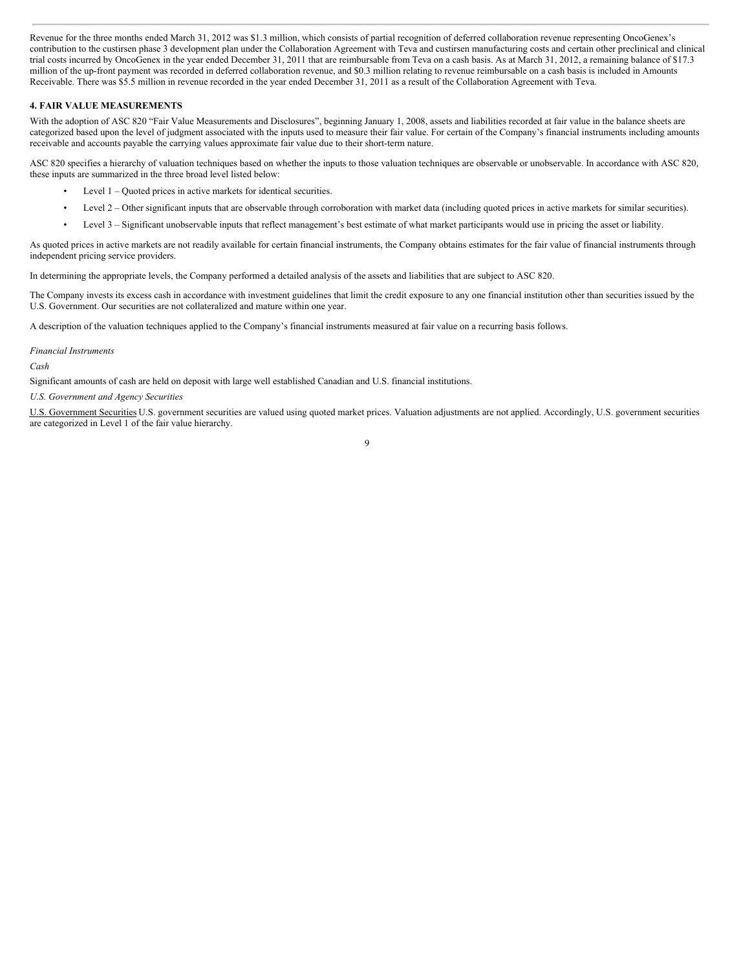Revenue for the three months ended March 31, 2012 was \$1.3 million, which consists of partial recognition of deferred collaboration revenue representing OncoGenex's contribution to the custirsen phase 3 development plan under the Collaboration Agreement with Teva and custirsen manufacturing costs and certain other preclinical and clinical trial costs incurred by OncoGenex in the year ended December 31, 2011 that are reimbursable from Teva on a cash basis. As at March 31, 2012, a remaining balance of \$17.3 million of the up-front payment was recorded in deferred collaboration revenue, and \$0.3 million relating to revenue reimbursable on a cash basis is included in Amounts Receivable. There was \$5.5 million in revenue recorded in the year ended December 31, 2011 as a result of the Collaboration Agreement with Teva.

## **4. FAIR VALUE MEASUREMENTS**

With the adoption of ASC 820 "Fair Value Measurements and Disclosures", beginning January 1, 2008, assets and liabilities recorded at fair value in the balance sheets are categorized based upon the level of judgment associated with the inputs used to measure their fair value. For certain of the Company's financial instruments including amounts receivable and accounts payable the carrying values approximate fair value due to their short-term nature.

ASC 820 specifies a hierarchy of valuation techniques based on whether the inputs to those valuation techniques are observable or unobservable. In accordance with ASC 820, these inputs are summarized in the three broad level listed below:

- Level 1 Quoted prices in active markets for identical securities.
- Level 2 Other significant inputs that are observable through corroboration with market data (including quoted prices in active markets for similar securities).
- Level 3 Significant unobservable inputs that reflect management's best estimate of what market participants would use in pricing the asset or liability.

As quoted prices in active markets are not readily available for certain financial instruments, the Company obtains estimates for the fair value of financial instruments through independent pricing service providers.

In determining the appropriate levels, the Company performed a detailed analysis of the assets and liabilities that are subject to ASC 820.

The Company invests its excess cash in accordance with investment guidelines that limit the credit exposure to any one financial institution other than securities issued by the U.S. Government. Our securities are not collateralized and mature within one year.

A description of the valuation techniques applied to the Company's financial instruments measured at fair value on a recurring basis follows.

*Financial Instruments*

*Cash*

Significant amounts of cash are held on deposit with large well established Canadian and U.S. financial institutions.

## *U.S. Government and Agency Securities*

U.S. Government Securities U.S. government securities are valued using quoted market prices. Valuation adjustments are not applied. Accordingly, U.S. government securities are categorized in Level 1 of the fair value hierarchy.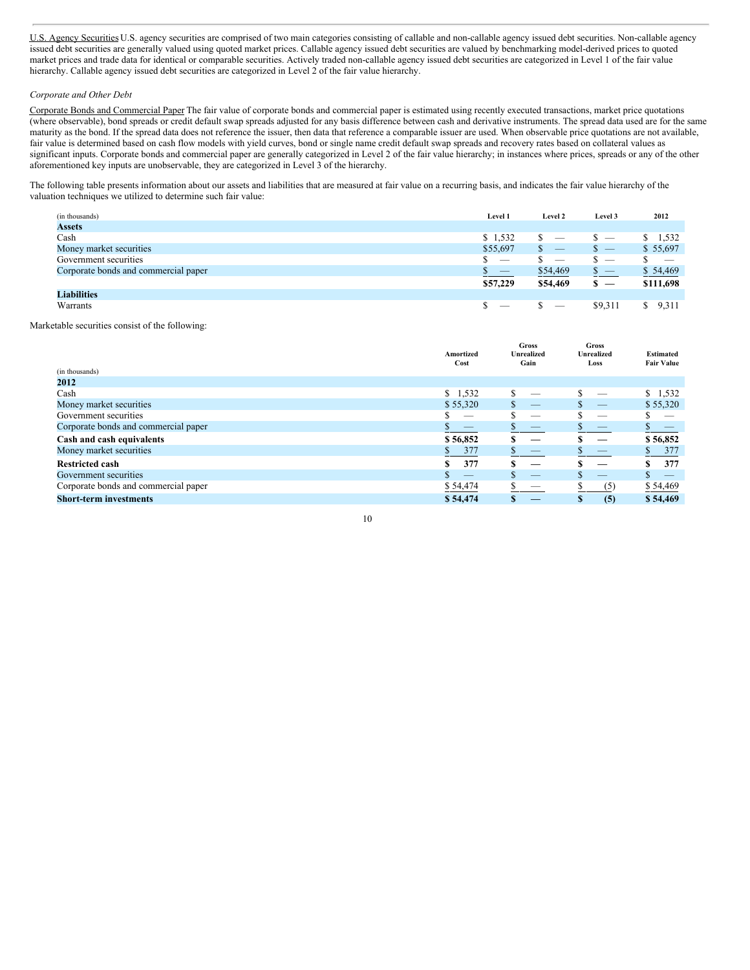U.S. Agency Securities U.S. agency securities are comprised of two main categories consisting of callable and non-callable agency issued debt securities. Non-callable agency issued debt securities are generally valued using quoted market prices. Callable agency issued debt securities are valued by benchmarking model-derived prices to quoted market prices and trade data for identical or comparable securities. Actively traded non-callable agency issued debt securities are categorized in Level 1 of the fair value hierarchy. Callable agency issued debt securities are categorized in Level 2 of the fair value hierarchy.

#### *Corporate and Other Debt*

Corporate Bonds and Commercial Paper The fair value of corporate bonds and commercial paper is estimated using recently executed transactions, market price quotations (where observable), bond spreads or credit default swap spreads adjusted for any basis difference between cash and derivative instruments. The spread data used are for the same maturity as the bond. If the spread data does not reference the issuer, then data that reference a comparable issuer are used. When observable price quotations are not available, fair value is determined based on cash flow models with yield curves, bond or single name credit default swap spreads and recovery rates based on collateral values as significant inputs. Corporate bonds and commercial paper are generally categorized in Level 2 of the fair value hierarchy; in instances where prices, spreads or any of the other aforementioned key inputs are unobservable, they are categorized in Level 3 of the hierarchy.

The following table presents information about our assets and liabilities that are measured at fair value on a recurring basis, and indicates the fair value hierarchy of the valuation techniques we utilized to determine such fair value:

| (in thousands)                       | Level 1                               | Level 2                        | Level 3                                | 2012                            |
|--------------------------------------|---------------------------------------|--------------------------------|----------------------------------------|---------------------------------|
| <b>Assets</b>                        |                                       |                                |                                        |                                 |
| Cash                                 | \$1,532                               |                                | $\hspace{0.1mm}-\hspace{0.1mm}$<br>.Ъ. | 1,532                           |
| Money market securities              | \$55,697                              | S.<br>$\qquad \qquad - \qquad$ | \$<br>$\overline{\phantom{a}}$         | \$55,697                        |
| Government securities                | S<br>$\hspace{0.1mm}-\hspace{0.1mm}$  | $\overbrace{\phantom{12333}}$  | $\hspace{0.1mm}-\hspace{0.1mm}$<br>D   | $\hspace{0.1mm}-\hspace{0.1mm}$ |
| Corporate bonds and commercial paper | \$<br>$\hspace{0.1mm}-\hspace{0.1mm}$ | \$54,469                       | $s -$                                  | \$54,469                        |
|                                      | \$57,229                              | \$54,469                       | \$                                     | \$111,698                       |
| <b>Liabilities</b>                   |                                       |                                |                                        |                                 |
| Warrants                             | $\hspace{0.1mm}-\hspace{0.1mm}$       | $\overline{\phantom{a}}$       | \$9,311                                | 9,311<br>S                      |

Marketable securities consist of the following:

|                                      | Amortized<br>Cost        | Gross<br><b>Unrealized</b><br>Gain | <b>Gross</b><br><b>Unrealized</b><br>Loss | <b>Estimated</b><br><b>Fair Value</b> |
|--------------------------------------|--------------------------|------------------------------------|-------------------------------------------|---------------------------------------|
| (in thousands)                       |                          |                                    |                                           |                                       |
| 2012                                 |                          |                                    |                                           |                                       |
| Cash                                 | \$1,532                  | S<br>_                             | S<br>--                                   | \$1,532                               |
| Money market securities              | \$55,320                 | \$                                 |                                           | \$55,320                              |
| Government securities                | --                       | $\sigma$                           | ¢<br>--                                   |                                       |
| Corporate bonds and commercial paper | $\overline{\phantom{0}}$ |                                    |                                           |                                       |
| Cash and cash equivalents            | \$56,852                 |                                    |                                           | \$56,852                              |
| Money market securities              | 377                      |                                    |                                           | 377<br>S                              |
| <b>Restricted cash</b>               | 377                      |                                    |                                           | 377<br>\$.                            |
| Government securities                |                          |                                    |                                           |                                       |
| Corporate bonds and commercial paper | \$54,474                 | $\qquad \qquad -$                  | (5)                                       | \$54,469                              |
| <b>Short-term investments</b>        | \$54,474                 |                                    | \$<br>(5)                                 | \$54,469                              |
|                                      |                          |                                    |                                           |                                       |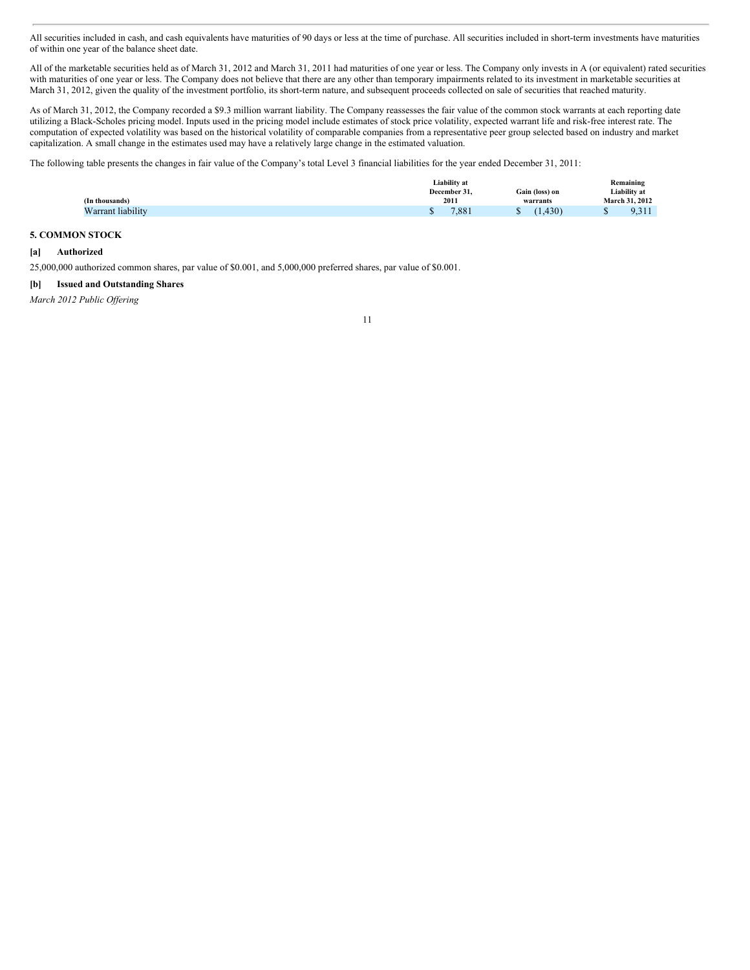All securities included in cash, and cash equivalents have maturities of 90 days or less at the time of purchase. All securities included in short-term investments have maturities of within one year of the balance sheet date.

All of the marketable securities held as of March 31, 2012 and March 31, 2011 had maturities of one year or less. The Company only invests in A (or equivalent) rated securities with maturities of one year or less. The Company does not believe that there are any other than temporary impairments related to its investment in marketable securities at March 31, 2012, given the quality of the investment portfolio, its short-term nature, and subsequent proceeds collected on sale of securities that reached maturity.

As of March 31, 2012, the Company recorded a \$9.3 million warrant liability. The Company reassesses the fair value of the common stock warrants at each reporting date utilizing a Black-Scholes pricing model. Inputs used in the pricing model include estimates of stock price volatility, expected warrant life and risk-free interest rate. The computation of expected volatility was based on the historical volatility of comparable companies from a representative peer group selected based on industry and market capitalization. A small change in the estimates used may have a relatively large change in the estimated valuation.

The following table presents the changes in fair value of the Company's total Level 3 financial liabilities for the year ended December 31, 2011:

|                   | Liability at<br>December 31. | Gain (loss) on | Remaining<br><b>Liability</b> at |
|-------------------|------------------------------|----------------|----------------------------------|
| (In thousands)    | 2011                         | warrants       | <b>March 31, 2012</b>            |
| Warrant liability | 7,881                        | (430)          | ,,,,                             |

## **5. COMMON STOCK**

## **[a] Authorized**

25,000,000 authorized common shares, par value of \$0.001, and 5,000,000 preferred shares, par value of \$0.001.

#### **[b] Issued and Outstanding Shares**

*March 2012 Public Of ering*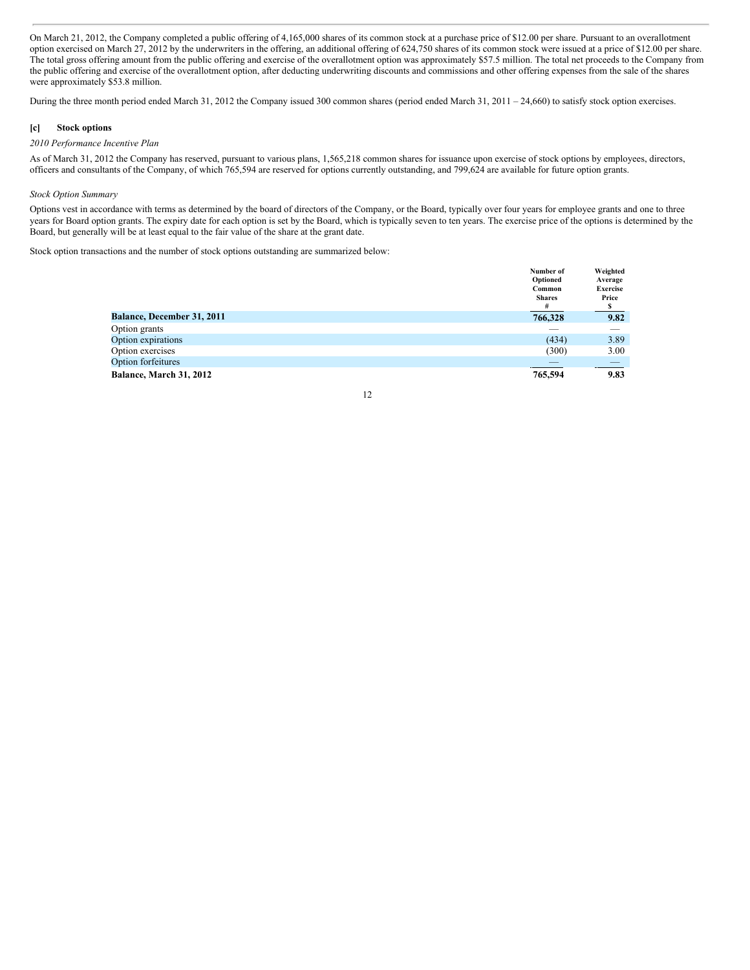On March 21, 2012, the Company completed a public offering of 4,165,000 shares of its common stock at a purchase price of \$12.00 per share. Pursuant to an overallotment option exercised on March 27, 2012 by the underwriters in the offering, an additional offering of 624,750 shares of its common stock were issued at a price of \$12.00 per share. The total gross offering amount from the public offering and exercise of the overallotment option was approximately \$57.5 million. The total net proceeds to the Company from the public offering and exercise of the overallotment option, after deducting underwriting discounts and commissions and other offering expenses from the sale of the shares were approximately \$53.8 million.

During the three month period ended March 31, 2012 the Company issued 300 common shares (period ended March 31, 2011 – 24,660) to satisfy stock option exercises.

#### **[c] Stock options**

## *2010 Performance Incentive Plan*

As of March 31, 2012 the Company has reserved, pursuant to various plans, 1,565,218 common shares for issuance upon exercise of stock options by employees, directors, officers and consultants of the Company, of which 765,594 are reserved for options currently outstanding, and 799,624 are available for future option grants.

#### *Stock Option Summary*

Options vest in accordance with terms as determined by the board of directors of the Company, or the Board, typically over four years for employee grants and one to three years for Board option grants. The expiry date for each option is set by the Board, which is typically seven to ten years. The exercise price of the options is determined by the Board, but generally will be at least equal to the fair value of the share at the grant date.

Stock option transactions and the number of stock options outstanding are summarized below:

|                            | Number of     | Weighted        |
|----------------------------|---------------|-----------------|
|                            | Optioned      | Average         |
|                            | Common        | <b>Exercise</b> |
|                            | <b>Shares</b> | Price           |
|                            | #             | $\mathbf{s}$    |
| Balance, December 31, 2011 | 766,328       | 9.82            |
| Option grants              |               |                 |
| Option expirations         | (434)         | 3.89            |
| Option exercises           | (300)         | 3.00            |
| Option forfeitures         | _             | _               |
| Balance, March 31, 2012    | 765,594       | 9.83            |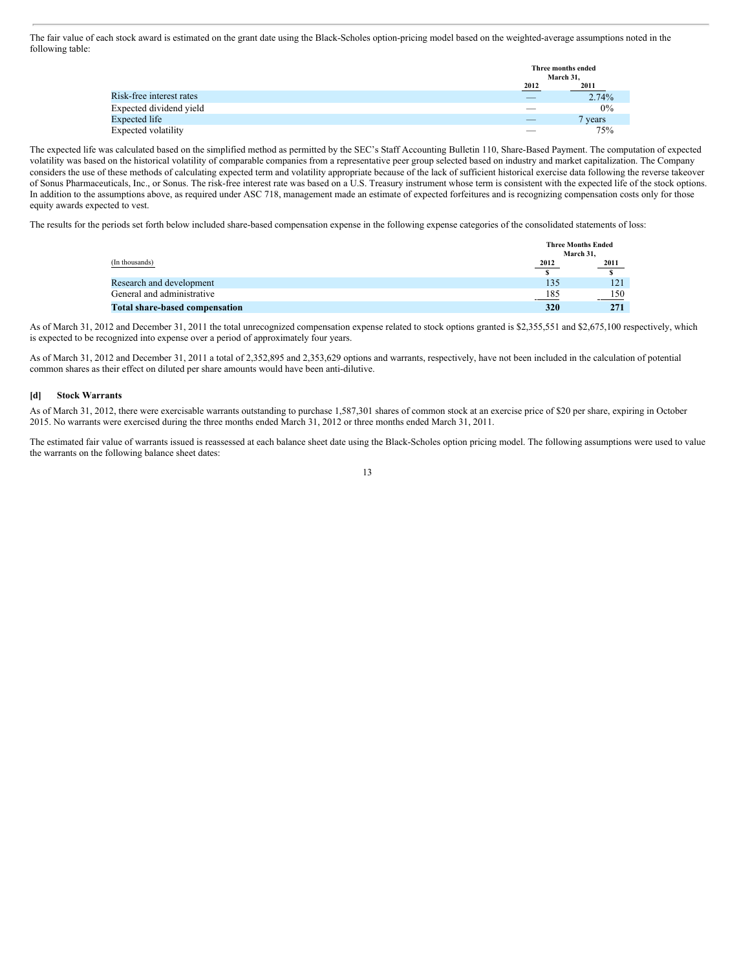The fair value of each stock award is estimated on the grant date using the Black-Scholes option-pricing model based on the weighted-average assumptions noted in the following table:

|                          |      | Three months ended<br>March 31. |  |
|--------------------------|------|---------------------------------|--|
|                          | 2012 | 2011                            |  |
| Risk-free interest rates | _    | 2.74%                           |  |
| Expected dividend yield  |      | 0%                              |  |
| <b>Expected life</b>     | _    | 7 years                         |  |
| Expected volatility      | _    | 75%                             |  |

The expected life was calculated based on the simplified method as permitted by the SEC's Staff Accounting Bulletin 110, Share-Based Payment. The computation of expected volatility was based on the historical volatility of comparable companies from a representative peer group selected based on industry and market capitalization. The Company considers the use of these methods of calculating expected term and volatility appropriate because of the lack of sufficient historical exercise data following the reverse takeover of Sonus Pharmaceuticals, Inc., or Sonus. The risk-free interest rate was based on a U.S. Treasury instrument whose term is consistent with the expected life of the stock options. In addition to the assumptions above, as required under ASC 718, management made an estimate of expected forfeitures and is recognizing compensation costs only for those equity awards expected to vest.

The results for the periods set forth below included share-based compensation expense in the following expense categories of the consolidated statements of loss:

|                                       | <b>Three Months Ended</b><br>March 31, |                  |
|---------------------------------------|----------------------------------------|------------------|
| (In thousands)                        | 2012                                   | $\frac{2011}{s}$ |
|                                       | $\mathbf{c}$                           |                  |
| Research and development              | 135                                    |                  |
| General and administrative            | 185                                    | 150              |
| <b>Total share-based compensation</b> | 320                                    | 271              |

As of March 31, 2012 and December 31, 2011 the total unrecognized compensation expense related to stock options granted is \$2,355,551 and \$2,675,100 respectively, which is expected to be recognized into expense over a period of approximately four years.

As of March 31, 2012 and December 31, 2011 a total of 2,352,895 and 2,353,629 options and warrants, respectively, have not been included in the calculation of potential common shares as their effect on diluted per share amounts would have been anti-dilutive.

## **[d] Stock Warrants**

As of March 31, 2012, there were exercisable warrants outstanding to purchase 1,587,301 shares of common stock at an exercise price of \$20 per share, expiring in October 2015. No warrants were exercised during the three months ended March 31, 2012 or three months ended March 31, 2011.

The estimated fair value of warrants issued is reassessed at each balance sheet date using the Black-Scholes option pricing model. The following assumptions were used to value the warrants on the following balance sheet dates: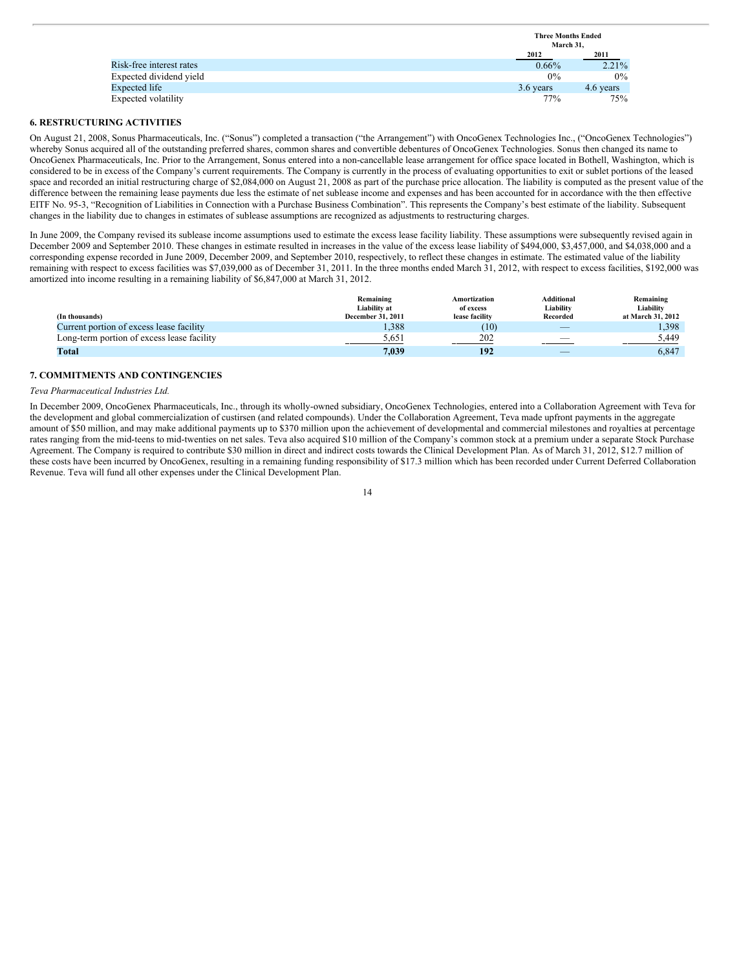|                          |           | <b>Three Months Ended</b><br>March 31, |  |
|--------------------------|-----------|----------------------------------------|--|
|                          | 2012      | 2011                                   |  |
| Risk-free interest rates | $0.66\%$  | 2.21%                                  |  |
| Expected dividend yield  | 0%        | $0\%$                                  |  |
| Expected life            | 3.6 years | 4.6 years                              |  |
| Expected volatility      | 77%       | 75%                                    |  |

## **6. RESTRUCTURING ACTIVITIES**

On August 21, 2008, Sonus Pharmaceuticals, Inc. ("Sonus") completed a transaction ("the Arrangement") with OncoGenex Technologies Inc., ("OncoGenex Technologies") whereby Sonus acquired all of the outstanding preferred shares, common shares and convertible debentures of OncoGenex Technologies. Sonus then changed its name to OncoGenex Pharmaceuticals, Inc. Prior to the Arrangement, Sonus entered into a non-cancellable lease arrangement for office space located in Bothell, Washington, which is considered to be in excess of the Company's current requirements. The Company is currently in the process of evaluating opportunities to exit or sublet portions of the leased space and recorded an initial restructuring charge of \$2,084,000 on August 21, 2008 as part of the purchase price allocation. The liability is computed as the present value of the difference between the remaining lease payments due less the estimate of net sublease income and expenses and has been accounted for in accordance with the then effective EITF No. 95-3, "Recognition of Liabilities in Connection with a Purchase Business Combination". This represents the Company's best estimate of the liability. Subsequent changes in the liability due to changes in estimates of sublease assumptions are recognized as adjustments to restructuring charges.

In June 2009, the Company revised its sublease income assumptions used to estimate the excess lease facility liability. These assumptions were subsequently revised again in December 2009 and September 2010. These changes in estimate resulted in increases in the value of the excess lease liability of \$494,000, \$3,457,000, and \$4,038,000 and a corresponding expense recorded in June 2009, December 2009, and September 2010, respectively, to reflect these changes in estimate. The estimated value of the liability remaining with respect to excess facilities was \$7,039,000 as of December 31, 2011. In the three months ended March 31, 2012, with respect to excess facilities, \$192,000 was amortized into income resulting in a remaining liability of \$6,847,000 at March 31, 2012.

|                                            | Remaining<br>Liability at | Amortization<br>of excess | <b>Additional</b><br>Liability | Remaining<br>Liability |
|--------------------------------------------|---------------------------|---------------------------|--------------------------------|------------------------|
| (In thousands)                             | <b>December 31, 2011</b>  | lease facility            | Recorded                       | at March 31, 2012      |
| Current portion of excess lease facility   | l.388                     | (10)                      |                                | 1,398                  |
| Long-term portion of excess lease facility | 5.651                     | 202                       | $\sim$                         | 5.449                  |
| Total                                      | 7.039                     | 192                       | $\overline{\phantom{a}}$       | 6.847                  |

#### **7. COMMITMENTS AND CONTINGENCIES**

#### *Teva Pharmaceutical Industries Ltd.*

In December 2009, OncoGenex Pharmaceuticals, Inc., through its wholly-owned subsidiary, OncoGenex Technologies, entered into a Collaboration Agreement with Teva for the development and global commercialization of custirsen (and related compounds). Under the Collaboration Agreement, Teva made upfront payments in the aggregate amount of \$50 million, and may make additional payments up to \$370 million upon the achievement of developmental and commercial milestones and royalties at percentage rates ranging from the mid-teens to mid-twenties on net sales. Teva also acquired \$10 million of the Company's common stock at a premium under a separate Stock Purchase Agreement. The Company is required to contribute \$30 million in direct and indirect costs towards the Clinical Development Plan. As of March 31, 2012, \$12.7 million of these costs have been incurred by OncoGenex, resulting in a remaining funding responsibility of \$17.3 million which has been recorded under Current Deferred Collaboration Revenue. Teva will fund all other expenses under the Clinical Development Plan.

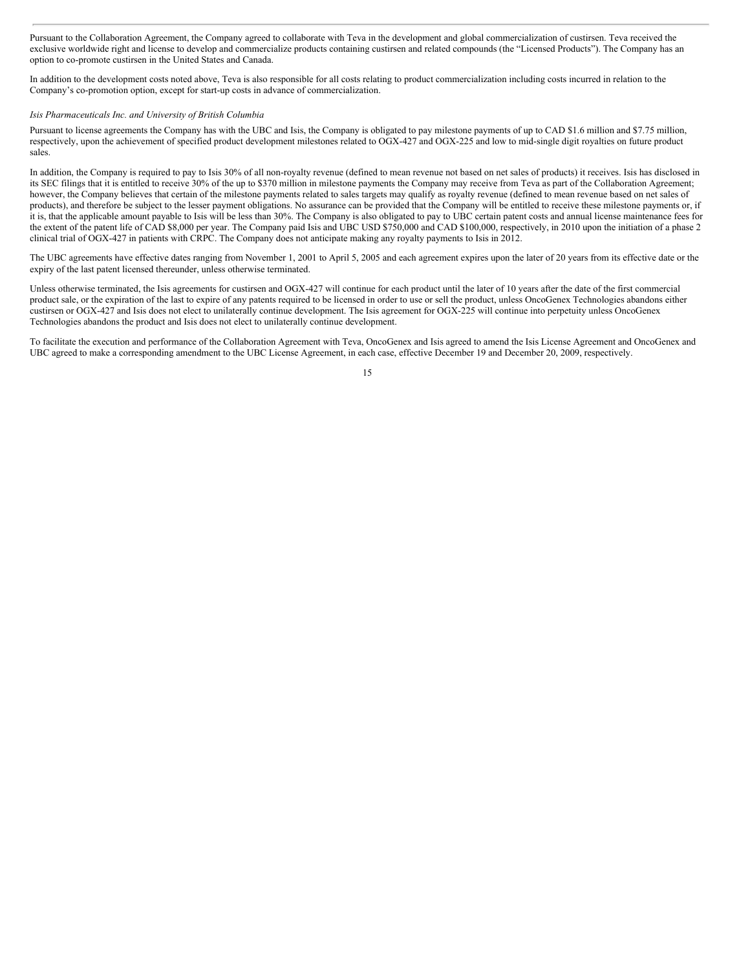Pursuant to the Collaboration Agreement, the Company agreed to collaborate with Teva in the development and global commercialization of custirsen. Teva received the exclusive worldwide right and license to develop and commercialize products containing custirsen and related compounds (the "Licensed Products"). The Company has an option to co-promote custirsen in the United States and Canada.

In addition to the development costs noted above, Teva is also responsible for all costs relating to product commercialization including costs incurred in relation to the Company's co-promotion option, except for start-up costs in advance of commercialization.

#### *Isis Pharmaceuticals Inc. and University of British Columbia*

Pursuant to license agreements the Company has with the UBC and Isis, the Company is obligated to pay milestone payments of up to CAD \$1.6 million and \$7.75 million, respectively, upon the achievement of specified product development milestones related to OGX-427 and OGX-225 and low to mid-single digit royalties on future product sales.

In addition, the Company is required to pay to Isis 30% of all non-royalty revenue (defined to mean revenue not based on net sales of products) it receives. Isis has disclosed in its SEC filings that it is entitled to receive 30% of the up to \$370 million in milestone payments the Company may receive from Teva as part of the Collaboration Agreement; however, the Company believes that certain of the milestone payments related to sales targets may qualify as royalty revenue (defined to mean revenue based on net sales of products), and therefore be subject to the lesser payment obligations. No assurance can be provided that the Company will be entitled to receive these milestone payments or, if it is, that the applicable amount payable to Isis will be less than 30%. The Company is also obligated to pay to UBC certain patent costs and annual license maintenance fees for the extent of the patent life of CAD \$8,000 per year. The Company paid Isis and UBC USD \$750,000 and CAD \$100,000, respectively, in 2010 upon the initiation of a phase 2 clinical trial of OGX-427 in patients with CRPC. The Company does not anticipate making any royalty payments to Isis in 2012.

The UBC agreements have effective dates ranging from November 1, 2001 to April 5, 2005 and each agreement expires upon the later of 20 years from its effective date or the expiry of the last patent licensed thereunder, unless otherwise terminated.

Unless otherwise terminated, the Isis agreements for custirsen and OGX-427 will continue for each product until the later of 10 years after the date of the first commercial product sale, or the expiration of the last to expire of any patents required to be licensed in order to use or sell the product, unless OncoGenex Technologies abandons either custirsen or OGX-427 and Isis does not elect to unilaterally continue development. The Isis agreement for OGX-225 will continue into perpetuity unless OncoGenex Technologies abandons the product and Isis does not elect to unilaterally continue development.

To facilitate the execution and performance of the Collaboration Agreement with Teva, OncoGenex and Isis agreed to amend the Isis License Agreement and OncoGenex and UBC agreed to make a corresponding amendment to the UBC License Agreement, in each case, effective December 19 and December 20, 2009, respectively.

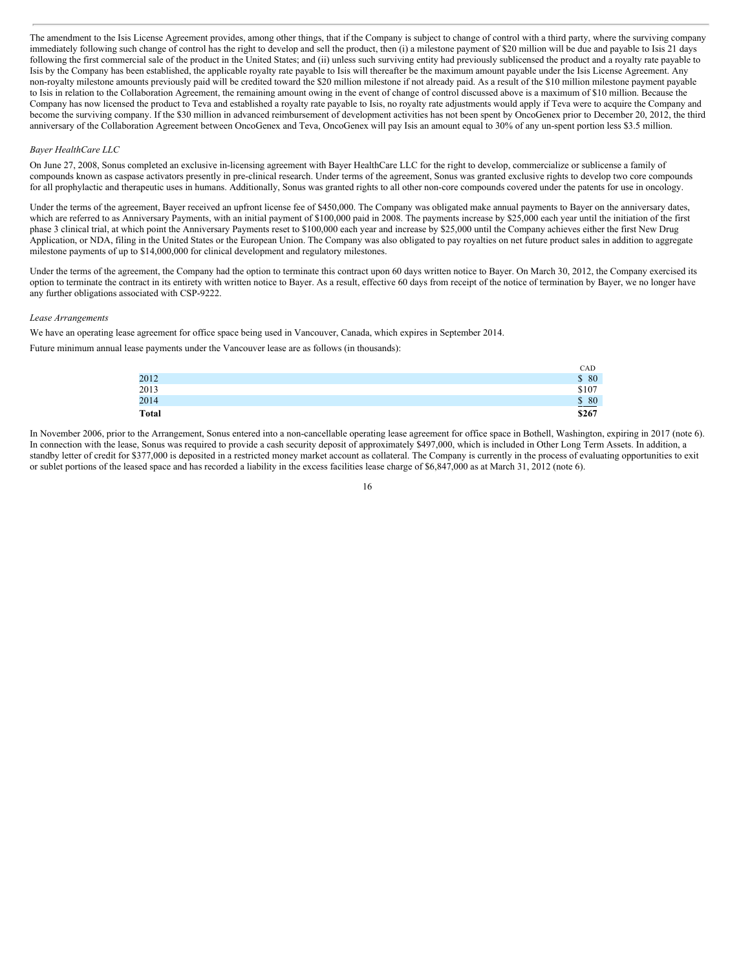The amendment to the Isis License Agreement provides, among other things, that if the Company is subject to change of control with a third party, where the surviving company immediately following such change of control has the right to develop and sell the product, then (i) a milestone payment of \$20 million will be due and payable to Isis 21 days following the first commercial sale of the product in the United States; and (ii) unless such surviving entity had previously sublicensed the product and a royalty rate payable to Isis by the Company has been established, the applicable royalty rate payable to Isis will thereafter be the maximum amount payable under the Isis License Agreement. Any non-royalty milestone amounts previously paid will be credited toward the \$20 million milestone if not already paid. As a result of the \$10 million milestone payment payable to Isis in relation to the Collaboration Agreement, the remaining amount owing in the event of change of control discussed above is a maximum of \$10 million. Because the Company has now licensed the product to Teva and established a royalty rate payable to Isis, no royalty rate adjustments would apply if Teva were to acquire the Company and become the surviving company. If the \$30 million in advanced reimbursement of development activities has not been spent by OncoGenex prior to December 20, 2012, the third anniversary of the Collaboration Agreement between OncoGenex and Teva, OncoGenex will pay Isis an amount equal to 30% of any un-spent portion less \$3.5 million.

#### *Bayer HealthCare LLC*

On June 27, 2008, Sonus completed an exclusive in-licensing agreement with Bayer HealthCare LLC for the right to develop, commercialize or sublicense a family of compounds known as caspase activators presently in pre-clinical research. Under terms of the agreement, Sonus was granted exclusive rights to develop two core compounds for all prophylactic and therapeutic uses in humans. Additionally, Sonus was granted rights to all other non-core compounds covered under the patents for use in oncology.

Under the terms of the agreement, Bayer received an upfront license fee of \$450,000. The Company was obligated make annual payments to Bayer on the anniversary dates, which are referred to as Anniversary Payments, with an initial payment of \$100,000 paid in 2008. The payments increase by \$25,000 each year until the initiation of the first phase 3 clinical trial, at which point the Anniversary Payments reset to \$100,000 each year and increase by \$25,000 until the Company achieves either the first New Drug Application, or NDA, filing in the United States or the European Union. The Company was also obligated to pay royalties on net future product sales in addition to aggregate milestone payments of up to \$14,000,000 for clinical development and regulatory milestones.

Under the terms of the agreement, the Company had the option to terminate this contract upon 60 days written notice to Bayer. On March 30, 2012, the Company exercised its option to terminate the contract in its entirety with written notice to Bayer. As a result, effective 60 days from receipt of the notice of termination by Bayer, we no longer have any further obligations associated with CSP-9222.

#### *Lease Arrangements*

We have an operating lease agreement for office space being used in Vancouver, Canada, which expires in September 2014.

Future minimum annual lease payments under the Vancouver lease are as follows (in thousands):

|              | CAD               |
|--------------|-------------------|
| 2012         | \$80              |
| 2013         | \$107             |
| 2014         |                   |
| <b>Total</b> | $\frac{$80}{267}$ |

In November 2006, prior to the Arrangement, Sonus entered into a non-cancellable operating lease agreement for office space in Bothell, Washington, expiring in 2017 (note 6). In connection with the lease, Sonus was required to provide a cash security deposit of approximately \$497,000, which is included in Other Long Term Assets. In addition, a standby letter of credit for \$377,000 is deposited in a restricted money market account as collateral. The Company is currently in the process of evaluating opportunities to exit or sublet portions of the leased space and has recorded a liability in the excess facilities lease charge of \$6,847,000 as at March 31, 2012 (note 6).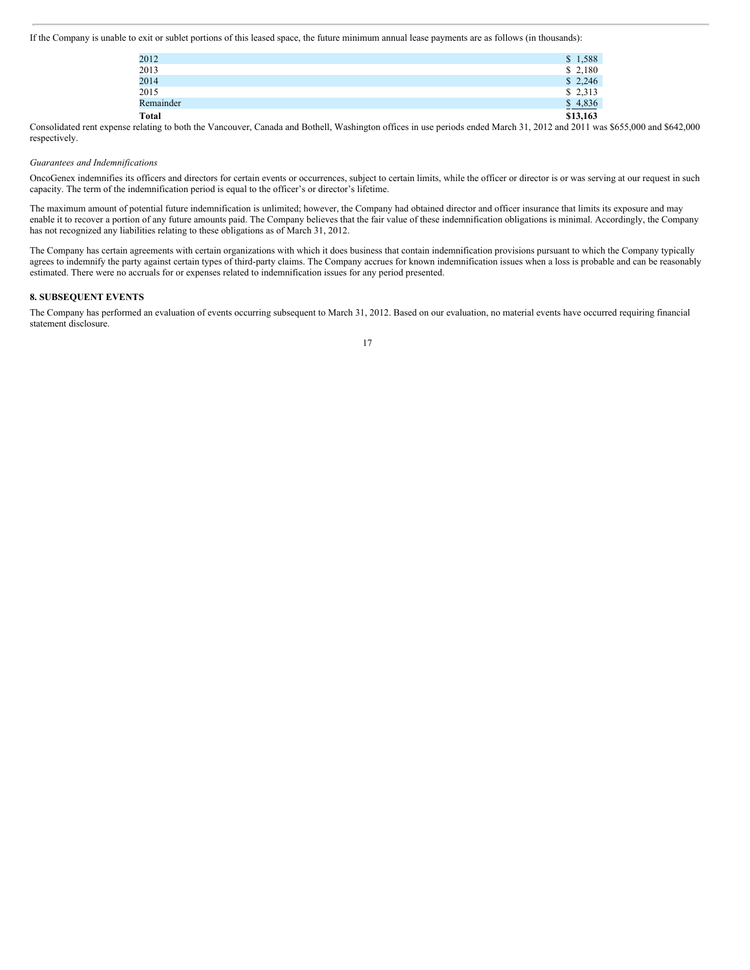If the Company is unable to exit or sublet portions of this leased space, the future minimum annual lease payments are as follows (in thousands):

| 2012      | \$1,588  |
|-----------|----------|
| 2013      | \$2,180  |
| 2014      | \$2,246  |
| 2015      | \$2,313  |
| Remainder | \$4,836  |
| Total     | \$13,163 |

Consolidated rent expense relating to both the Vancouver, Canada and Bothell, Washington offices in use periods ended March 31, 2012 and 2011 was \$655,000 and \$642,000 respectively.

#### *Guarantees and Indemnifications*

OncoGenex indemnifies its officers and directors for certain events or occurrences, subject to certain limits, while the officer or director is or was serving at our request in such capacity. The term of the indemnification period is equal to the officer's or director's lifetime.

The maximum amount of potential future indemnification is unlimited; however, the Company had obtained director and officer insurance that limits its exposure and may enable it to recover a portion of any future amounts paid. The Company believes that the fair value of these indemnification obligations is minimal. Accordingly, the Company has not recognized any liabilities relating to these obligations as of March 31, 2012.

The Company has certain agreements with certain organizations with which it does business that contain indemnification provisions pursuant to which the Company typically agrees to indemnify the party against certain types of third-party claims. The Company accrues for known indemnification issues when a loss is probable and can be reasonably estimated. There were no accruals for or expenses related to indemnification issues for any period presented.

#### **8. SUBSEQUENT EVENTS**

The Company has performed an evaluation of events occurring subsequent to March 31, 2012. Based on our evaluation, no material events have occurred requiring financial statement disclosure.

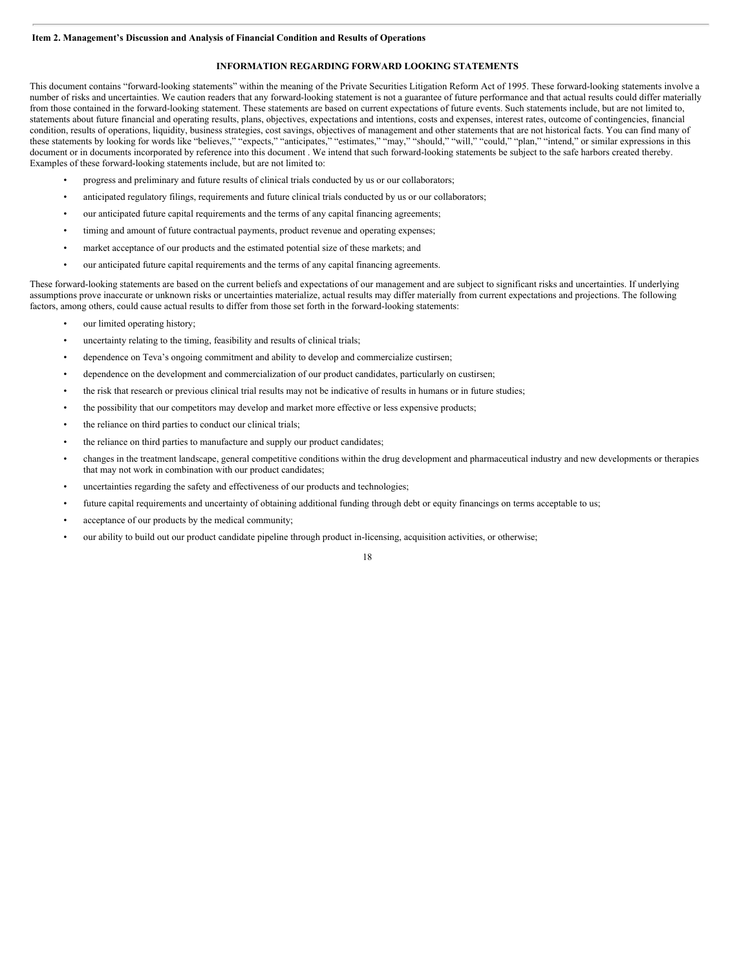## **INFORMATION REGARDING FORWARD LOOKING STATEMENTS**

<span id="page-17-0"></span>This document contains "forward-looking statements" within the meaning of the Private Securities Litigation Reform Act of 1995. These forward-looking statements involve a number of risks and uncertainties. We caution readers that any forward-looking statement is not a guarantee of future performance and that actual results could differ materially from those contained in the forward-looking statement. These statements are based on current expectations of future events. Such statements include, but are not limited to, statements about future financial and operating results, plans, objectives, expectations and intentions, costs and expenses, interest rates, outcome of contingencies, financial condition, results of operations, liquidity, business strategies, cost savings, objectives of management and other statements that are not historical facts. You can find many of these statements by looking for words like "believes," "expects," "anticipates," "estimates," "may," "should," "will," "could," "plan," "intend," or similar expressions in this document or in documents incorporated by reference into this document . We intend that such forward-looking statements be subject to the safe harbors created thereby. Examples of these forward-looking statements include, but are not limited to:

- progress and preliminary and future results of clinical trials conducted by us or our collaborators;
- anticipated regulatory filings, requirements and future clinical trials conducted by us or our collaborators;
- our anticipated future capital requirements and the terms of any capital financing agreements;
- timing and amount of future contractual payments, product revenue and operating expenses;
- market acceptance of our products and the estimated potential size of these markets; and
- our anticipated future capital requirements and the terms of any capital financing agreements.

These forward-looking statements are based on the current beliefs and expectations of our management and are subject to significant risks and uncertainties. If underlying assumptions prove inaccurate or unknown risks or uncertainties materialize, actual results may differ materially from current expectations and projections. The following factors, among others, could cause actual results to differ from those set forth in the forward-looking statements:

- our limited operating history;
- uncertainty relating to the timing, feasibility and results of clinical trials;
- dependence on Teva's ongoing commitment and ability to develop and commercialize custirsen;
- dependence on the development and commercialization of our product candidates, particularly on custirsen;
- the risk that research or previous clinical trial results may not be indicative of results in humans or in future studies;
- the possibility that our competitors may develop and market more effective or less expensive products;
- the reliance on third parties to conduct our clinical trials;
- the reliance on third parties to manufacture and supply our product candidates;
- changes in the treatment landscape, general competitive conditions within the drug development and pharmaceutical industry and new developments or therapies that may not work in combination with our product candidates;
- uncertainties regarding the safety and effectiveness of our products and technologies;
- future capital requirements and uncertainty of obtaining additional funding through debt or equity financings on terms acceptable to us;
- acceptance of our products by the medical community;
- our ability to build out our product candidate pipeline through product in-licensing, acquisition activities, or otherwise;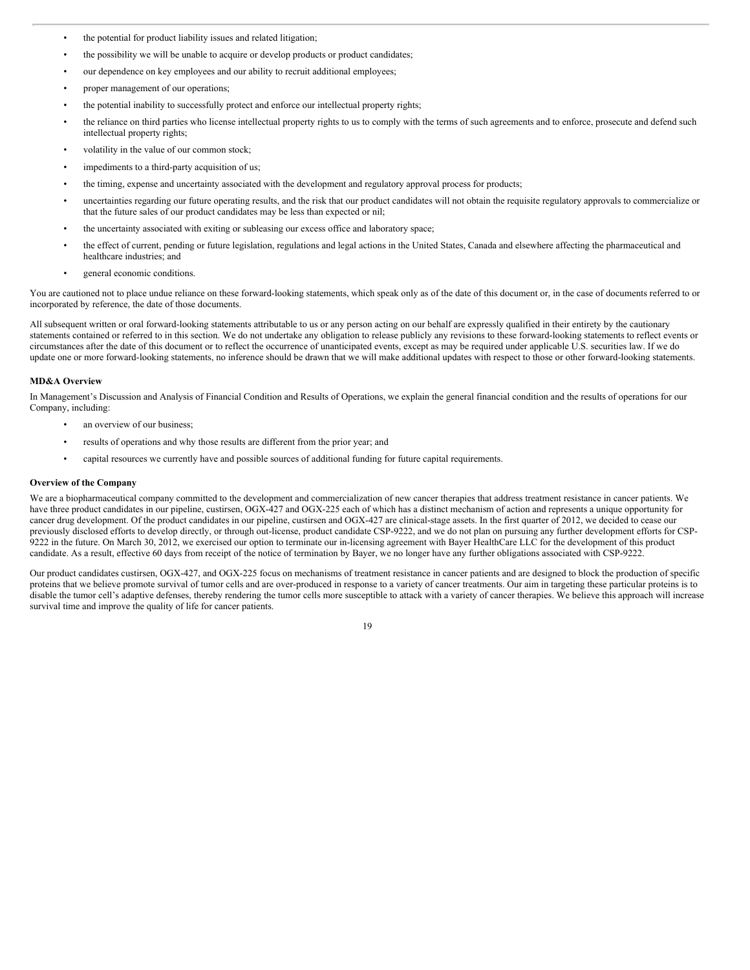- the potential for product liability issues and related litigation;
- the possibility we will be unable to acquire or develop products or product candidates;
- our dependence on key employees and our ability to recruit additional employees;
- proper management of our operations;
- the potential inability to successfully protect and enforce our intellectual property rights;
- the reliance on third parties who license intellectual property rights to us to comply with the terms of such agreements and to enforce, prosecute and defend such intellectual property rights;
- volatility in the value of our common stock;
- impediments to a third-party acquisition of us;
- the timing, expense and uncertainty associated with the development and regulatory approval process for products;
- uncertainties regarding our future operating results, and the risk that our product candidates will not obtain the requisite regulatory approvals to commercialize or that the future sales of our product candidates may be less than expected or nil;
- the uncertainty associated with exiting or subleasing our excess office and laboratory space;
- the effect of current, pending or future legislation, regulations and legal actions in the United States, Canada and elsewhere affecting the pharmaceutical and healthcare industries; and
- general economic conditions.

You are cautioned not to place undue reliance on these forward-looking statements, which speak only as of the date of this document or, in the case of documents referred to or incorporated by reference, the date of those documents.

All subsequent written or oral forward-looking statements attributable to us or any person acting on our behalf are expressly qualified in their entirety by the cautionary statements contained or referred to in this section. We do not undertake any obligation to release publicly any revisions to these forward-looking statements to reflect events or circumstances after the date of this document or to reflect the occurrence of unanticipated events, except as may be required under applicable U.S. securities law. If we do update one or more forward-looking statements, no inference should be drawn that we will make additional updates with respect to those or other forward-looking statements.

#### **MD&A Overview**

In Management's Discussion and Analysis of Financial Condition and Results of Operations, we explain the general financial condition and the results of operations for our Company, including:

- an overview of our business;
- results of operations and why those results are different from the prior year; and
- capital resources we currently have and possible sources of additional funding for future capital requirements.

#### **Overview of the Company**

We are a biopharmaceutical company committed to the development and commercialization of new cancer therapies that address treatment resistance in cancer patients. We have three product candidates in our pipeline, custirsen, OGX-427 and OGX-225 each of which has a distinct mechanism of action and represents a unique opportunity for cancer drug development. Of the product candidates in our pipeline, custirsen and OGX-427 are clinical-stage assets. In the first quarter of 2012, we decided to cease our previously disclosed efforts to develop directly, or through out-license, product candidate CSP-9222, and we do not plan on pursuing any further development efforts for CSP-9222 in the future. On March 30, 2012, we exercised our option to terminate our in-licensing agreement with Bayer HealthCare LLC for the development of this product candidate. As a result, effective 60 days from receipt of the notice of termination by Bayer, we no longer have any further obligations associated with CSP-9222.

Our product candidates custirsen, OGX-427, and OGX-225 focus on mechanisms of treatment resistance in cancer patients and are designed to block the production of specific proteins that we believe promote survival of tumor cells and are over-produced in response to a variety of cancer treatments. Our aim in targeting these particular proteins is to disable the tumor cell's adaptive defenses, thereby rendering the tumor cells more susceptible to attack with a variety of cancer therapies. We believe this approach will increase survival time and improve the quality of life for cancer patients.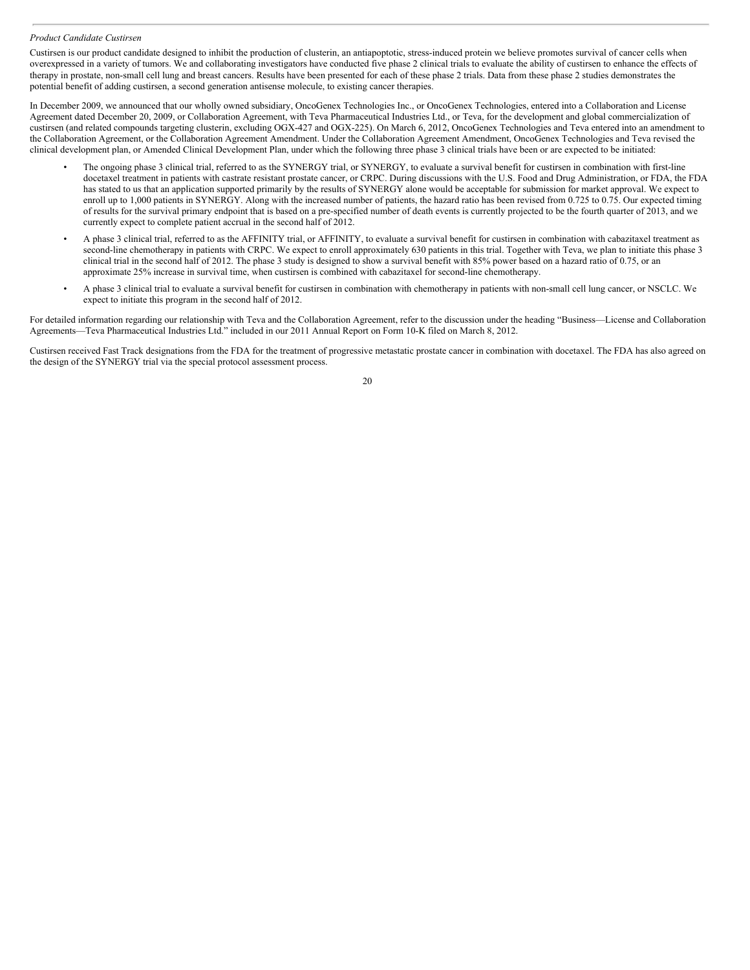#### *Product Candidate Custirsen*

Custirsen is our product candidate designed to inhibit the production of clusterin, an antiapoptotic, stress-induced protein we believe promotes survival of cancer cells when overexpressed in a variety of tumors. We and collaborating investigators have conducted five phase 2 clinical trials to evaluate the ability of custirsen to enhance the effects of therapy in prostate, non-small cell lung and breast cancers. Results have been presented for each of these phase 2 trials. Data from these phase 2 studies demonstrates the potential benefit of adding custirsen, a second generation antisense molecule, to existing cancer therapies.

In December 2009, we announced that our wholly owned subsidiary, OncoGenex Technologies Inc., or OncoGenex Technologies, entered into a Collaboration and License Agreement dated December 20, 2009, or Collaboration Agreement, with Teva Pharmaceutical Industries Ltd., or Teva, for the development and global commercialization of custirsen (and related compounds targeting clusterin, excluding OGX-427 and OGX-225). On March 6, 2012, OncoGenex Technologies and Teva entered into an amendment to the Collaboration Agreement, or the Collaboration Agreement Amendment. Under the Collaboration Agreement Amendment, OncoGenex Technologies and Teva revised the clinical development plan, or Amended Clinical Development Plan, under which the following three phase 3 clinical trials have been or are expected to be initiated:

- The ongoing phase 3 clinical trial, referred to as the SYNERGY trial, or SYNERGY, to evaluate a survival benefit for custirsen in combination with first-line docetaxel treatment in patients with castrate resistant prostate cancer, or CRPC. During discussions with the U.S. Food and Drug Administration, or FDA, the FDA has stated to us that an application supported primarily by the results of SYNERGY alone would be acceptable for submission for market approval. We expect to enroll up to 1,000 patients in SYNERGY. Along with the increased number of patients, the hazard ratio has been revised from 0.725 to 0.75. Our expected timing of results for the survival primary endpoint that is based on a pre-specified number of death events is currently projected to be the fourth quarter of 2013, and we currently expect to complete patient accrual in the second half of 2012.
- A phase 3 clinical trial, referred to as the AFFINITY trial, or AFFINITY, to evaluate a survival benefit for custirsen in combination with cabazitaxel treatment as second-line chemotherapy in patients with CRPC. We expect to enroll approximately 630 patients in this trial. Together with Teva, we plan to initiate this phase 3 clinical trial in the second half of 2012. The phase 3 study is designed to show a survival benefit with 85% power based on a hazard ratio of 0.75, or an approximate 25% increase in survival time, when custirsen is combined with cabazitaxel for second-line chemotherapy.
- A phase 3 clinical trial to evaluate a survival benefit for custirsen in combination with chemotherapy in patients with non-small cell lung cancer, or NSCLC. We expect to initiate this program in the second half of 2012.

For detailed information regarding our relationship with Teva and the Collaboration Agreement, refer to the discussion under the heading "Business—License and Collaboration Agreements—Teva Pharmaceutical Industries Ltd." included in our 2011 Annual Report on Form 10-K filed on March 8, 2012.

Custirsen received Fast Track designations from the FDA for the treatment of progressive metastatic prostate cancer in combination with docetaxel. The FDA has also agreed on the design of the SYNERGY trial via the special protocol assessment process.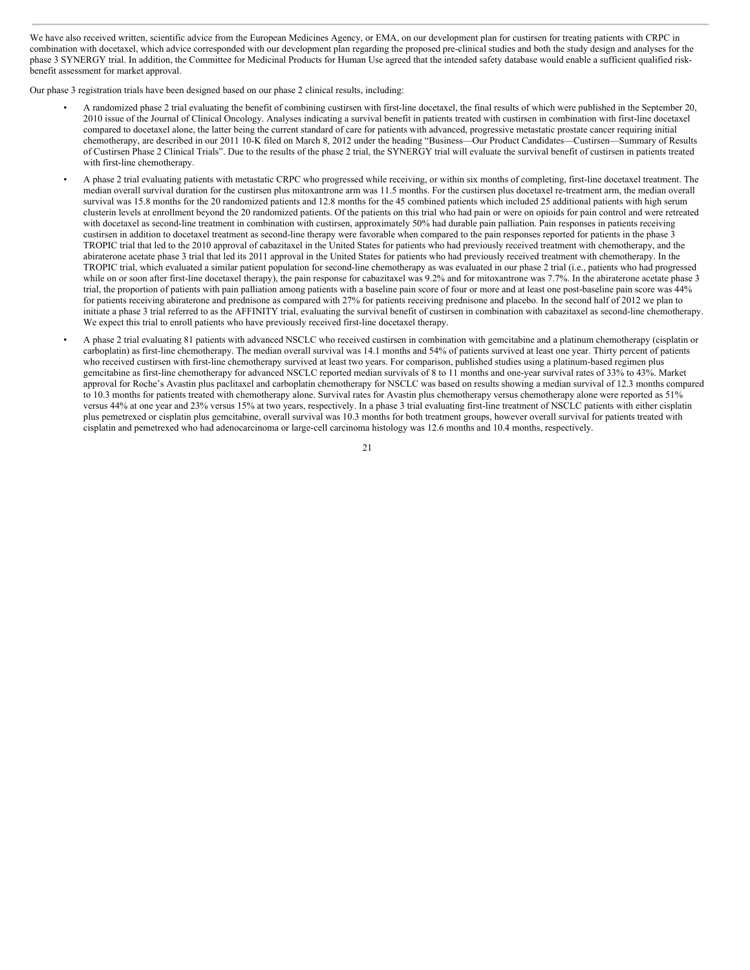We have also received written, scientific advice from the European Medicines Agency, or EMA, on our development plan for custirsen for treating patients with CRPC in combination with docetaxel, which advice corresponded with our development plan regarding the proposed pre-clinical studies and both the study design and analyses for the phase 3 SYNERGY trial. In addition, the Committee for Medicinal Products for Human Use agreed that the intended safety database would enable a sufficient qualified riskbenefit assessment for market approval.

Our phase 3 registration trials have been designed based on our phase 2 clinical results, including:

- A randomized phase 2 trial evaluating the benefit of combining custirsen with first-line docetaxel, the final results of which were published in the September 20, 2010 issue of the Journal of Clinical Oncology. Analyses indicating a survival benefit in patients treated with custirsen in combination with first-line docetaxel compared to docetaxel alone, the latter being the current standard of care for patients with advanced, progressive metastatic prostate cancer requiring initial chemotherapy, are described in our 2011 10-K filed on March 8, 2012 under the heading "Business—Our Product Candidates—Custirsen—Summary of Results of Custirsen Phase 2 Clinical Trials". Due to the results of the phase 2 trial, the SYNERGY trial will evaluate the survival benefit of custirsen in patients treated with first-line chemotherapy.
- A phase 2 trial evaluating patients with metastatic CRPC who progressed while receiving, or within six months of completing, first-line docetaxel treatment. The median overall survival duration for the custirsen plus mitoxantrone arm was 11.5 months. For the custirsen plus docetaxel re-treatment arm, the median overall survival was 15.8 months for the 20 randomized patients and 12.8 months for the 45 combined patients which included 25 additional patients with high serum clusterin levels at enrollment beyond the 20 randomized patients. Of the patients on this trial who had pain or were on opioids for pain control and were retreated with docetaxel as second-line treatment in combination with custirsen, approximately 50% had durable pain palliation. Pain responses in patients receiving custirsen in addition to docetaxel treatment as second-line therapy were favorable when compared to the pain responses reported for patients in the phase 3 TROPIC trial that led to the 2010 approval of cabazitaxel in the United States for patients who had previously received treatment with chemotherapy, and the abiraterone acetate phase 3 trial that led its 2011 approval in the United States for patients who had previously received treatment with chemotherapy. In the TROPIC trial, which evaluated a similar patient population for second-line chemotherapy as was evaluated in our phase 2 trial (i.e., patients who had progressed while on or soon after first-line docetaxel therapy), the pain response for cabazitaxel was 9.2% and for mitoxantrone was 7.7%. In the abiraterone acetate phase 3 trial, the proportion of patients with pain palliation among patients with a baseline pain score of four or more and at least one post-baseline pain score was 44% for patients receiving abiraterone and prednisone as compared with 27% for patients receiving prednisone and placebo. In the second half of 2012 we plan to initiate a phase 3 trial referred to as the AFFINITY trial, evaluating the survival benefit of custirsen in combination with cabazitaxel as second-line chemotherapy. We expect this trial to enroll patients who have previously received first-line docetaxel therapy.
- A phase 2 trial evaluating 81 patients with advanced NSCLC who received custirsen in combination with gemcitabine and a platinum chemotherapy (cisplatin or carboplatin) as first-line chemotherapy. The median overall survival was 14.1 months and 54% of patients survived at least one year. Thirty percent of patients who received custirsen with first-line chemotherapy survived at least two years. For comparison, published studies using a platinum-based regimen plus gemcitabine as first-line chemotherapy for advanced NSCLC reported median survivals of 8 to 11 months and one-year survival rates of 33% to 43%. Market approval for Roche's Avastin plus paclitaxel and carboplatin chemotherapy for NSCLC was based on results showing a median survival of 12.3 months compared to 10.3 months for patients treated with chemotherapy alone. Survival rates for Avastin plus chemotherapy versus chemotherapy alone were reported as 51% versus 44% at one year and 23% versus 15% at two years, respectively. In a phase 3 trial evaluating first-line treatment of NSCLC patients with either cisplatin plus pemetrexed or cisplatin plus gemcitabine, overall survival was 10.3 months for both treatment groups, however overall survival for patients treated with cisplatin and pemetrexed who had adenocarcinoma or large-cell carcinoma histology was 12.6 months and 10.4 months, respectively.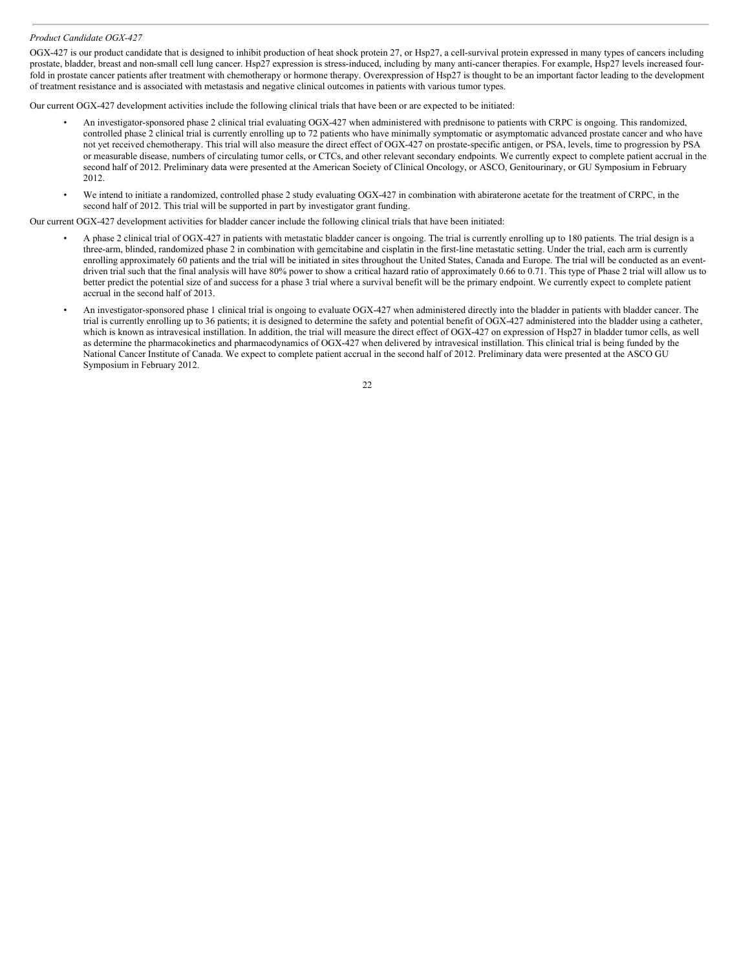#### *Product Candidate OGX-427*

OGX-427 is our product candidate that is designed to inhibit production of heat shock protein 27, or Hsp27, a cell-survival protein expressed in many types of cancers including prostate, bladder, breast and non-small cell lung cancer. Hsp27 expression is stress-induced, including by many anti-cancer therapies. For example, Hsp27 levels increased fourfold in prostate cancer patients after treatment with chemotherapy or hormone therapy. Overexpression of Hsp27 is thought to be an important factor leading to the development of treatment resistance and is associated with metastasis and negative clinical outcomes in patients with various tumor types.

Our current OGX-427 development activities include the following clinical trials that have been or are expected to be initiated:

- An investigator-sponsored phase 2 clinical trial evaluating OGX-427 when administered with prednisone to patients with CRPC is ongoing. This randomized, controlled phase 2 clinical trial is currently enrolling up to 72 patients who have minimally symptomatic or asymptomatic advanced prostate cancer and who have not yet received chemotherapy. This trial will also measure the direct effect of OGX-427 on prostate-specific antigen, or PSA, levels, time to progression by PSA or measurable disease, numbers of circulating tumor cells, or CTCs, and other relevant secondary endpoints. We currently expect to complete patient accrual in the second half of 2012. Preliminary data were presented at the American Society of Clinical Oncology, or ASCO, Genitourinary, or GU Symposium in February 2012.
- We intend to initiate a randomized, controlled phase 2 study evaluating OGX-427 in combination with abiraterone acetate for the treatment of CRPC, in the second half of 2012. This trial will be supported in part by investigator grant funding.

Our current OGX-427 development activities for bladder cancer include the following clinical trials that have been initiated:

- A phase 2 clinical trial of OGX-427 in patients with metastatic bladder cancer is ongoing. The trial is currently enrolling up to 180 patients. The trial design is a three-arm, blinded, randomized phase 2 in combination with gemcitabine and cisplatin in the first-line metastatic setting. Under the trial, each arm is currently enrolling approximately 60 patients and the trial will be initiated in sites throughout the United States, Canada and Europe. The trial will be conducted as an eventdriven trial such that the final analysis will have 80% power to show a critical hazard ratio of approximately 0.66 to 0.71. This type of Phase 2 trial will allow us to better predict the potential size of and success for a phase 3 trial where a survival benefit will be the primary endpoint. We currently expect to complete patient accrual in the second half of 2013.
- An investigator-sponsored phase 1 clinical trial is ongoing to evaluate OGX-427 when administered directly into the bladder in patients with bladder cancer. The trial is currently enrolling up to 36 patients; it is designed to determine the safety and potential benefit of OGX-427 administered into the bladder using a catheter, which is known as intravesical instillation. In addition, the trial will measure the direct effect of OGX-427 on expression of Hsp27 in bladder tumor cells, as well as determine the pharmacokinetics and pharmacodynamics of OGX-427 when delivered by intravesical instillation. This clinical trial is being funded by the National Cancer Institute of Canada. We expect to complete patient accrual in the second half of 2012. Preliminary data were presented at the ASCO GU Symposium in February 2012.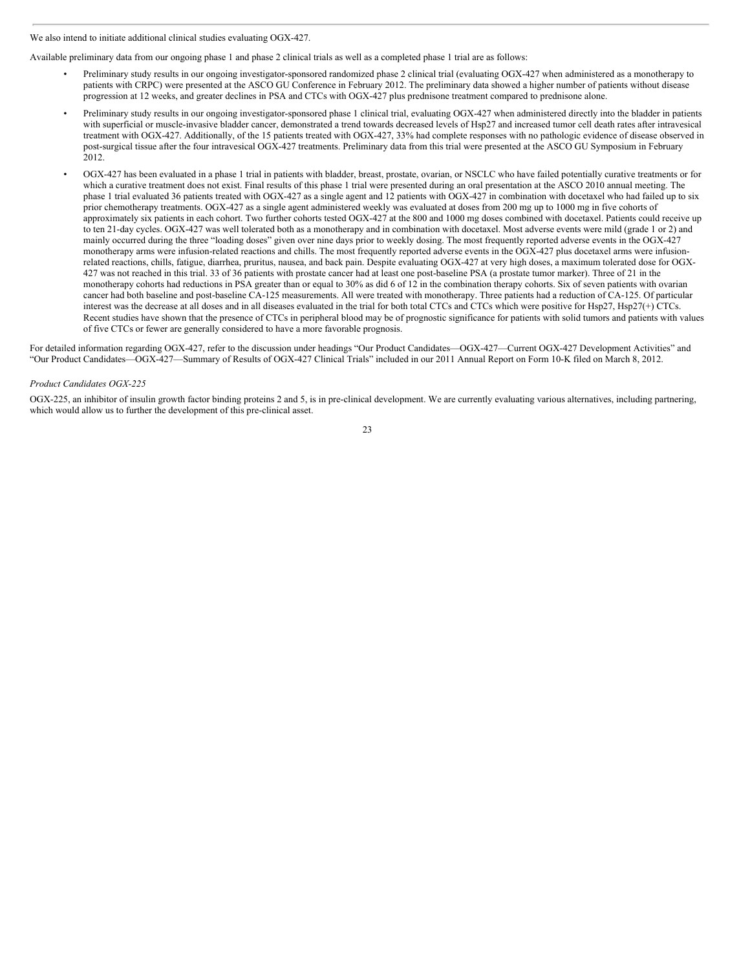We also intend to initiate additional clinical studies evaluating OGX-427.

Available preliminary data from our ongoing phase 1 and phase 2 clinical trials as well as a completed phase 1 trial are as follows:

- Preliminary study results in our ongoing investigator-sponsored randomized phase 2 clinical trial (evaluating OGX-427 when administered as a monotherapy to patients with CRPC) were presented at the ASCO GU Conference in February 2012. The preliminary data showed a higher number of patients without disease progression at 12 weeks, and greater declines in PSA and CTCs with OGX-427 plus prednisone treatment compared to prednisone alone.
- Preliminary study results in our ongoing investigator-sponsored phase 1 clinical trial, evaluating OGX-427 when administered directly into the bladder in patients with superficial or muscle-invasive bladder cancer, demonstrated a trend towards decreased levels of Hsp27 and increased tumor cell death rates after intravesical treatment with OGX-427. Additionally, of the 15 patients treated with OGX-427, 33% had complete responses with no pathologic evidence of disease observed in post-surgical tissue after the four intravesical OGX-427 treatments. Preliminary data from this trial were presented at the ASCO GU Symposium in February 2012.
- OGX-427 has been evaluated in a phase 1 trial in patients with bladder, breast, prostate, ovarian, or NSCLC who have failed potentially curative treatments or for which a curative treatment does not exist. Final results of this phase 1 trial were presented during an oral presentation at the ASCO 2010 annual meeting. The phase 1 trial evaluated 36 patients treated with OGX-427 as a single agent and 12 patients with OGX-427 in combination with docetaxel who had failed up to six prior chemotherapy treatments. OGX-427 as a single agent administered weekly was evaluated at doses from 200 mg up to 1000 mg in five cohorts of approximately six patients in each cohort. Two further cohorts tested OGX-427 at the 800 and 1000 mg doses combined with docetaxel. Patients could receive up to ten 21-day cycles. OGX-427 was well tolerated both as a monotherapy and in combination with docetaxel. Most adverse events were mild (grade 1 or 2) and mainly occurred during the three "loading doses" given over nine days prior to weekly dosing. The most frequently reported adverse events in the OGX-427 monotherapy arms were infusion-related reactions and chills. The most frequently reported adverse events in the OGX-427 plus docetaxel arms were infusionrelated reactions, chills, fatigue, diarrhea, pruritus, nausea, and back pain. Despite evaluating OGX-427 at very high doses, a maximum tolerated dose for OGX-427 was not reached in this trial. 33 of 36 patients with prostate cancer had at least one post-baseline PSA (a prostate tumor marker). Three of 21 in the monotherapy cohorts had reductions in PSA greater than or equal to 30% as did 6 of 12 in the combination therapy cohorts. Six of seven patients with ovarian cancer had both baseline and post-baseline CA-125 measurements. All were treated with monotherapy. Three patients had a reduction of CA-125. Of particular interest was the decrease at all doses and in all diseases evaluated in the trial for both total CTCs and CTCs which were positive for Hsp27, Hsp27(+) CTCs. Recent studies have shown that the presence of CTCs in peripheral blood may be of prognostic significance for patients with solid tumors and patients with values of five CTCs or fewer are generally considered to have a more favorable prognosis.

For detailed information regarding OGX-427, refer to the discussion under headings "Our Product Candidates—OGX-427—Current OGX-427 Development Activities" and "Our Product Candidates—OGX-427—Summary of Results of OGX-427 Clinical Trials" included in our 2011 Annual Report on Form 10-K filed on March 8, 2012.

#### *Product Candidates OGX-225*

OGX-225, an inhibitor of insulin growth factor binding proteins 2 and 5, is in pre-clinical development. We are currently evaluating various alternatives, including partnering, which would allow us to further the development of this pre-clinical asset.

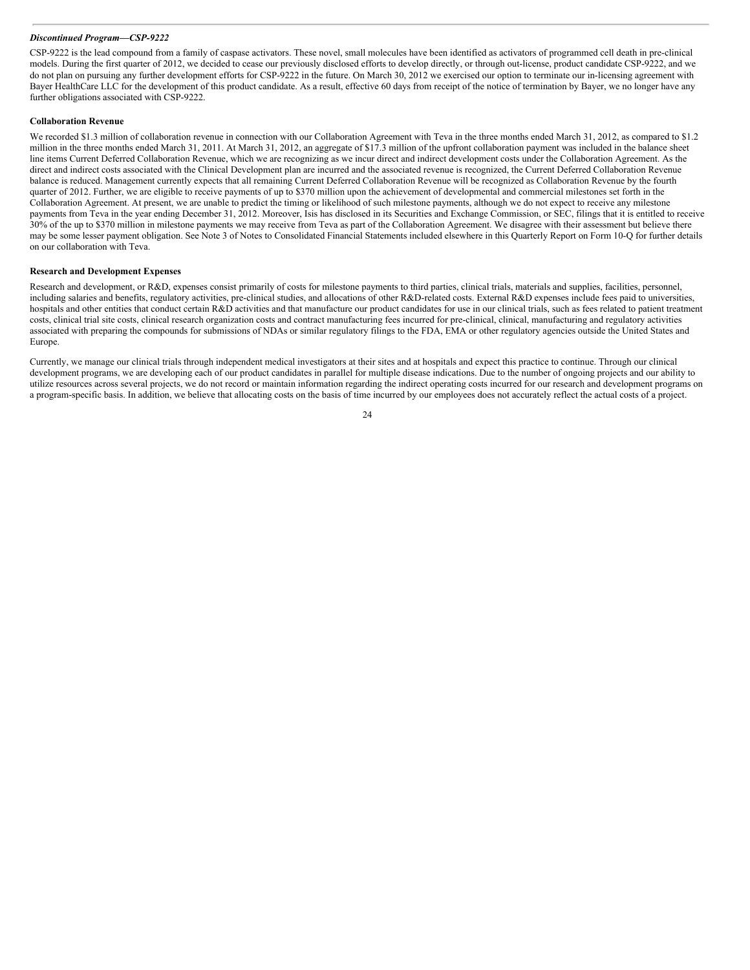## *Discontinued Program—CSP-9222*

CSP-9222 is the lead compound from a family of caspase activators. These novel, small molecules have been identified as activators of programmed cell death in pre-clinical models. During the first quarter of 2012, we decided to cease our previously disclosed efforts to develop directly, or through out-license, product candidate CSP-9222, and we do not plan on pursuing any further development efforts for CSP-9222 in the future. On March 30, 2012 we exercised our option to terminate our in-licensing agreement with Bayer HealthCare LLC for the development of this product candidate. As a result, effective 60 days from receipt of the notice of termination by Bayer, we no longer have any further obligations associated with CSP-9222.

#### **Collaboration Revenue**

We recorded \$1.3 million of collaboration revenue in connection with our Collaboration Agreement with Teva in the three months ended March 31, 2012, as compared to \$1.2 million in the three months ended March 31, 2011. At March 31, 2012, an aggregate of \$17.3 million of the upfront collaboration payment was included in the balance sheet line items Current Deferred Collaboration Revenue, which we are recognizing as we incur direct and indirect development costs under the Collaboration Agreement. As the direct and indirect costs associated with the Clinical Development plan are incurred and the associated revenue is recognized, the Current Deferred Collaboration Revenue balance is reduced. Management currently expects that all remaining Current Deferred Collaboration Revenue will be recognized as Collaboration Revenue by the fourth quarter of 2012. Further, we are eligible to receive payments of up to \$370 million upon the achievement of developmental and commercial milestones set forth in the Collaboration Agreement. At present, we are unable to predict the timing or likelihood of such milestone payments, although we do not expect to receive any milestone payments from Teva in the year ending December 31, 2012. Moreover, Isis has disclosed in its Securities and Exchange Commission, or SEC, filings that it is entitled to receive 30% of the up to \$370 million in milestone payments we may receive from Teva as part of the Collaboration Agreement. We disagree with their assessment but believe there may be some lesser payment obligation. See Note 3 of Notes to Consolidated Financial Statements included elsewhere in this Quarterly Report on Form 10-Q for further details on our collaboration with Teva.

#### **Research and Development Expenses**

Research and development, or R&D, expenses consist primarily of costs for milestone payments to third parties, clinical trials, materials and supplies, facilities, personnel, including salaries and benefits, regulatory activities, pre-clinical studies, and allocations of other R&D-related costs. External R&D expenses include fees paid to universities, hospitals and other entities that conduct certain R&D activities and that manufacture our product candidates for use in our clinical trials, such as fees related to patient treatment costs, clinical trial site costs, clinical research organization costs and contract manufacturing fees incurred for pre-clinical, clinical, manufacturing and regulatory activities associated with preparing the compounds for submissions of NDAs or similar regulatory filings to the FDA, EMA or other regulatory agencies outside the United States and Europe.

Currently, we manage our clinical trials through independent medical investigators at their sites and at hospitals and expect this practice to continue. Through our clinical development programs, we are developing each of our product candidates in parallel for multiple disease indications. Due to the number of ongoing projects and our ability to utilize resources across several projects, we do not record or maintain information regarding the indirect operating costs incurred for our research and development programs on a program-specific basis. In addition, we believe that allocating costs on the basis of time incurred by our employees does not accurately reflect the actual costs of a project.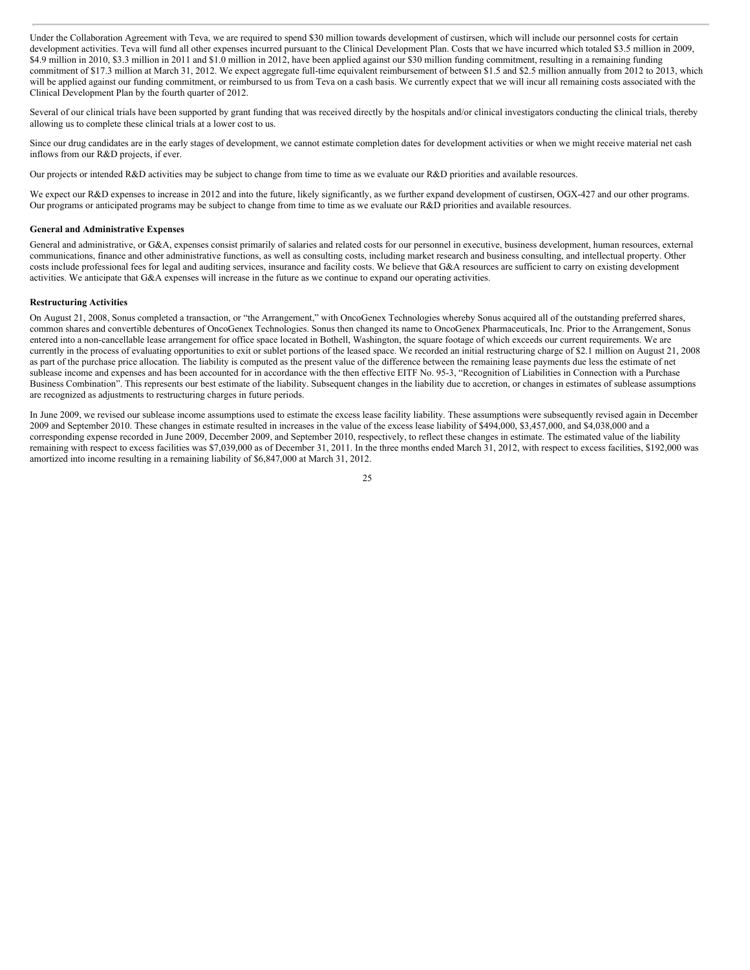Under the Collaboration Agreement with Teva, we are required to spend \$30 million towards development of custirsen, which will include our personnel costs for certain development activities. Teva will fund all other expenses incurred pursuant to the Clinical Development Plan. Costs that we have incurred which totaled \$3.5 million in 2009, \$4.9 million in 2010, \$3.3 million in 2011 and \$1.0 million in 2012, have been applied against our \$30 million funding commitment, resulting in a remaining funding commitment of \$17.3 million at March 31, 2012. We expect aggregate full-time equivalent reimbursement of between \$1.5 and \$2.5 million annually from 2012 to 2013, which will be applied against our funding commitment, or reimbursed to us from Teva on a cash basis. We currently expect that we will incur all remaining costs associated with the Clinical Development Plan by the fourth quarter of 2012.

Several of our clinical trials have been supported by grant funding that was received directly by the hospitals and/or clinical investigators conducting the clinical trials, thereby allowing us to complete these clinical trials at a lower cost to us.

Since our drug candidates are in the early stages of development, we cannot estimate completion dates for development activities or when we might receive material net cash inflows from our R&D projects, if ever.

Our projects or intended R&D activities may be subject to change from time to time as we evaluate our R&D priorities and available resources.

We expect our R&D expenses to increase in 2012 and into the future, likely significantly, as we further expand development of custirsen, OGX-427 and our other programs. Our programs or anticipated programs may be subject to change from time to time as we evaluate our R&D priorities and available resources.

#### **General and Administrative Expenses**

General and administrative, or G&A, expenses consist primarily of salaries and related costs for our personnel in executive, business development, human resources, external communications, finance and other administrative functions, as well as consulting costs, including market research and business consulting, and intellectual property. Other costs include professional fees for legal and auditing services, insurance and facility costs. We believe that G&A resources are sufficient to carry on existing development activities. We anticipate that G&A expenses will increase in the future as we continue to expand our operating activities.

#### **Restructuring Activities**

On August 21, 2008, Sonus completed a transaction, or "the Arrangement," with OncoGenex Technologies whereby Sonus acquired all of the outstanding preferred shares, common shares and convertible debentures of OncoGenex Technologies. Sonus then changed its name to OncoGenex Pharmaceuticals, Inc. Prior to the Arrangement, Sonus entered into a non-cancellable lease arrangement for office space located in Bothell, Washington, the square footage of which exceeds our current requirements. We are currently in the process of evaluating opportunities to exit or sublet portions of the leased space. We recorded an initial restructuring charge of \$2.1 million on August 21, 2008 as part of the purchase price allocation. The liability is computed as the present value of the difference between the remaining lease payments due less the estimate of net sublease income and expenses and has been accounted for in accordance with the then effective EITF No. 95-3, "Recognition of Liabilities in Connection with a Purchase Business Combination". This represents our best estimate of the liability. Subsequent changes in the liability due to accretion, or changes in estimates of sublease assumptions are recognized as adjustments to restructuring charges in future periods.

In June 2009, we revised our sublease income assumptions used to estimate the excess lease facility liability. These assumptions were subsequently revised again in December 2009 and September 2010. These changes in estimate resulted in increases in the value of the excess lease liability of \$494,000, \$3,457,000, and \$4,038,000 and a corresponding expense recorded in June 2009, December 2009, and September 2010, respectively, to reflect these changes in estimate. The estimated value of the liability remaining with respect to excess facilities was \$7,039,000 as of December 31, 2011. In the three months ended March 31, 2012, with respect to excess facilities, \$192,000 was amortized into income resulting in a remaining liability of \$6,847,000 at March 31, 2012.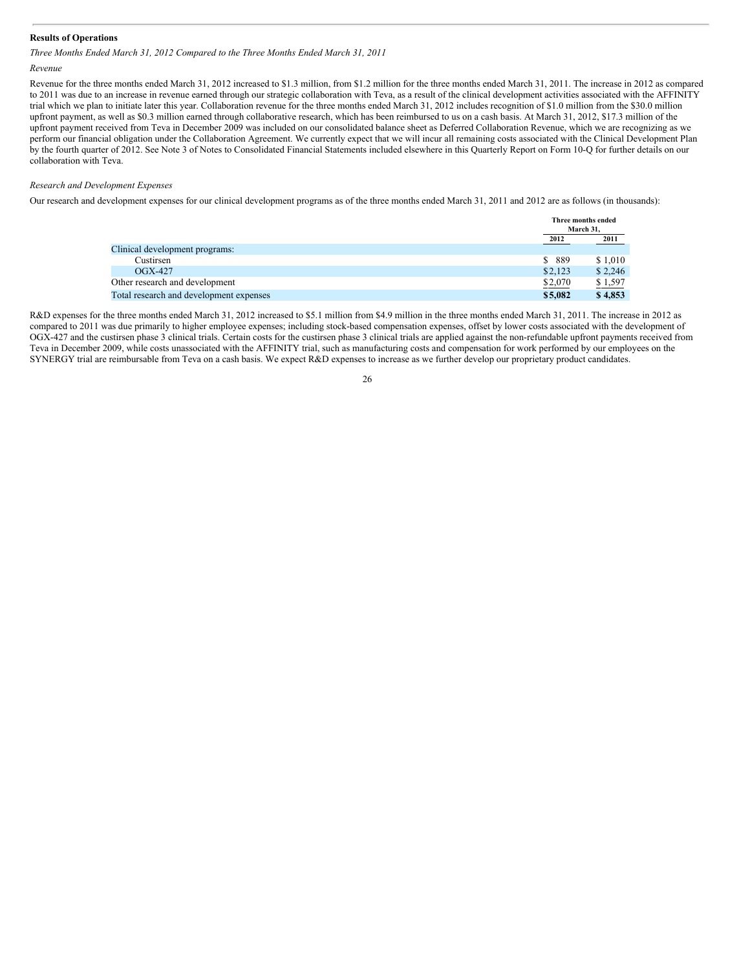#### **Results of Operations**

*Three Months Ended March 31, 2012 Compared to the Three Months Ended March 31, 2011*

#### *Revenue*

Revenue for the three months ended March 31, 2012 increased to \$1.3 million, from \$1.2 million for the three months ended March 31, 2011. The increase in 2012 as compared to 2011 was due to an increase in revenue earned through our strategic collaboration with Teva, as a result of the clinical development activities associated with the AFFINITY trial which we plan to initiate later this year. Collaboration revenue for the three months ended March 31, 2012 includes recognition of \$1.0 million from the \$30.0 million upfront payment, as well as \$0.3 million earned through collaborative research, which has been reimbursed to us on a cash basis. At March 31, 2012, \$17.3 million of the upfront payment received from Teva in December 2009 was included on our consolidated balance sheet as Deferred Collaboration Revenue, which we are recognizing as we perform our financial obligation under the Collaboration Agreement. We currently expect that we will incur all remaining costs associated with the Clinical Development Plan by the fourth quarter of 2012. See Note 3 of Notes to Consolidated Financial Statements included elsewhere in this Quarterly Report on Form 10-Q for further details on our collaboration with Teva.

#### *Research and Development Expenses*

Our research and development expenses for our clinical development programs as of the three months ended March 31, 2011 and 2012 are as follows (in thousands):

|                                         |         | Three months ended |  |
|-----------------------------------------|---------|--------------------|--|
|                                         |         | March 31.          |  |
|                                         | 2012    | 2011               |  |
| Clinical development programs:          |         |                    |  |
| Custirsen                               | \$ 889  | \$1.010            |  |
| $OGX-427$                               | \$2,123 | \$2,246            |  |
| Other research and development          | \$2,070 | \$1,597            |  |
| Total research and development expenses | \$5,082 | \$4,853            |  |

R&D expenses for the three months ended March 31, 2012 increased to \$5.1 million from \$4.9 million in the three months ended March 31, 2011. The increase in 2012 as compared to 2011 was due primarily to higher employee expenses; including stock-based compensation expenses, offset by lower costs associated with the development of OGX-427 and the custirsen phase 3 clinical trials. Certain costs for the custirsen phase 3 clinical trials are applied against the non-refundable upfront payments received from Teva in December 2009, while costs unassociated with the AFFINITY trial, such as manufacturing costs and compensation for work performed by our employees on the SYNERGY trial are reimbursable from Teva on a cash basis. We expect R&D expenses to increase as we further develop our proprietary product candidates.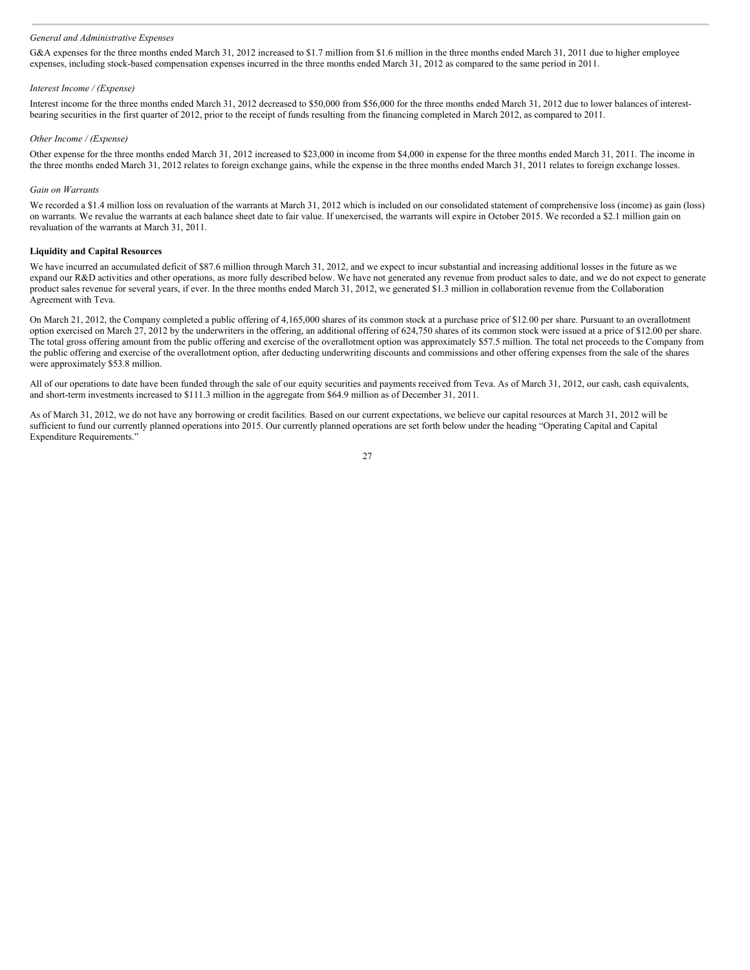#### *General and Administrative Expenses*

G&A expenses for the three months ended March 31, 2012 increased to \$1.7 million from \$1.6 million in the three months ended March 31, 2011 due to higher employee expenses, including stock-based compensation expenses incurred in the three months ended March 31, 2012 as compared to the same period in 2011.

#### *Interest Income / (Expense)*

Interest income for the three months ended March 31, 2012 decreased to \$50,000 from \$56,000 for the three months ended March 31, 2012 due to lower balances of interestbearing securities in the first quarter of 2012, prior to the receipt of funds resulting from the financing completed in March 2012, as compared to 2011.

#### *Other Income / (Expense)*

Other expense for the three months ended March 31, 2012 increased to \$23,000 in income from \$4,000 in expense for the three months ended March 31, 2011. The income in the three months ended March 31, 2012 relates to foreign exchange gains, while the expense in the three months ended March 31, 2011 relates to foreign exchange losses.

#### *Gain on Warrants*

We recorded a \$1.4 million loss on revaluation of the warrants at March 31, 2012 which is included on our consolidated statement of comprehensive loss (income) as gain (loss) on warrants. We revalue the warrants at each balance sheet date to fair value. If unexercised, the warrants will expire in October 2015. We recorded a \$2.1 million gain on revaluation of the warrants at March 31, 2011.

#### **Liquidity and Capital Resources**

We have incurred an accumulated deficit of \$87.6 million through March 31, 2012, and we expect to incur substantial and increasing additional losses in the future as we expand our R&D activities and other operations, as more fully described below. We have not generated any revenue from product sales to date, and we do not expect to generate product sales revenue for several years, if ever. In the three months ended March 31, 2012, we generated \$1.3 million in collaboration revenue from the Collaboration Agreement with Teva.

On March 21, 2012, the Company completed a public offering of 4,165,000 shares of its common stock at a purchase price of \$12.00 per share. Pursuant to an overallotment option exercised on March 27, 2012 by the underwriters in the offering, an additional offering of 624,750 shares of its common stock were issued at a price of \$12.00 per share. The total gross offering amount from the public offering and exercise of the overallotment option was approximately \$57.5 million. The total net proceeds to the Company from the public offering and exercise of the overallotment option, after deducting underwriting discounts and commissions and other offering expenses from the sale of the shares were approximately \$53.8 million.

All of our operations to date have been funded through the sale of our equity securities and payments received from Teva. As of March 31, 2012, our cash, cash equivalents, and short-term investments increased to \$111.3 million in the aggregate from \$64.9 million as of December 31, 2011.

As of March 31, 2012, we do not have any borrowing or credit facilities. Based on our current expectations, we believe our capital resources at March 31, 2012 will be sufficient to fund our currently planned operations into 2015. Our currently planned operations are set forth below under the heading "Operating Capital and Capital Expenditure Requirements."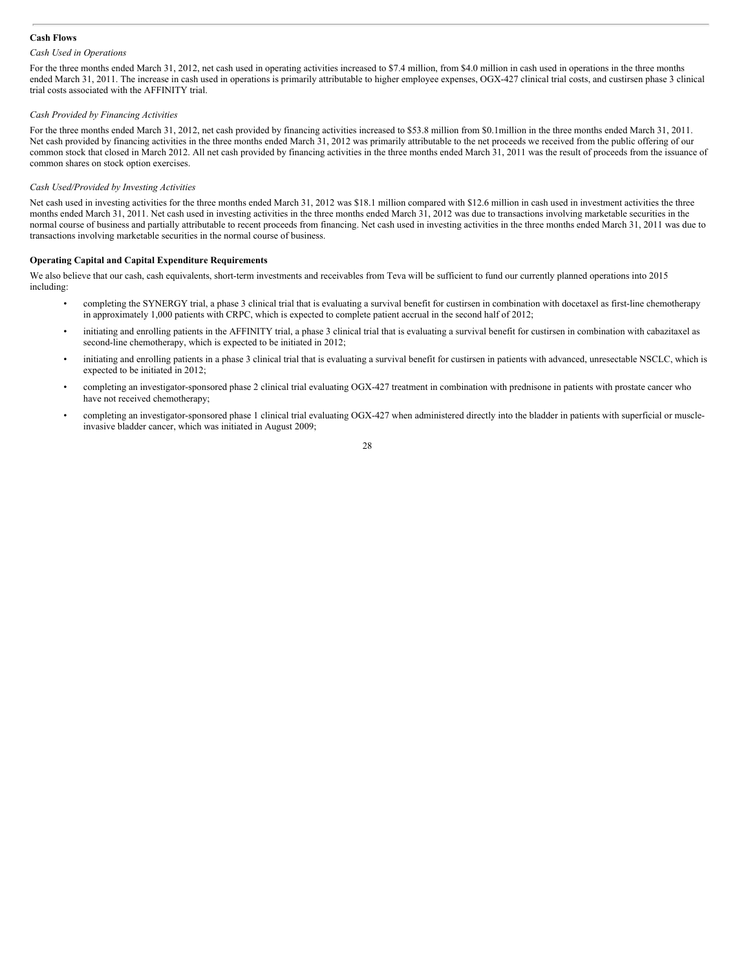#### **Cash Flows**

#### *Cash Used in Operations*

For the three months ended March 31, 2012, net cash used in operating activities increased to \$7.4 million, from \$4.0 million in cash used in operations in the three months ended March 31, 2011. The increase in cash used in operations is primarily attributable to higher employee expenses, OGX-427 clinical trial costs, and custirsen phase 3 clinical trial costs associated with the AFFINITY trial.

#### *Cash Provided by Financing Activities*

For the three months ended March 31, 2012, net cash provided by financing activities increased to \$53.8 million from \$0.1million in the three months ended March 31, 2011. Net cash provided by financing activities in the three months ended March 31, 2012 was primarily attributable to the net proceeds we received from the public offering of our common stock that closed in March 2012. All net cash provided by financing activities in the three months ended March 31, 2011 was the result of proceeds from the issuance of common shares on stock option exercises.

## *Cash Used/Provided by Investing Activities*

Net cash used in investing activities for the three months ended March 31, 2012 was \$18.1 million compared with \$12.6 million in cash used in investment activities the three months ended March 31, 2011. Net cash used in investing activities in the three months ended March 31, 2012 was due to transactions involving marketable securities in the normal course of business and partially attributable to recent proceeds from financing. Net cash used in investing activities in the three months ended March 31, 2011 was due to transactions involving marketable securities in the normal course of business.

## **Operating Capital and Capital Expenditure Requirements**

We also believe that our cash, cash equivalents, short-term investments and receivables from Teva will be sufficient to fund our currently planned operations into 2015 including:

- completing the SYNERGY trial, a phase 3 clinical trial that is evaluating a survival benefit for custirsen in combination with docetaxel as first-line chemotherapy in approximately 1,000 patients with CRPC, which is expected to complete patient accrual in the second half of 2012;
- initiating and enrolling patients in the AFFINITY trial, a phase 3 clinical trial that is evaluating a survival benefit for custirsen in combination with cabazitaxel as second-line chemotherapy, which is expected to be initiated in 2012;
- initiating and enrolling patients in a phase 3 clinical trial that is evaluating a survival benefit for custirsen in patients with advanced, unresectable NSCLC, which is expected to be initiated in 2012;
- completing an investigator-sponsored phase 2 clinical trial evaluating OGX-427 treatment in combination with prednisone in patients with prostate cancer who have not received chemotherapy;
- completing an investigator-sponsored phase 1 clinical trial evaluating OGX-427 when administered directly into the bladder in patients with superficial or muscleinvasive bladder cancer, which was initiated in August 2009;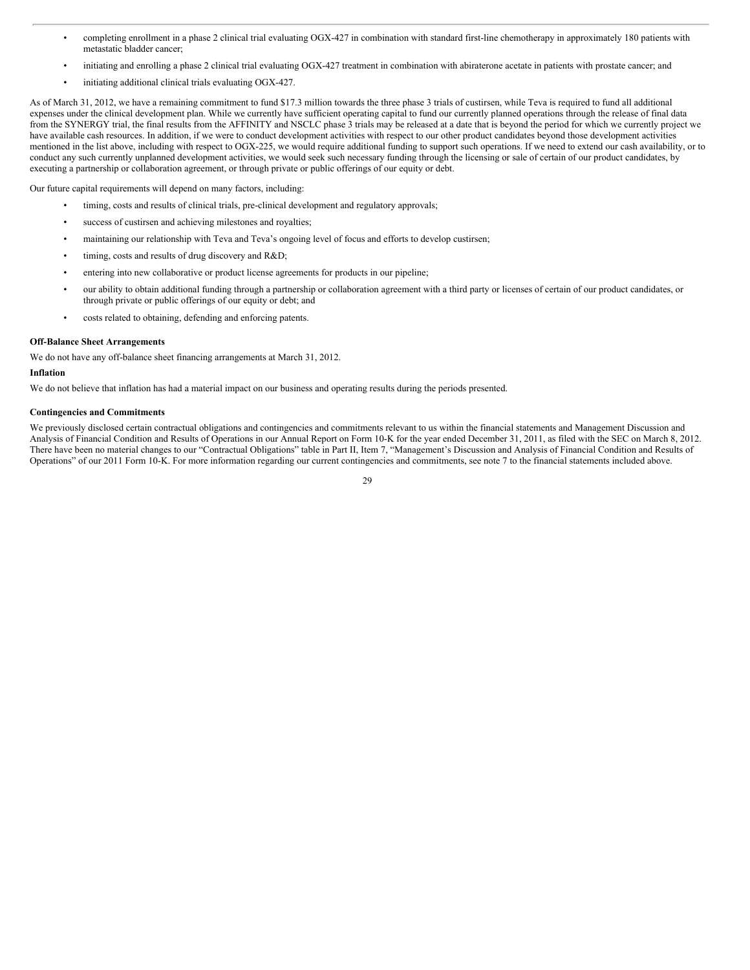- completing enrollment in a phase 2 clinical trial evaluating OGX-427 in combination with standard first-line chemotherapy in approximately 180 patients with metastatic bladder cancer;
- initiating and enrolling a phase 2 clinical trial evaluating OGX-427 treatment in combination with abiraterone acetate in patients with prostate cancer; and
- initiating additional clinical trials evaluating OGX-427.

As of March 31, 2012, we have a remaining commitment to fund \$17.3 million towards the three phase 3 trials of custirsen, while Teva is required to fund all additional expenses under the clinical development plan. While we currently have sufficient operating capital to fund our currently planned operations through the release of final data from the SYNERGY trial, the final results from the AFFINITY and NSCLC phase 3 trials may be released at a date that is beyond the period for which we currently project we have available cash resources. In addition, if we were to conduct development activities with respect to our other product candidates beyond those development activities mentioned in the list above, including with respect to OGX-225, we would require additional funding to support such operations. If we need to extend our cash availability, or to conduct any such currently unplanned development activities, we would seek such necessary funding through the licensing or sale of certain of our product candidates, by executing a partnership or collaboration agreement, or through private or public offerings of our equity or debt.

Our future capital requirements will depend on many factors, including:

- timing, costs and results of clinical trials, pre-clinical development and regulatory approvals;
- success of custirsen and achieving milestones and royalties;
- maintaining our relationship with Teva and Teva's ongoing level of focus and efforts to develop custirsen;
- timing, costs and results of drug discovery and R&D;
- entering into new collaborative or product license agreements for products in our pipeline;
- our ability to obtain additional funding through a partnership or collaboration agreement with a third party or licenses of certain of our product candidates, or through private or public offerings of our equity or debt; and
- costs related to obtaining, defending and enforcing patents.

#### **Off-Balance Sheet Arrangements**

We do not have any off-balance sheet financing arrangements at March 31, 2012.

## **Inflation**

We do not believe that inflation has had a material impact on our business and operating results during the periods presented.

#### **Contingencies and Commitments**

We previously disclosed certain contractual obligations and contingencies and commitments relevant to us within the financial statements and Management Discussion and Analysis of Financial Condition and Results of Operations in our Annual Report on Form 10-K for the year ended December 31, 2011, as filed with the SEC on March 8, 2012. There have been no material changes to our "Contractual Obligations" table in Part II, Item 7, "Management's Discussion and Analysis of Financial Condition and Results of Operations" of our 2011 Form 10-K. For more information regarding our current contingencies and commitments, see note 7 to the financial statements included above.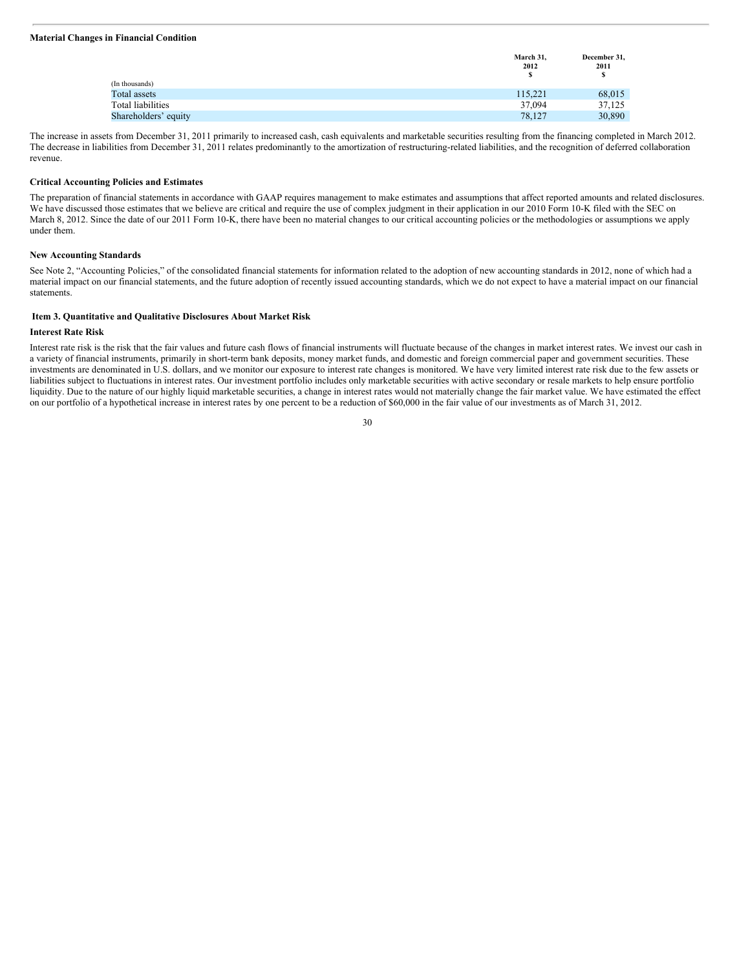## **Material Changes in Financial Condition**

|                      | March 31,<br>2012 | December 31,<br>2011 |
|----------------------|-------------------|----------------------|
| (In thousands)       |                   |                      |
| Total assets         | 115,221           | 68,015               |
| Total liabilities    | 37,094            | 37,125               |
| Shareholders' equity | 78,127            | 30,890               |

The increase in assets from December 31, 2011 primarily to increased cash, cash equivalents and marketable securities resulting from the financing completed in March 2012. The decrease in liabilities from December 31, 2011 relates predominantly to the amortization of restructuring-related liabilities, and the recognition of deferred collaboration revenue.

#### **Critical Accounting Policies and Estimates**

The preparation of financial statements in accordance with GAAP requires management to make estimates and assumptions that affect reported amounts and related disclosures. We have discussed those estimates that we believe are critical and require the use of complex judgment in their application in our 2010 Form 10-K filed with the SEC on March 8, 2012. Since the date of our 2011 Form 10-K, there have been no material changes to our critical accounting policies or the methodologies or assumptions we apply under them.

#### **New Accounting Standards**

See Note 2, "Accounting Policies," of the consolidated financial statements for information related to the adoption of new accounting standards in 2012, none of which had a material impact on our financial statements, and the future adoption of recently issued accounting standards, which we do not expect to have a material impact on our financial statements.

#### <span id="page-29-0"></span>**Item 3. Quantitative and Qualitative Disclosures About Market Risk**

#### **Interest Rate Risk**

Interest rate risk is the risk that the fair values and future cash flows of financial instruments will fluctuate because of the changes in market interest rates. We invest our cash in a variety of financial instruments, primarily in short-term bank deposits, money market funds, and domestic and foreign commercial paper and government securities. These investments are denominated in U.S. dollars, and we monitor our exposure to interest rate changes is monitored. We have very limited interest rate risk due to the few assets or liabilities subject to fluctuations in interest rates. Our investment portfolio includes only marketable securities with active secondary or resale markets to help ensure portfolio liquidity. Due to the nature of our highly liquid marketable securities, a change in interest rates would not materially change the fair market value. We have estimated the effect on our portfolio of a hypothetical increase in interest rates by one percent to be a reduction of \$60,000 in the fair value of our investments as of March 31, 2012.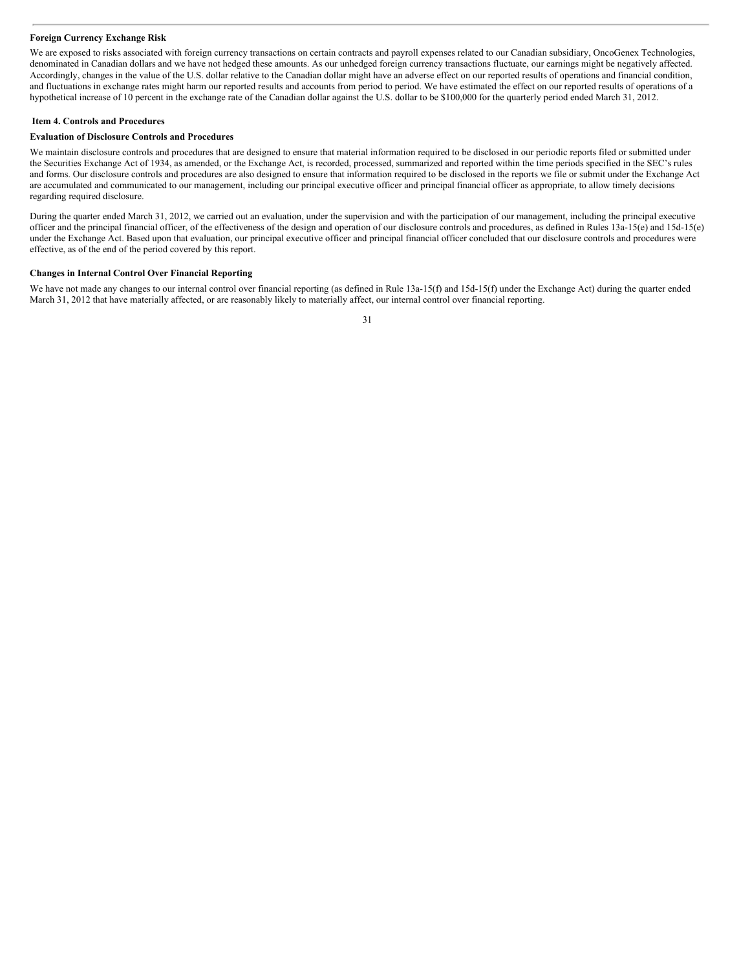#### **Foreign Currency Exchange Risk**

We are exposed to risks associated with foreign currency transactions on certain contracts and payroll expenses related to our Canadian subsidiary, OncoGenex Technologies, denominated in Canadian dollars and we have not hedged these amounts. As our unhedged foreign currency transactions fluctuate, our earnings might be negatively affected. Accordingly, changes in the value of the U.S. dollar relative to the Canadian dollar might have an adverse effect on our reported results of operations and financial condition, and fluctuations in exchange rates might harm our reported results and accounts from period to period. We have estimated the effect on our reported results of operations of a hypothetical increase of 10 percent in the exchange rate of the Canadian dollar against the U.S. dollar to be \$100,000 for the quarterly period ended March 31, 2012.

#### <span id="page-30-0"></span>**Item 4. Controls and Procedures**

## **Evaluation of Disclosure Controls and Procedures**

We maintain disclosure controls and procedures that are designed to ensure that material information required to be disclosed in our periodic reports filed or submitted under the Securities Exchange Act of 1934, as amended, or the Exchange Act, is recorded, processed, summarized and reported within the time periods specified in the SEC's rules and forms. Our disclosure controls and procedures are also designed to ensure that information required to be disclosed in the reports we file or submit under the Exchange Act are accumulated and communicated to our management, including our principal executive officer and principal financial officer as appropriate, to allow timely decisions regarding required disclosure.

During the quarter ended March 31, 2012, we carried out an evaluation, under the supervision and with the participation of our management, including the principal executive officer and the principal financial officer, of the effectiveness of the design and operation of our disclosure controls and procedures, as defined in Rules 13a-15(e) and 15d-15(e) under the Exchange Act. Based upon that evaluation, our principal executive officer and principal financial officer concluded that our disclosure controls and procedures were effective, as of the end of the period covered by this report.

#### **Changes in Internal Control Over Financial Reporting**

We have not made any changes to our internal control over financial reporting (as defined in Rule 13a-15(f) and 15d-15(f) under the Exchange Act) during the quarter ended March 31, 2012 that have materially affected, or are reasonably likely to materially affect, our internal control over financial reporting.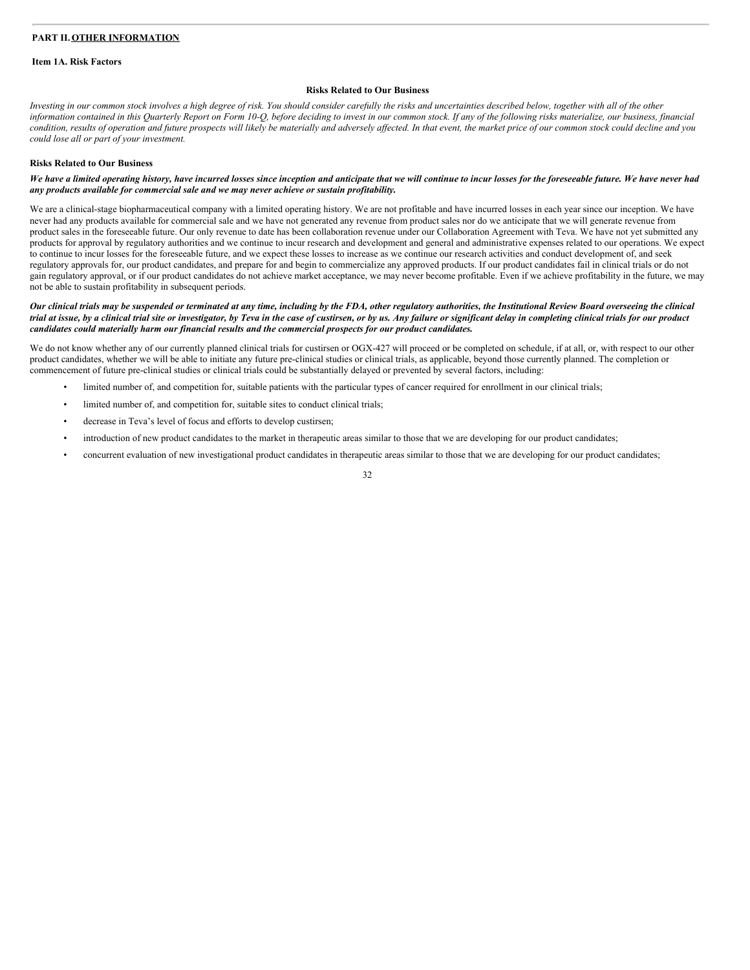#### <span id="page-31-0"></span>**PART II. OTHER INFORMATION**

#### <span id="page-31-1"></span>**Item 1A. Risk Factors**

#### **Risks Related to Our Business**

Investing in our common stock involves a high degree of risk. You should consider carefully the risks and uncertainties described below, together with all of the other information contained in this Quarterly Report on Form 10-Q, before deciding to invest in our common stock. If any of the following risks materialize, our business, financial condition, results of operation and future prospects will likely be materially and adversely affected. In that event, the market price of our common stock could decline and you *could lose all or part of your investment.*

#### **Risks Related to Our Business**

#### We have a limited operating history, have incurred losses since inception and anticipate that we will continue to incur losses for the foreseeable future. We have never had *any products available for commercial sale and we may never achieve or sustain profitability.*

We are a clinical-stage biopharmaceutical company with a limited operating history. We are not profitable and have incurred losses in each year since our inception. We have never had any products available for commercial sale and we have not generated any revenue from product sales nor do we anticipate that we will generate revenue from product sales in the foreseeable future. Our only revenue to date has been collaboration revenue under our Collaboration Agreement with Teva. We have not yet submitted any products for approval by regulatory authorities and we continue to incur research and development and general and administrative expenses related to our operations. We expect to continue to incur losses for the foreseeable future, and we expect these losses to increase as we continue our research activities and conduct development of, and seek regulatory approvals for, our product candidates, and prepare for and begin to commercialize any approved products. If our product candidates fail in clinical trials or do not gain regulatory approval, or if our product candidates do not achieve market acceptance, we may never become profitable. Even if we achieve profitability in the future, we may not be able to sustain profitability in subsequent periods.

#### Our clinical trials may be suspended or terminated at any time, including by the FDA, other regulatory authorities, the Institutional Review Board overseeing the clinical trial at issue, by a clinical trial site or investigator, by Teva in the case of custirsen, or by us. Any failure or significant delay in completing clinical trials for our product *candidates could materially harm our financial results and the commercial prospects for our product candidates.*

We do not know whether any of our currently planned clinical trials for custirsen or OGX-427 will proceed or be completed on schedule, if at all, or, with respect to our other product candidates, whether we will be able to initiate any future pre-clinical studies or clinical trials, as applicable, beyond those currently planned. The completion or commencement of future pre-clinical studies or clinical trials could be substantially delayed or prevented by several factors, including:

- limited number of, and competition for, suitable patients with the particular types of cancer required for enrollment in our clinical trials;
- limited number of, and competition for, suitable sites to conduct clinical trials;
- decrease in Teva's level of focus and efforts to develop custirsen;
- introduction of new product candidates to the market in therapeutic areas similar to those that we are developing for our product candidates;
- concurrent evaluation of new investigational product candidates in therapeutic areas similar to those that we are developing for our product candidates;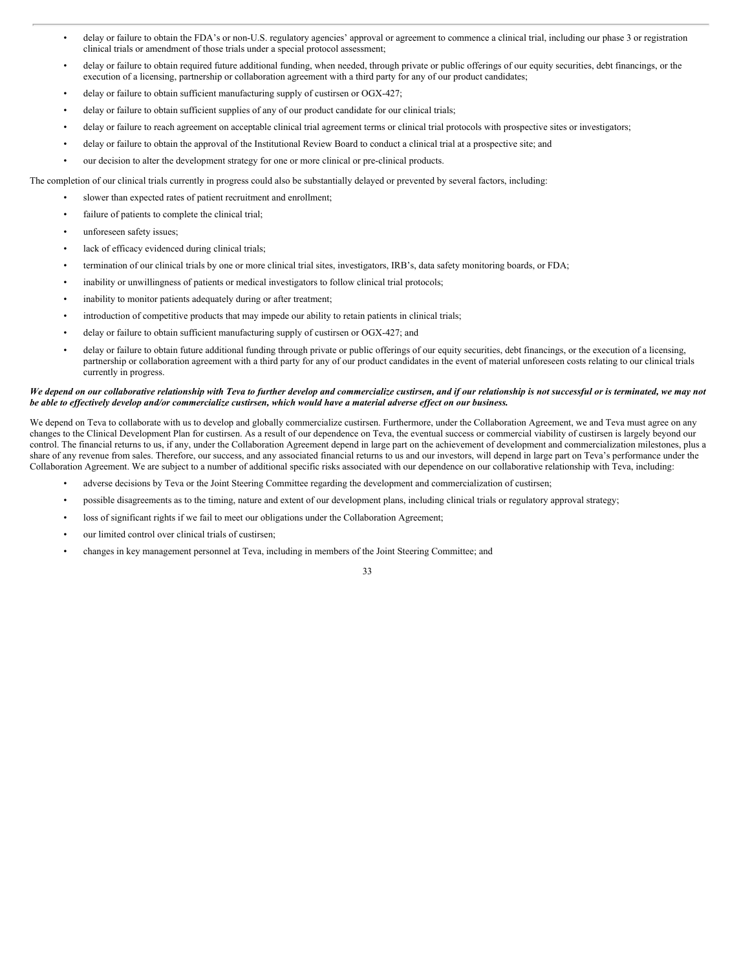- delay or failure to obtain the FDA's or non-U.S. regulatory agencies' approval or agreement to commence a clinical trial, including our phase 3 or registration clinical trials or amendment of those trials under a special protocol assessment;
- delay or failure to obtain required future additional funding, when needed, through private or public offerings of our equity securities, debt financings, or the execution of a licensing, partnership or collaboration agreement with a third party for any of our product candidates;
- delay or failure to obtain sufficient manufacturing supply of custirsen or OGX-427;
- delay or failure to obtain sufficient supplies of any of our product candidate for our clinical trials;
- delay or failure to reach agreement on acceptable clinical trial agreement terms or clinical trial protocols with prospective sites or investigators;
- delay or failure to obtain the approval of the Institutional Review Board to conduct a clinical trial at a prospective site; and
- our decision to alter the development strategy for one or more clinical or pre-clinical products.
- The completion of our clinical trials currently in progress could also be substantially delayed or prevented by several factors, including:
	- slower than expected rates of patient recruitment and enrollment;
	- failure of patients to complete the clinical trial;
	- unforeseen safety issues;
	- lack of efficacy evidenced during clinical trials;
	- termination of our clinical trials by one or more clinical trial sites, investigators, IRB's, data safety monitoring boards, or FDA;
	- inability or unwillingness of patients or medical investigators to follow clinical trial protocols;
	- inability to monitor patients adequately during or after treatment;
	- introduction of competitive products that may impede our ability to retain patients in clinical trials;
	- delay or failure to obtain sufficient manufacturing supply of custirsen or OGX-427; and
	- delay or failure to obtain future additional funding through private or public offerings of our equity securities, debt financings, or the execution of a licensing, partnership or collaboration agreement with a third party for any of our product candidates in the event of material unforeseen costs relating to our clinical trials currently in progress.

#### We depend on our collaborative relationship with Teva to further develop and commercialize custirsen, and if our relationship is not successful or is terminated, we may not be able to effectively develop and/or commercialize custirsen, which would have a material adverse effect on our business.

We depend on Teva to collaborate with us to develop and globally commercialize custirsen. Furthermore, under the Collaboration Agreement, we and Teva must agree on any changes to the Clinical Development Plan for custirsen. As a result of our dependence on Teva, the eventual success or commercial viability of custirsen is largely beyond our control. The financial returns to us, if any, under the Collaboration Agreement depend in large part on the achievement of development and commercialization milestones, plus a share of any revenue from sales. Therefore, our success, and any associated financial returns to us and our investors, will depend in large part on Teva's performance under the Collaboration Agreement. We are subject to a number of additional specific risks associated with our dependence on our collaborative relationship with Teva, including:

- adverse decisions by Teva or the Joint Steering Committee regarding the development and commercialization of custirsen;
- possible disagreements as to the timing, nature and extent of our development plans, including clinical trials or regulatory approval strategy;
- loss of significant rights if we fail to meet our obligations under the Collaboration Agreement;
- our limited control over clinical trials of custirsen;
- changes in key management personnel at Teva, including in members of the Joint Steering Committee; and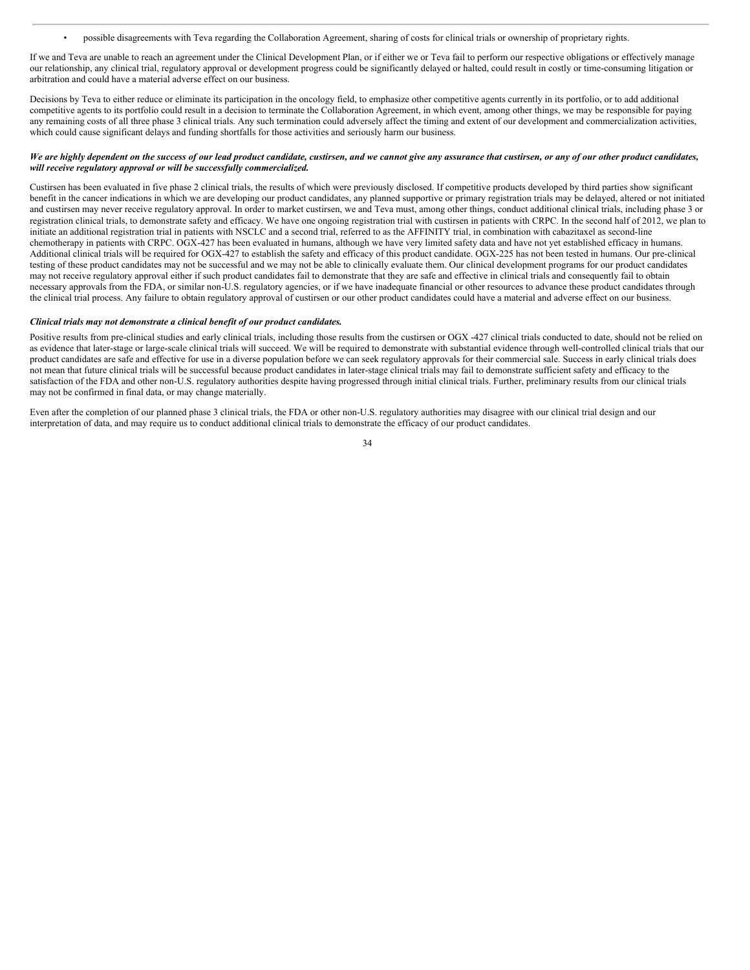• possible disagreements with Teva regarding the Collaboration Agreement, sharing of costs for clinical trials or ownership of proprietary rights.

If we and Teva are unable to reach an agreement under the Clinical Development Plan, or if either we or Teva fail to perform our respective obligations or effectively manage our relationship, any clinical trial, regulatory approval or development progress could be significantly delayed or halted, could result in costly or time-consuming litigation or arbitration and could have a material adverse effect on our business.

Decisions by Teva to either reduce or eliminate its participation in the oncology field, to emphasize other competitive agents currently in its portfolio, or to add additional competitive agents to its portfolio could result in a decision to terminate the Collaboration Agreement, in which event, among other things, we may be responsible for paying any remaining costs of all three phase 3 clinical trials. Any such termination could adversely affect the timing and extent of our development and commercialization activities, which could cause significant delays and funding shortfalls for those activities and seriously harm our business.

#### We are highly dependent on the success of our lead product candidate, custirsen, and we cannot give any assurance that custirsen, or any of our other product candidates, *will receive regulatory approval or will be successfully commercialized.*

Custirsen has been evaluated in five phase 2 clinical trials, the results of which were previously disclosed. If competitive products developed by third parties show significant benefit in the cancer indications in which we are developing our product candidates, any planned supportive or primary registration trials may be delayed, altered or not initiated and custirsen may never receive regulatory approval. In order to market custirsen, we and Teva must, among other things, conduct additional clinical trials, including phase 3 or registration clinical trials, to demonstrate safety and efficacy. We have one ongoing registration trial with custirsen in patients with CRPC. In the second half of 2012, we plan to initiate an additional registration trial in patients with NSCLC and a second trial, referred to as the AFFINITY trial, in combination with cabazitaxel as second-line chemotherapy in patients with CRPC. OGX-427 has been evaluated in humans, although we have very limited safety data and have not yet established efficacy in humans. Additional clinical trials will be required for OGX-427 to establish the safety and efficacy of this product candidate. OGX-225 has not been tested in humans. Our pre-clinical testing of these product candidates may not be successful and we may not be able to clinically evaluate them. Our clinical development programs for our product candidates may not receive regulatory approval either if such product candidates fail to demonstrate that they are safe and effective in clinical trials and consequently fail to obtain necessary approvals from the FDA, or similar non-U.S. regulatory agencies, or if we have inadequate financial or other resources to advance these product candidates through the clinical trial process. Any failure to obtain regulatory approval of custirsen or our other product candidates could have a material and adverse effect on our business.

#### *Clinical trials may not demonstrate a clinical benefit of our product candidates.*

Positive results from pre-clinical studies and early clinical trials, including those results from the custirsen or OGX -427 clinical trials conducted to date, should not be relied on as evidence that later-stage or large-scale clinical trials will succeed. We will be required to demonstrate with substantial evidence through well-controlled clinical trials that our product candidates are safe and effective for use in a diverse population before we can seek regulatory approvals for their commercial sale. Success in early clinical trials does not mean that future clinical trials will be successful because product candidates in later-stage clinical trials may fail to demonstrate sufficient safety and efficacy to the satisfaction of the FDA and other non-U.S. regulatory authorities despite having progressed through initial clinical trials. Further, preliminary results from our clinical trials may not be confirmed in final data, or may change materially.

Even after the completion of our planned phase 3 clinical trials, the FDA or other non-U.S. regulatory authorities may disagree with our clinical trial design and our interpretation of data, and may require us to conduct additional clinical trials to demonstrate the efficacy of our product candidates.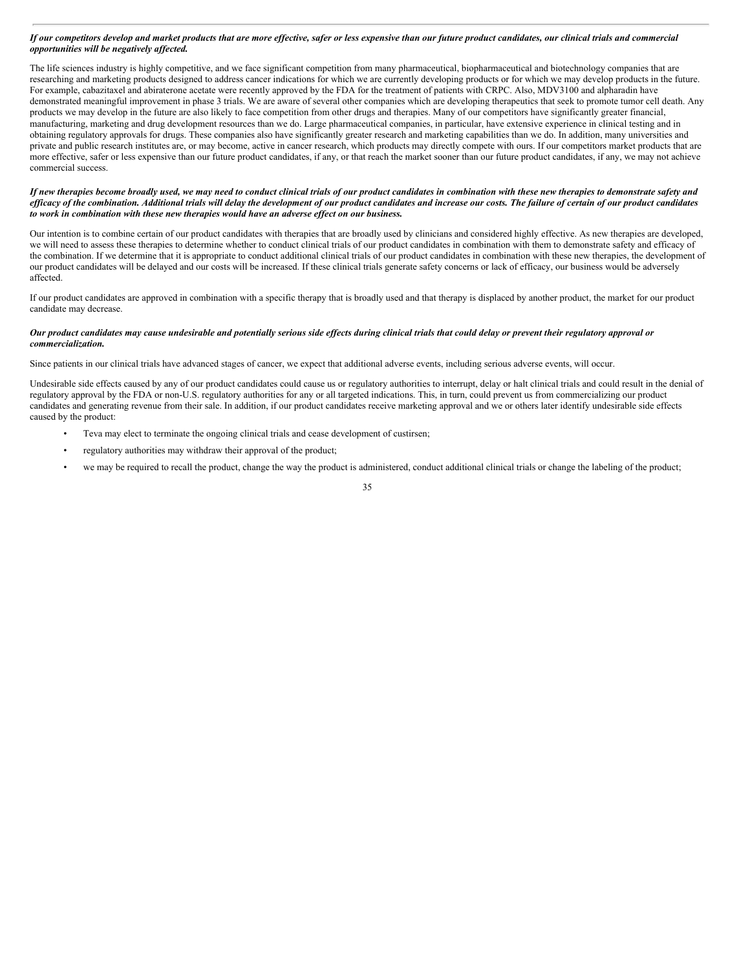## If our competitors develop and market products that are more effective, safer or less expensive than our future product candidates, our clinical trials and commercial *opportunities will be negatively af ected.*

The life sciences industry is highly competitive, and we face significant competition from many pharmaceutical, biopharmaceutical and biotechnology companies that are researching and marketing products designed to address cancer indications for which we are currently developing products or for which we may develop products in the future. For example, cabazitaxel and abiraterone acetate were recently approved by the FDA for the treatment of patients with CRPC. Also, MDV3100 and alpharadin have demonstrated meaningful improvement in phase 3 trials. We are aware of several other companies which are developing therapeutics that seek to promote tumor cell death. Any products we may develop in the future are also likely to face competition from other drugs and therapies. Many of our competitors have significantly greater financial, manufacturing, marketing and drug development resources than we do. Large pharmaceutical companies, in particular, have extensive experience in clinical testing and in obtaining regulatory approvals for drugs. These companies also have significantly greater research and marketing capabilities than we do. In addition, many universities and private and public research institutes are, or may become, active in cancer research, which products may directly compete with ours. If our competitors market products that are more effective, safer or less expensive than our future product candidates, if any, or that reach the market sooner than our future product candidates, if any, we may not achieve commercial success.

#### If new therapies become broadly used, we may need to conduct clinical trials of our product candidates in combination with these new therapies to demonstrate safety and efficacy of the combination. Additional trials will delay the development of our product candidates and increase our costs. The failure of certain of our product candidates *to work in combination with these new therapies would have an adverse ef ect on our business.*

Our intention is to combine certain of our product candidates with therapies that are broadly used by clinicians and considered highly effective. As new therapies are developed, we will need to assess these therapies to determine whether to conduct clinical trials of our product candidates in combination with them to demonstrate safety and efficacy of the combination. If we determine that it is appropriate to conduct additional clinical trials of our product candidates in combination with these new therapies, the development of our product candidates will be delayed and our costs will be increased. If these clinical trials generate safety concerns or lack of efficacy, our business would be adversely affected.

If our product candidates are approved in combination with a specific therapy that is broadly used and that therapy is displaced by another product, the market for our product candidate may decrease.

#### Our product candidates may cause undesirable and potentially serious side effects during clinical trials that could delay or prevent their regulatory approval or *commercialization.*

Since patients in our clinical trials have advanced stages of cancer, we expect that additional adverse events, including serious adverse events, will occur.

Undesirable side effects caused by any of our product candidates could cause us or regulatory authorities to interrupt, delay or halt clinical trials and could result in the denial of regulatory approval by the FDA or non-U.S. regulatory authorities for any or all targeted indications. This, in turn, could prevent us from commercializing our product candidates and generating revenue from their sale. In addition, if our product candidates receive marketing approval and we or others later identify undesirable side effects caused by the product:

- Teva may elect to terminate the ongoing clinical trials and cease development of custirsen;
- regulatory authorities may withdraw their approval of the product;
- we may be required to recall the product, change the way the product is administered, conduct additional clinical trials or change the labeling of the product;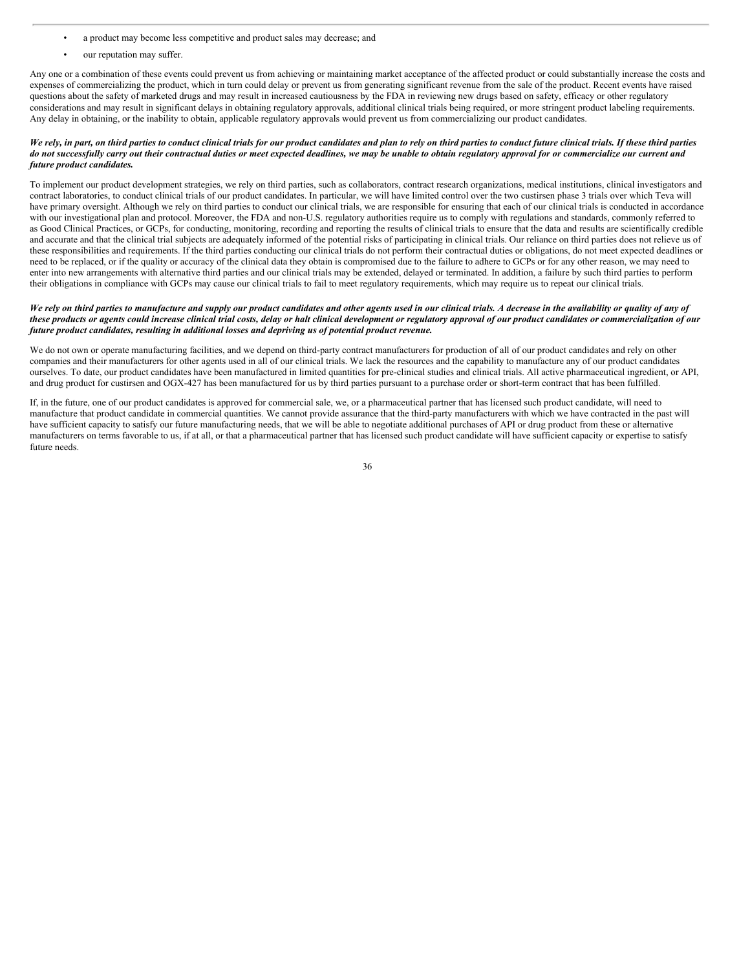- a product may become less competitive and product sales may decrease; and
- our reputation may suffer.

Any one or a combination of these events could prevent us from achieving or maintaining market acceptance of the affected product or could substantially increase the costs and expenses of commercializing the product, which in turn could delay or prevent us from generating significant revenue from the sale of the product. Recent events have raised questions about the safety of marketed drugs and may result in increased cautiousness by the FDA in reviewing new drugs based on safety, efficacy or other regulatory considerations and may result in significant delays in obtaining regulatory approvals, additional clinical trials being required, or more stringent product labeling requirements. Any delay in obtaining, or the inability to obtain, applicable regulatory approvals would prevent us from commercializing our product candidates.

#### We rely, in part, on third parties to conduct clinical trials for our product candidates and plan to rely on third parties to conduct future clinical trials. If these third parties do not successfully carry out their contractual duties or meet expected deadlines, we may be unable to obtain regulatory approval for or commercialize our current and *future product candidates.*

To implement our product development strategies, we rely on third parties, such as collaborators, contract research organizations, medical institutions, clinical investigators and contract laboratories, to conduct clinical trials of our product candidates. In particular, we will have limited control over the two custirsen phase 3 trials over which Teva will have primary oversight. Although we rely on third parties to conduct our clinical trials, we are responsible for ensuring that each of our clinical trials is conducted in accordance with our investigational plan and protocol. Moreover, the FDA and non-U.S. regulatory authorities require us to comply with regulations and standards, commonly referred to as Good Clinical Practices, or GCPs, for conducting, monitoring, recording and reporting the results of clinical trials to ensure that the data and results are scientifically credible and accurate and that the clinical trial subjects are adequately informed of the potential risks of participating in clinical trials. Our reliance on third parties does not relieve us of these responsibilities and requirements. If the third parties conducting our clinical trials do not perform their contractual duties or obligations, do not meet expected deadlines or need to be replaced, or if the quality or accuracy of the clinical data they obtain is compromised due to the failure to adhere to GCPs or for any other reason, we may need to enter into new arrangements with alternative third parties and our clinical trials may be extended, delayed or terminated. In addition, a failure by such third parties to perform their obligations in compliance with GCPs may cause our clinical trials to fail to meet regulatory requirements, which may require us to repeat our clinical trials.

#### We rely on third parties to manufacture and supply our product candidates and other agents used in our clinical trials. A decrease in the availability or quality of any of these products or agents could increase clinical trial costs, delay or halt clinical development or regulatory approval of our product candidates or commercialization of our *future product candidates, resulting in additional losses and depriving us of potential product revenue.*

We do not own or operate manufacturing facilities, and we depend on third-party contract manufacturers for production of all of our product candidates and rely on other companies and their manufacturers for other agents used in all of our clinical trials. We lack the resources and the capability to manufacture any of our product candidates ourselves. To date, our product candidates have been manufactured in limited quantities for pre-clinical studies and clinical trials. All active pharmaceutical ingredient, or API, and drug product for custirsen and OGX-427 has been manufactured for us by third parties pursuant to a purchase order or short-term contract that has been fulfilled.

If, in the future, one of our product candidates is approved for commercial sale, we, or a pharmaceutical partner that has licensed such product candidate, will need to manufacture that product candidate in commercial quantities. We cannot provide assurance that the third-party manufacturers with which we have contracted in the past will have sufficient capacity to satisfy our future manufacturing needs, that we will be able to negotiate additional purchases of API or drug product from these or alternative manufacturers on terms favorable to us, if at all, or that a pharmaceutical partner that has licensed such product candidate will have sufficient capacity or expertise to satisfy future needs.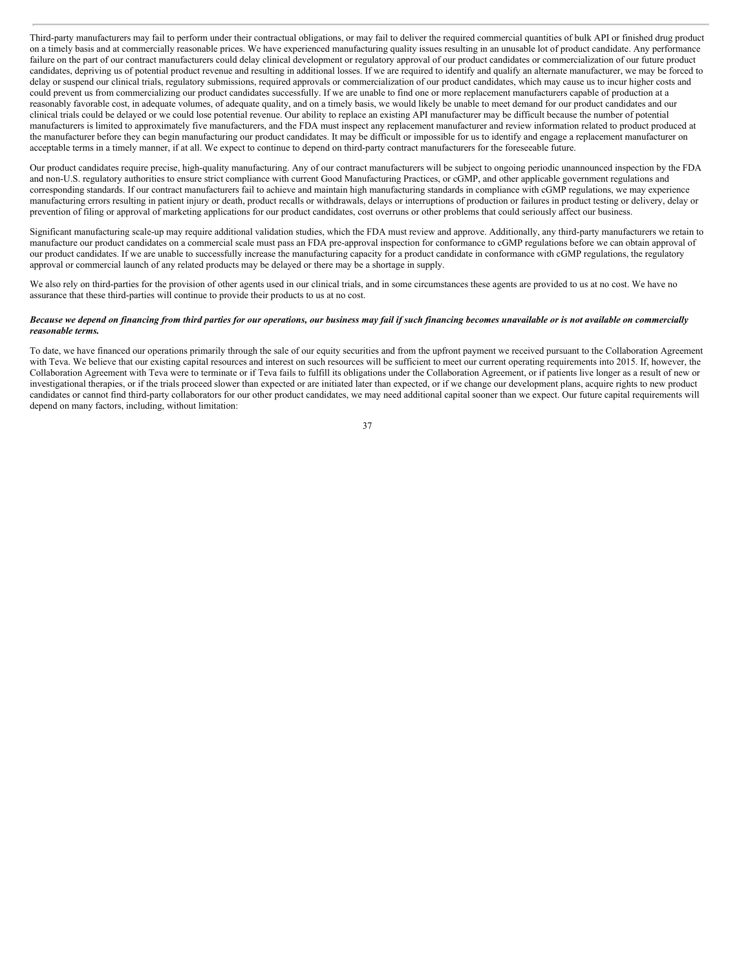Third-party manufacturers may fail to perform under their contractual obligations, or may fail to deliver the required commercial quantities of bulk API or finished drug product on a timely basis and at commercially reasonable prices. We have experienced manufacturing quality issues resulting in an unusable lot of product candidate. Any performance failure on the part of our contract manufacturers could delay clinical development or regulatory approval of our product candidates or commercialization of our future product candidates, depriving us of potential product revenue and resulting in additional losses. If we are required to identify and qualify an alternate manufacturer, we may be forced to delay or suspend our clinical trials, regulatory submissions, required approvals or commercialization of our product candidates, which may cause us to incur higher costs and could prevent us from commercializing our product candidates successfully. If we are unable to find one or more replacement manufacturers capable of production at a reasonably favorable cost, in adequate volumes, of adequate quality, and on a timely basis, we would likely be unable to meet demand for our product candidates and our clinical trials could be delayed or we could lose potential revenue. Our ability to replace an existing API manufacturer may be difficult because the number of potential manufacturers is limited to approximately five manufacturers, and the FDA must inspect any replacement manufacturer and review information related to product produced at the manufacturer before they can begin manufacturing our product candidates. It may be difficult or impossible for us to identify and engage a replacement manufacturer on acceptable terms in a timely manner, if at all. We expect to continue to depend on third-party contract manufacturers for the foreseeable future.

Our product candidates require precise, high-quality manufacturing. Any of our contract manufacturers will be subject to ongoing periodic unannounced inspection by the FDA and non-U.S. regulatory authorities to ensure strict compliance with current Good Manufacturing Practices, or cGMP, and other applicable government regulations and corresponding standards. If our contract manufacturers fail to achieve and maintain high manufacturing standards in compliance with cGMP regulations, we may experience manufacturing errors resulting in patient injury or death, product recalls or withdrawals, delays or interruptions of production or failures in product testing or delivery, delay or prevention of filing or approval of marketing applications for our product candidates, cost overruns or other problems that could seriously affect our business.

Significant manufacturing scale-up may require additional validation studies, which the FDA must review and approve. Additionally, any third-party manufacturers we retain to manufacture our product candidates on a commercial scale must pass an FDA pre-approval inspection for conformance to cGMP regulations before we can obtain approval of our product candidates. If we are unable to successfully increase the manufacturing capacity for a product candidate in conformance with cGMP regulations, the regulatory approval or commercial launch of any related products may be delayed or there may be a shortage in supply.

We also rely on third-parties for the provision of other agents used in our clinical trials, and in some circumstances these agents are provided to us at no cost. We have no assurance that these third-parties will continue to provide their products to us at no cost.

#### Because we depend on financing from third parties for our operations, our business may fail if such financing becomes unavailable or is not available on commercially *reasonable terms.*

To date, we have financed our operations primarily through the sale of our equity securities and from the upfront payment we received pursuant to the Collaboration Agreement with Teva. We believe that our existing capital resources and interest on such resources will be sufficient to meet our current operating requirements into 2015. If, however, the Collaboration Agreement with Teva were to terminate or if Teva fails to fulfill its obligations under the Collaboration Agreement, or if patients live longer as a result of new or investigational therapies, or if the trials proceed slower than expected or are initiated later than expected, or if we change our development plans, acquire rights to new product candidates or cannot find third-party collaborators for our other product candidates, we may need additional capital sooner than we expect. Our future capital requirements will depend on many factors, including, without limitation: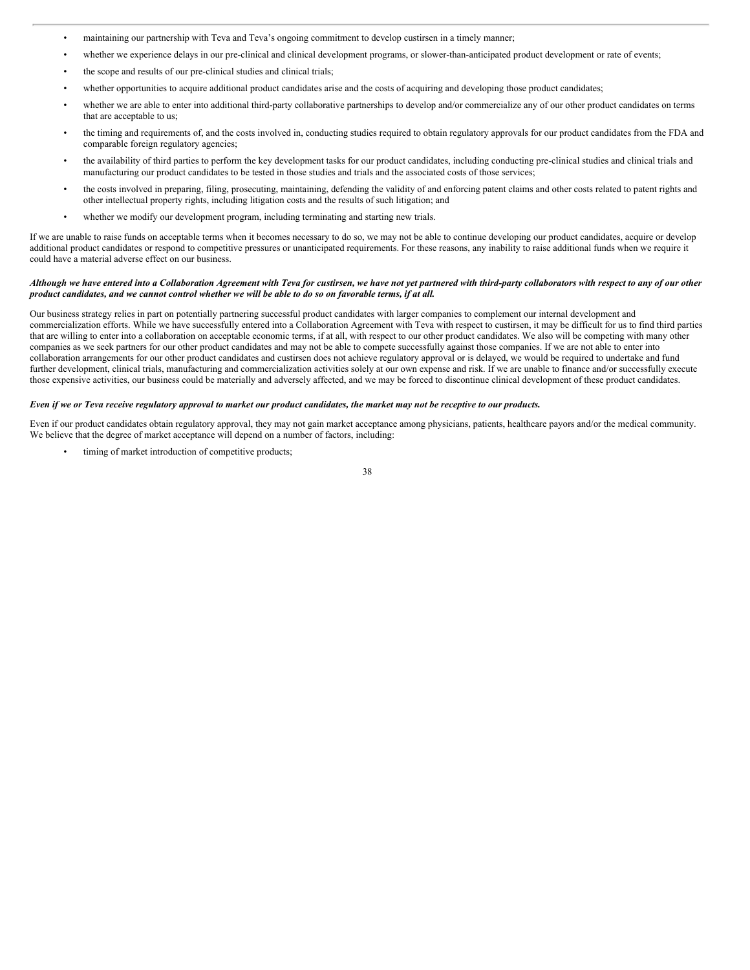- maintaining our partnership with Teva and Teva's ongoing commitment to develop custirsen in a timely manner;
- whether we experience delays in our pre-clinical and clinical development programs, or slower-than-anticipated product development or rate of events;
- the scope and results of our pre-clinical studies and clinical trials;
- whether opportunities to acquire additional product candidates arise and the costs of acquiring and developing those product candidates;
- whether we are able to enter into additional third-party collaborative partnerships to develop and/or commercialize any of our other product candidates on terms that are acceptable to us;
- the timing and requirements of, and the costs involved in, conducting studies required to obtain regulatory approvals for our product candidates from the FDA and comparable foreign regulatory agencies;
- the availability of third parties to perform the key development tasks for our product candidates, including conducting pre-clinical studies and clinical trials and manufacturing our product candidates to be tested in those studies and trials and the associated costs of those services;
- the costs involved in preparing, filing, prosecuting, maintaining, defending the validity of and enforcing patent claims and other costs related to patent rights and other intellectual property rights, including litigation costs and the results of such litigation; and
- whether we modify our development program, including terminating and starting new trials.

If we are unable to raise funds on acceptable terms when it becomes necessary to do so, we may not be able to continue developing our product candidates, acquire or develop additional product candidates or respond to competitive pressures or unanticipated requirements. For these reasons, any inability to raise additional funds when we require it could have a material adverse effect on our business.

#### Although we have entered into a Collaboration Agreement with Teva for custirsen, we have not yet partnered with third-party collaborators with respect to any of our other product candidates, and we cannot control whether we will be able to do so on favorable terms, if at all.

Our business strategy relies in part on potentially partnering successful product candidates with larger companies to complement our internal development and commercialization efforts. While we have successfully entered into a Collaboration Agreement with Teva with respect to custirsen, it may be difficult for us to find third parties that are willing to enter into a collaboration on acceptable economic terms, if at all, with respect to our other product candidates. We also will be competing with many other companies as we seek partners for our other product candidates and may not be able to compete successfully against those companies. If we are not able to enter into collaboration arrangements for our other product candidates and custirsen does not achieve regulatory approval or is delayed, we would be required to undertake and fund further development, clinical trials, manufacturing and commercialization activities solely at our own expense and risk. If we are unable to finance and/or successfully execute those expensive activities, our business could be materially and adversely affected, and we may be forced to discontinue clinical development of these product candidates.

#### Even if we or Teva receive regulatory approval to market our product candidates, the market may not be receptive to our products.

Even if our product candidates obtain regulatory approval, they may not gain market acceptance among physicians, patients, healthcare payors and/or the medical community. We believe that the degree of market acceptance will depend on a number of factors, including:

timing of market introduction of competitive products;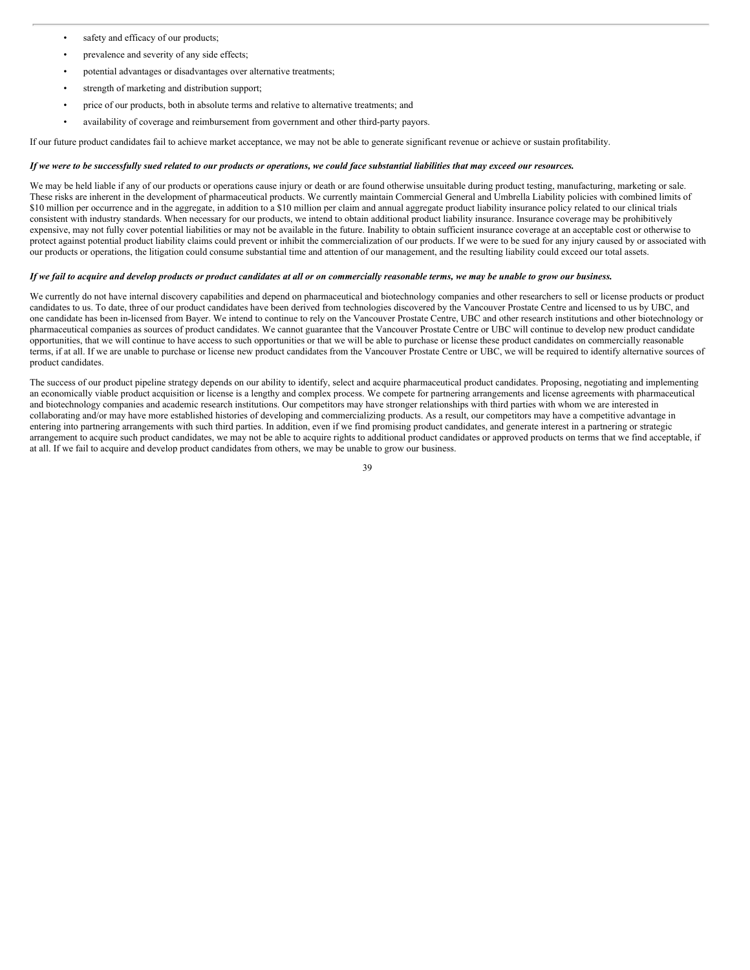- safety and efficacy of our products;
- prevalence and severity of any side effects;
- potential advantages or disadvantages over alternative treatments;
- strength of marketing and distribution support;
- price of our products, both in absolute terms and relative to alternative treatments; and
- availability of coverage and reimbursement from government and other third-party payors.

If our future product candidates fail to achieve market acceptance, we may not be able to generate significant revenue or achieve or sustain profitability.

#### If we were to be successfully sued related to our products or operations, we could face substantial liabilities that may exceed our resources.

We may be held liable if any of our products or operations cause injury or death or are found otherwise unsuitable during product testing, manufacturing, marketing or sale. These risks are inherent in the development of pharmaceutical products. We currently maintain Commercial General and Umbrella Liability policies with combined limits of \$10 million per occurrence and in the aggregate, in addition to a \$10 million per claim and annual aggregate product liability insurance policy related to our clinical trials consistent with industry standards. When necessary for our products, we intend to obtain additional product liability insurance. Insurance coverage may be prohibitively expensive, may not fully cover potential liabilities or may not be available in the future. Inability to obtain sufficient insurance coverage at an acceptable cost or otherwise to protect against potential product liability claims could prevent or inhibit the commercialization of our products. If we were to be sued for any injury caused by or associated with our products or operations, the litigation could consume substantial time and attention of our management, and the resulting liability could exceed our total assets.

#### If we fail to acquire and develop products or product candidates at all or on commercially reasonable terms, we may be unable to grow our business.

We currently do not have internal discovery capabilities and depend on pharmaceutical and biotechnology companies and other researchers to sell or license products or product candidates to us. To date, three of our product candidates have been derived from technologies discovered by the Vancouver Prostate Centre and licensed to us by UBC, and one candidate has been in-licensed from Bayer. We intend to continue to rely on the Vancouver Prostate Centre, UBC and other research institutions and other biotechnology or pharmaceutical companies as sources of product candidates. We cannot guarantee that the Vancouver Prostate Centre or UBC will continue to develop new product candidate opportunities, that we will continue to have access to such opportunities or that we will be able to purchase or license these product candidates on commercially reasonable terms, if at all. If we are unable to purchase or license new product candidates from the Vancouver Prostate Centre or UBC, we will be required to identify alternative sources of product candidates.

The success of our product pipeline strategy depends on our ability to identify, select and acquire pharmaceutical product candidates. Proposing, negotiating and implementing an economically viable product acquisition or license is a lengthy and complex process. We compete for partnering arrangements and license agreements with pharmaceutical and biotechnology companies and academic research institutions. Our competitors may have stronger relationships with third parties with whom we are interested in collaborating and/or may have more established histories of developing and commercializing products. As a result, our competitors may have a competitive advantage in entering into partnering arrangements with such third parties. In addition, even if we find promising product candidates, and generate interest in a partnering or strategic arrangement to acquire such product candidates, we may not be able to acquire rights to additional product candidates or approved products on terms that we find acceptable, if at all. If we fail to acquire and develop product candidates from others, we may be unable to grow our business.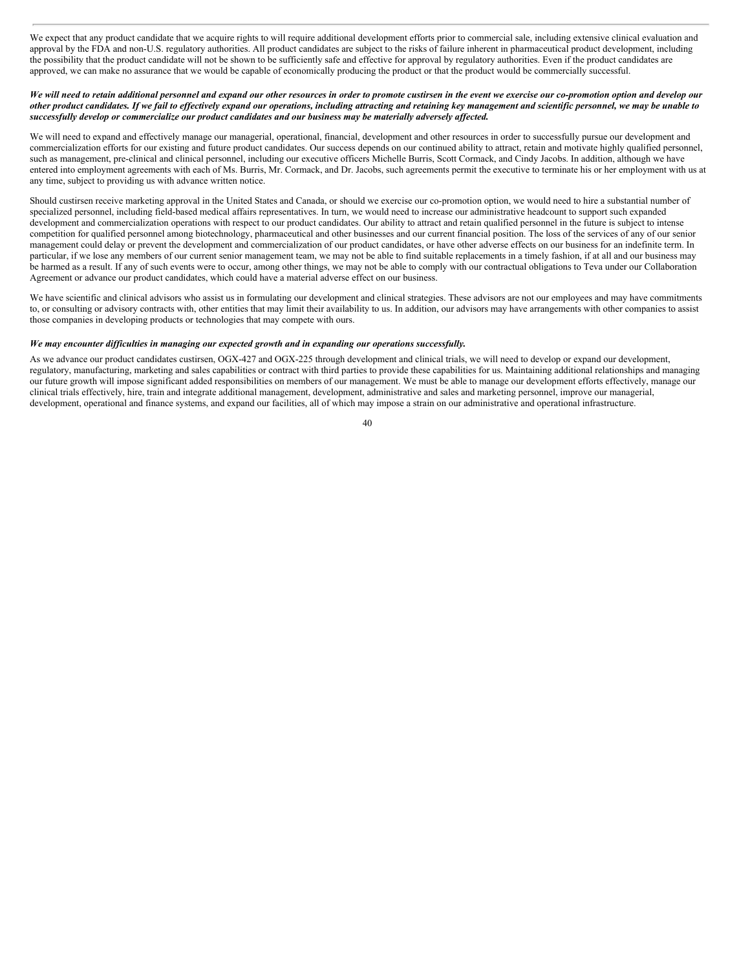We expect that any product candidate that we acquire rights to will require additional development efforts prior to commercial sale, including extensive clinical evaluation and approval by the FDA and non-U.S. regulatory authorities. All product candidates are subject to the risks of failure inherent in pharmaceutical product development, including the possibility that the product candidate will not be shown to be sufficiently safe and effective for approval by regulatory authorities. Even if the product candidates are approved, we can make no assurance that we would be capable of economically producing the product or that the product would be commercially successful.

#### We will need to retain additional personnel and expand our other resources in order to promote custirsen in the event we exercise our co-promotion option and develop our other product candidates. If we fail to effectively expand our operations, including attracting and retaining key management and scientific personnel, we may be unable to successfully develop or commercialize our product candidates and our business may be materially adversely affected.

We will need to expand and effectively manage our managerial, operational, financial, development and other resources in order to successfully pursue our development and commercialization efforts for our existing and future product candidates. Our success depends on our continued ability to attract, retain and motivate highly qualified personnel, such as management, pre-clinical and clinical personnel, including our executive officers Michelle Burris, Scott Cormack, and Cindy Jacobs. In addition, although we have entered into employment agreements with each of Ms. Burris, Mr. Cormack, and Dr. Jacobs, such agreements permit the executive to terminate his or her employment with us at any time, subject to providing us with advance written notice.

Should custirsen receive marketing approval in the United States and Canada, or should we exercise our co-promotion option, we would need to hire a substantial number of specialized personnel, including field-based medical affairs representatives. In turn, we would need to increase our administrative headcount to support such expanded development and commercialization operations with respect to our product candidates. Our ability to attract and retain qualified personnel in the future is subject to intense competition for qualified personnel among biotechnology, pharmaceutical and other businesses and our current financial position. The loss of the services of any of our senior management could delay or prevent the development and commercialization of our product candidates, or have other adverse effects on our business for an indefinite term. In particular, if we lose any members of our current senior management team, we may not be able to find suitable replacements in a timely fashion, if at all and our business may be harmed as a result. If any of such events were to occur, among other things, we may not be able to comply with our contractual obligations to Teva under our Collaboration Agreement or advance our product candidates, which could have a material adverse effect on our business.

We have scientific and clinical advisors who assist us in formulating our development and clinical strategies. These advisors are not our employees and may have commitments to, or consulting or advisory contracts with, other entities that may limit their availability to us. In addition, our advisors may have arrangements with other companies to assist those companies in developing products or technologies that may compete with ours.

#### *We may encounter dif iculties in managing our expected growth and in expanding our operations successfully.*

As we advance our product candidates custirsen, OGX-427 and OGX-225 through development and clinical trials, we will need to develop or expand our development, regulatory, manufacturing, marketing and sales capabilities or contract with third parties to provide these capabilities for us. Maintaining additional relationships and managing our future growth will impose significant added responsibilities on members of our management. We must be able to manage our development efforts effectively, manage our clinical trials effectively, hire, train and integrate additional management, development, administrative and sales and marketing personnel, improve our managerial, development, operational and finance systems, and expand our facilities, all of which may impose a strain on our administrative and operational infrastructure.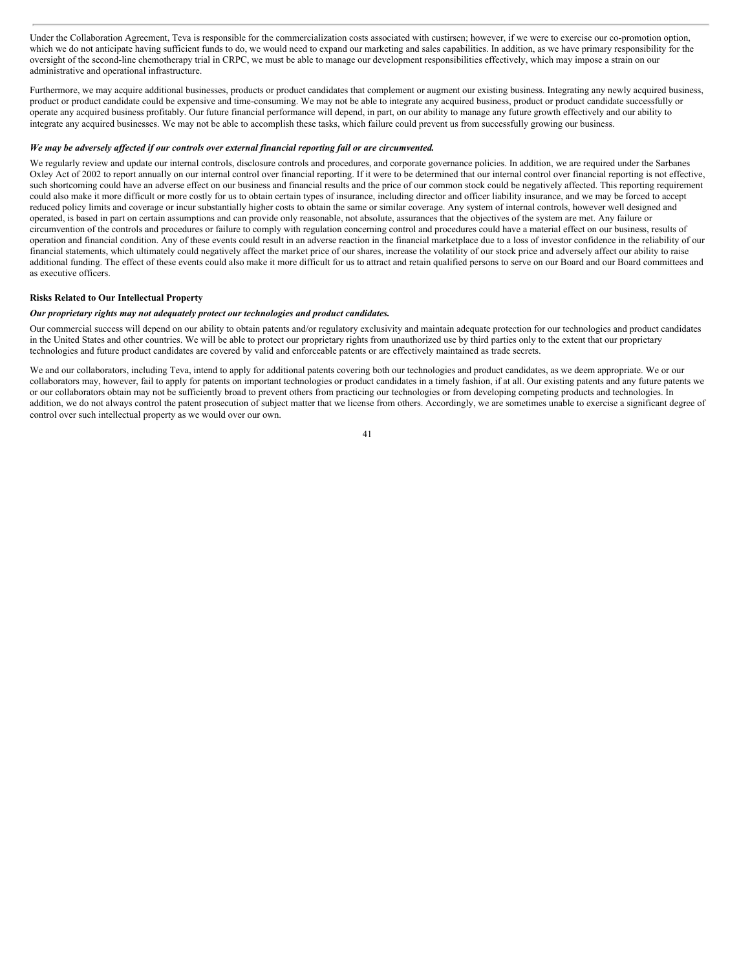Under the Collaboration Agreement, Teva is responsible for the commercialization costs associated with custirsen; however, if we were to exercise our co-promotion option, which we do not anticipate having sufficient funds to do, we would need to expand our marketing and sales capabilities. In addition, as we have primary responsibility for the oversight of the second-line chemotherapy trial in CRPC, we must be able to manage our development responsibilities effectively, which may impose a strain on our administrative and operational infrastructure.

Furthermore, we may acquire additional businesses, products or product candidates that complement or augment our existing business. Integrating any newly acquired business, product or product candidate could be expensive and time-consuming. We may not be able to integrate any acquired business, product or product candidate successfully or operate any acquired business profitably. Our future financial performance will depend, in part, on our ability to manage any future growth effectively and our ability to integrate any acquired businesses. We may not be able to accomplish these tasks, which failure could prevent us from successfully growing our business.

#### *We may be adversely af ected if our controls over external financial reporting fail or are circumvented.*

We regularly review and update our internal controls, disclosure controls and procedures, and corporate governance policies. In addition, we are required under the Sarbanes Oxley Act of 2002 to report annually on our internal control over financial reporting. If it were to be determined that our internal control over financial reporting is not effective, such shortcoming could have an adverse effect on our business and financial results and the price of our common stock could be negatively affected. This reporting requirement could also make it more difficult or more costly for us to obtain certain types of insurance, including director and officer liability insurance, and we may be forced to accept reduced policy limits and coverage or incur substantially higher costs to obtain the same or similar coverage. Any system of internal controls, however well designed and operated, is based in part on certain assumptions and can provide only reasonable, not absolute, assurances that the objectives of the system are met. Any failure or circumvention of the controls and procedures or failure to comply with regulation concerning control and procedures could have a material effect on our business, results of operation and financial condition. Any of these events could result in an adverse reaction in the financial marketplace due to a loss of investor confidence in the reliability of our financial statements, which ultimately could negatively affect the market price of our shares, increase the volatility of our stock price and adversely affect our ability to raise additional funding. The effect of these events could also make it more difficult for us to attract and retain qualified persons to serve on our Board and our Board committees and as executive officers.

#### **Risks Related to Our Intellectual Property**

#### *Our proprietary rights may not adequately protect our technologies and product candidates.*

Our commercial success will depend on our ability to obtain patents and/or regulatory exclusivity and maintain adequate protection for our technologies and product candidates in the United States and other countries. We will be able to protect our proprietary rights from unauthorized use by third parties only to the extent that our proprietary technologies and future product candidates are covered by valid and enforceable patents or are effectively maintained as trade secrets.

We and our collaborators, including Teva, intend to apply for additional patents covering both our technologies and product candidates, as we deem appropriate. We or our collaborators may, however, fail to apply for patents on important technologies or product candidates in a timely fashion, if at all. Our existing patents and any future patents we or our collaborators obtain may not be sufficiently broad to prevent others from practicing our technologies or from developing competing products and technologies. In addition, we do not always control the patent prosecution of subject matter that we license from others. Accordingly, we are sometimes unable to exercise a significant degree of control over such intellectual property as we would over our own.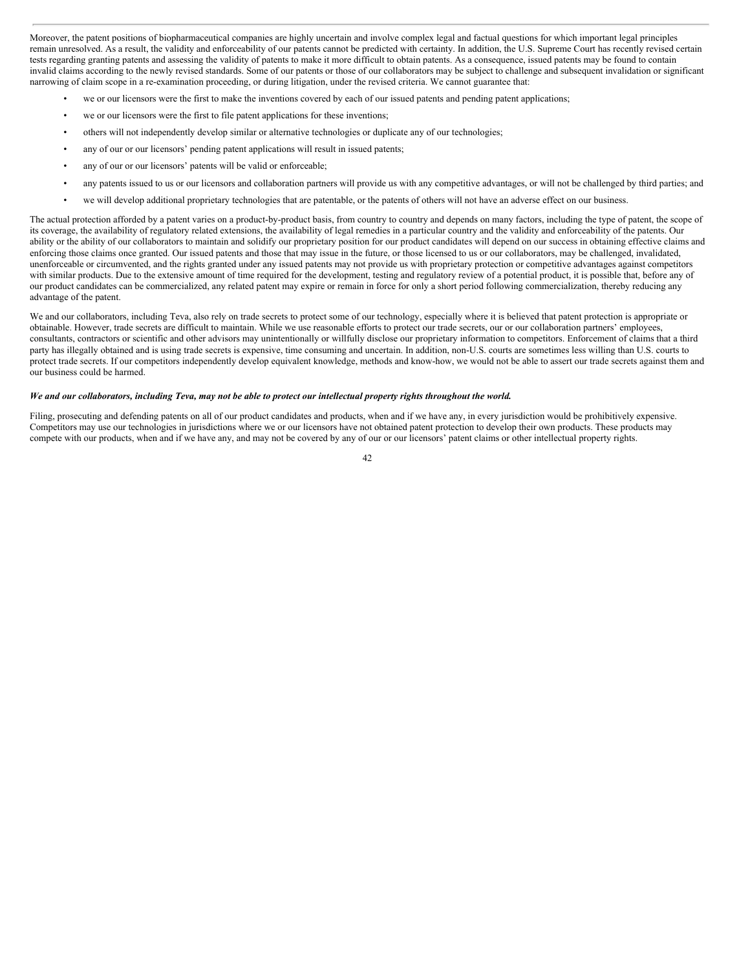Moreover, the patent positions of biopharmaceutical companies are highly uncertain and involve complex legal and factual questions for which important legal principles remain unresolved. As a result, the validity and enforceability of our patents cannot be predicted with certainty. In addition, the U.S. Supreme Court has recently revised certain tests regarding granting patents and assessing the validity of patents to make it more difficult to obtain patents. As a consequence, issued patents may be found to contain invalid claims according to the newly revised standards. Some of our patents or those of our collaborators may be subject to challenge and subsequent invalidation or significant narrowing of claim scope in a re-examination proceeding, or during litigation, under the revised criteria. We cannot guarantee that:

- we or our licensors were the first to make the inventions covered by each of our issued patents and pending patent applications;
- we or our licensors were the first to file patent applications for these inventions;
- others will not independently develop similar or alternative technologies or duplicate any of our technologies;
- any of our or our licensors' pending patent applications will result in issued patents;
- any of our or our licensors' patents will be valid or enforceable;
- any patents issued to us or our licensors and collaboration partners will provide us with any competitive advantages, or will not be challenged by third parties; and
- we will develop additional proprietary technologies that are patentable, or the patents of others will not have an adverse effect on our business.

The actual protection afforded by a patent varies on a product-by-product basis, from country to country and depends on many factors, including the type of patent, the scope of its coverage, the availability of regulatory related extensions, the availability of legal remedies in a particular country and the validity and enforceability of the patents. Our ability or the ability of our collaborators to maintain and solidify our proprietary position for our product candidates will depend on our success in obtaining effective claims and enforcing those claims once granted. Our issued patents and those that may issue in the future, or those licensed to us or our collaborators, may be challenged, invalidated, unenforceable or circumvented, and the rights granted under any issued patents may not provide us with proprietary protection or competitive advantages against competitors with similar products. Due to the extensive amount of time required for the development, testing and regulatory review of a potential product, it is possible that, before any of our product candidates can be commercialized, any related patent may expire or remain in force for only a short period following commercialization, thereby reducing any advantage of the patent.

We and our collaborators, including Teva, also rely on trade secrets to protect some of our technology, especially where it is believed that patent protection is appropriate or obtainable. However, trade secrets are difficult to maintain. While we use reasonable efforts to protect our trade secrets, our or our collaboration partners' employees, consultants, contractors or scientific and other advisors may unintentionally or willfully disclose our proprietary information to competitors. Enforcement of claims that a third party has illegally obtained and is using trade secrets is expensive, time consuming and uncertain. In addition, non-U.S. courts are sometimes less willing than U.S. courts to protect trade secrets. If our competitors independently develop equivalent knowledge, methods and know-how, we would not be able to assert our trade secrets against them and our business could be harmed.

#### We and our collaborators, including Teva, may not be able to protect our intellectual property rights throughout the world.

Filing, prosecuting and defending patents on all of our product candidates and products, when and if we have any, in every jurisdiction would be prohibitively expensive. Competitors may use our technologies in jurisdictions where we or our licensors have not obtained patent protection to develop their own products. These products may compete with our products, when and if we have any, and may not be covered by any of our or our licensors' patent claims or other intellectual property rights.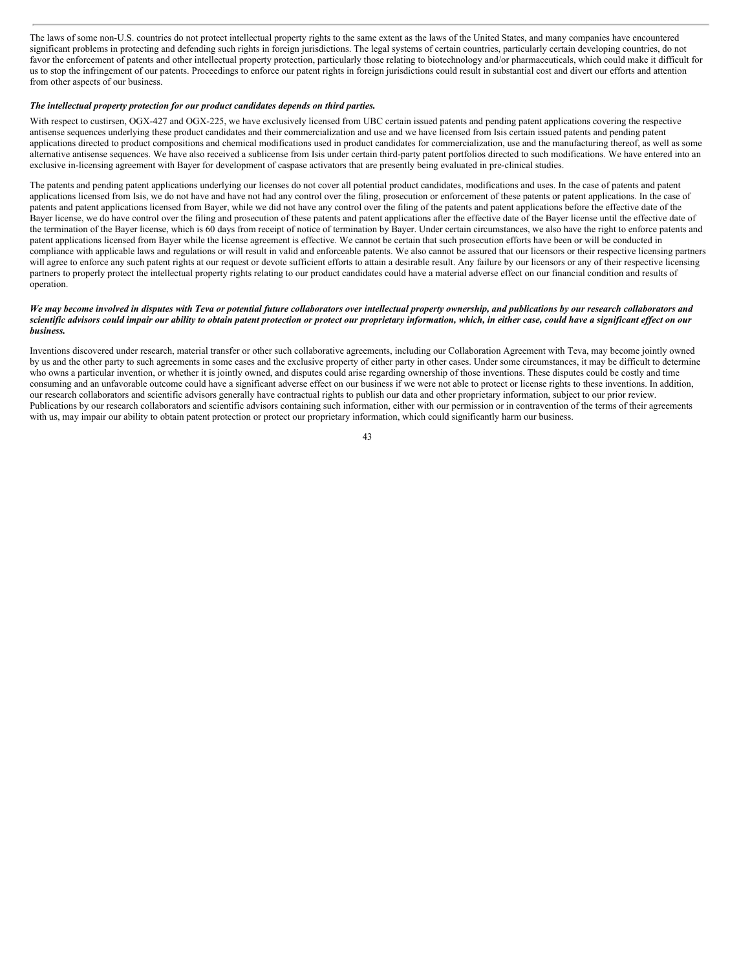The laws of some non-U.S. countries do not protect intellectual property rights to the same extent as the laws of the United States, and many companies have encountered significant problems in protecting and defending such rights in foreign jurisdictions. The legal systems of certain countries, particularly certain developing countries, do not favor the enforcement of patents and other intellectual property protection, particularly those relating to biotechnology and/or pharmaceuticals, which could make it difficult for us to stop the infringement of our patents. Proceedings to enforce our patent rights in foreign jurisdictions could result in substantial cost and divert our efforts and attention from other aspects of our business.

#### *The intellectual property protection for our product candidates depends on third parties.*

With respect to custirsen, OGX-427 and OGX-225, we have exclusively licensed from UBC certain issued patents and pending patent applications covering the respective antisense sequences underlying these product candidates and their commercialization and use and we have licensed from Isis certain issued patents and pending patent applications directed to product compositions and chemical modifications used in product candidates for commercialization, use and the manufacturing thereof, as well as some alternative antisense sequences. We have also received a sublicense from Isis under certain third-party patent portfolios directed to such modifications. We have entered into an exclusive in-licensing agreement with Bayer for development of caspase activators that are presently being evaluated in pre-clinical studies.

The patents and pending patent applications underlying our licenses do not cover all potential product candidates, modifications and uses. In the case of patents and patent applications licensed from Isis, we do not have and have not had any control over the filing, prosecution or enforcement of these patents or patent applications. In the case of patents and patent applications licensed from Bayer, while we did not have any control over the filing of the patents and patent applications before the effective date of the Bayer license, we do have control over the filing and prosecution of these patents and patent applications after the effective date of the Bayer license until the effective date of the termination of the Bayer license, which is 60 days from receipt of notice of termination by Bayer. Under certain circumstances, we also have the right to enforce patents and patent applications licensed from Bayer while the license agreement is effective. We cannot be certain that such prosecution efforts have been or will be conducted in compliance with applicable laws and regulations or will result in valid and enforceable patents. We also cannot be assured that our licensors or their respective licensing partners will agree to enforce any such patent rights at our request or devote sufficient efforts to attain a desirable result. Any failure by our licensors or any of their respective licensing partners to properly protect the intellectual property rights relating to our product candidates could have a material adverse effect on our financial condition and results of operation.

#### We may become involved in disputes with Teva or potential future collaborators over intellectual property ownership, and publications by our research collaborators and scientific advisors could impair our ability to obtain patent protection or protect our proprietary information, which, in either case, could have a significant effect on our *business.*

Inventions discovered under research, material transfer or other such collaborative agreements, including our Collaboration Agreement with Teva, may become jointly owned by us and the other party to such agreements in some cases and the exclusive property of either party in other cases. Under some circumstances, it may be difficult to determine who owns a particular invention, or whether it is jointly owned, and disputes could arise regarding ownership of those inventions. These disputes could be costly and time consuming and an unfavorable outcome could have a significant adverse effect on our business if we were not able to protect or license rights to these inventions. In addition, our research collaborators and scientific advisors generally have contractual rights to publish our data and other proprietary information, subject to our prior review. Publications by our research collaborators and scientific advisors containing such information, either with our permission or in contravention of the terms of their agreements with us, may impair our ability to obtain patent protection or protect our proprietary information, which could significantly harm our business.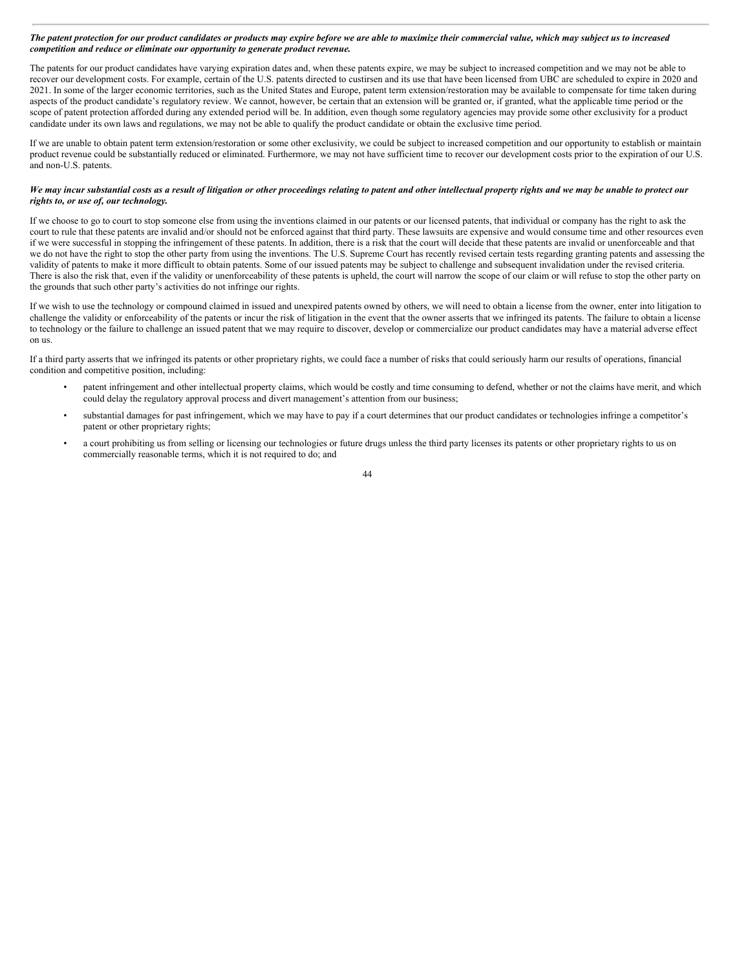#### The patent protection for our product candidates or products may expire before we are able to maximize their commercial value, which may subject us to increased *competition and reduce or eliminate our opportunity to generate product revenue.*

The patents for our product candidates have varying expiration dates and, when these patents expire, we may be subject to increased competition and we may not be able to recover our development costs. For example, certain of the U.S. patents directed to custirsen and its use that have been licensed from UBC are scheduled to expire in 2020 and 2021. In some of the larger economic territories, such as the United States and Europe, patent term extension/restoration may be available to compensate for time taken during aspects of the product candidate's regulatory review. We cannot, however, be certain that an extension will be granted or, if granted, what the applicable time period or the scope of patent protection afforded during any extended period will be. In addition, even though some regulatory agencies may provide some other exclusivity for a product candidate under its own laws and regulations, we may not be able to qualify the product candidate or obtain the exclusive time period.

If we are unable to obtain patent term extension/restoration or some other exclusivity, we could be subject to increased competition and our opportunity to establish or maintain product revenue could be substantially reduced or eliminated. Furthermore, we may not have sufficient time to recover our development costs prior to the expiration of our U.S. and non-U.S. patents.

#### We may incur substantial costs as a result of litigation or other proceedings relating to patent and other intellectual property rights and we may be unable to protect our *rights to, or use of, our technology.*

If we choose to go to court to stop someone else from using the inventions claimed in our patents or our licensed patents, that individual or company has the right to ask the court to rule that these patents are invalid and/or should not be enforced against that third party. These lawsuits are expensive and would consume time and other resources even if we were successful in stopping the infringement of these patents. In addition, there is a risk that the court will decide that these patents are invalid or unenforceable and that we do not have the right to stop the other party from using the inventions. The U.S. Supreme Court has recently revised certain tests regarding granting patents and assessing the validity of patents to make it more difficult to obtain patents. Some of our issued patents may be subject to challenge and subsequent invalidation under the revised criteria. There is also the risk that, even if the validity or unenforceability of these patents is upheld, the court will narrow the scope of our claim or will refuse to stop the other party on the grounds that such other party's activities do not infringe our rights.

If we wish to use the technology or compound claimed in issued and unexpired patents owned by others, we will need to obtain a license from the owner, enter into litigation to challenge the validity or enforceability of the patents or incur the risk of litigation in the event that the owner asserts that we infringed its patents. The failure to obtain a license to technology or the failure to challenge an issued patent that we may require to discover, develop or commercialize our product candidates may have a material adverse effect on us.

If a third party asserts that we infringed its patents or other proprietary rights, we could face a number of risks that could seriously harm our results of operations, financial condition and competitive position, including:

- patent infringement and other intellectual property claims, which would be costly and time consuming to defend, whether or not the claims have merit, and which could delay the regulatory approval process and divert management's attention from our business;
- substantial damages for past infringement, which we may have to pay if a court determines that our product candidates or technologies infringe a competitor's patent or other proprietary rights;
- a court prohibiting us from selling or licensing our technologies or future drugs unless the third party licenses its patents or other proprietary rights to us on commercially reasonable terms, which it is not required to do; and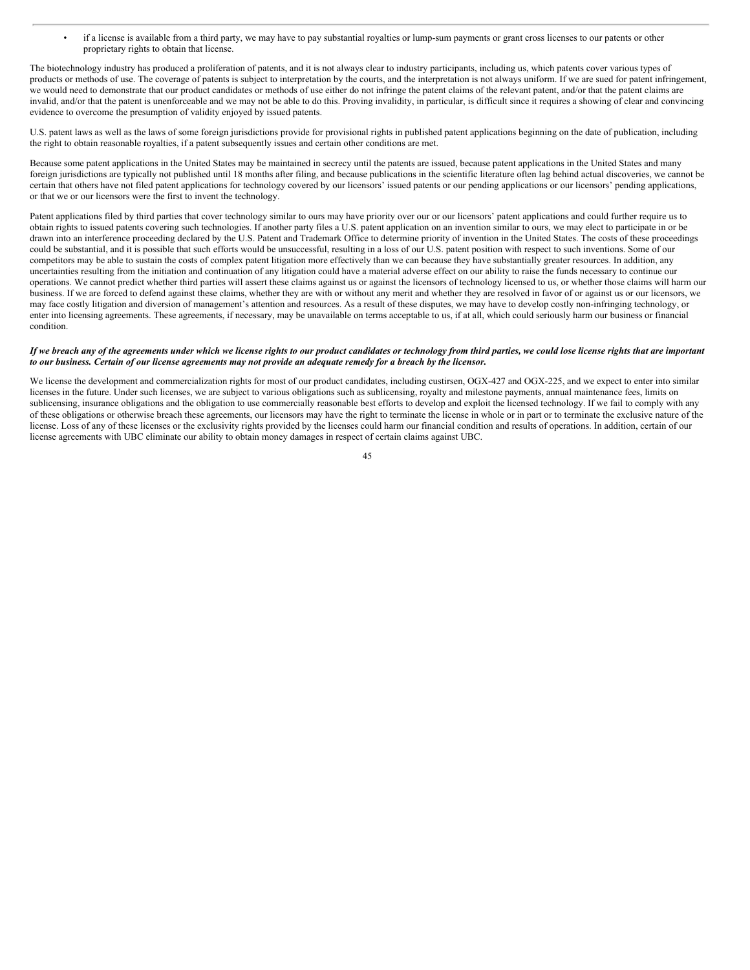• if a license is available from a third party, we may have to pay substantial royalties or lump-sum payments or grant cross licenses to our patents or other proprietary rights to obtain that license.

The biotechnology industry has produced a proliferation of patents, and it is not always clear to industry participants, including us, which patents cover various types of products or methods of use. The coverage of patents is subject to interpretation by the courts, and the interpretation is not always uniform. If we are sued for patent infringement, we would need to demonstrate that our product candidates or methods of use either do not infringe the patent claims of the relevant patent, and/or that the patent claims are invalid, and/or that the patent is unenforceable and we may not be able to do this. Proving invalidity, in particular, is difficult since it requires a showing of clear and convincing evidence to overcome the presumption of validity enjoyed by issued patents.

U.S. patent laws as well as the laws of some foreign jurisdictions provide for provisional rights in published patent applications beginning on the date of publication, including the right to obtain reasonable royalties, if a patent subsequently issues and certain other conditions are met.

Because some patent applications in the United States may be maintained in secrecy until the patents are issued, because patent applications in the United States and many foreign jurisdictions are typically not published until 18 months after filing, and because publications in the scientific literature often lag behind actual discoveries, we cannot be certain that others have not filed patent applications for technology covered by our licensors' issued patents or our pending applications or our licensors' pending applications, or that we or our licensors were the first to invent the technology.

Patent applications filed by third parties that cover technology similar to ours may have priority over our or our licensors' patent applications and could further require us to obtain rights to issued patents covering such technologies. If another party files a U.S. patent application on an invention similar to ours, we may elect to participate in or be drawn into an interference proceeding declared by the U.S. Patent and Trademark Office to determine priority of invention in the United States. The costs of these proceedings could be substantial, and it is possible that such efforts would be unsuccessful, resulting in a loss of our U.S. patent position with respect to such inventions. Some of our competitors may be able to sustain the costs of complex patent litigation more effectively than we can because they have substantially greater resources. In addition, any uncertainties resulting from the initiation and continuation of any litigation could have a material adverse effect on our ability to raise the funds necessary to continue our operations. We cannot predict whether third parties will assert these claims against us or against the licensors of technology licensed to us, or whether those claims will harm our business. If we are forced to defend against these claims, whether they are with or without any merit and whether they are resolved in favor of or against us or our licensors, we may face costly litigation and diversion of management's attention and resources. As a result of these disputes, we may have to develop costly non-infringing technology, or enter into licensing agreements. These agreements, if necessary, may be unavailable on terms acceptable to us, if at all, which could seriously harm our business or financial condition.

#### If we breach any of the agreements under which we license rights to our product candidates or technology from third parties, we could lose license rights that are important to our business. Certain of our license agreements may not provide an adequate remedy for a breach by the licensor.

We license the development and commercialization rights for most of our product candidates, including custirsen, OGX-427 and OGX-225, and we expect to enter into similar licenses in the future. Under such licenses, we are subject to various obligations such as sublicensing, royalty and milestone payments, annual maintenance fees, limits on sublicensing, insurance obligations and the obligation to use commercially reasonable best efforts to develop and exploit the licensed technology. If we fail to comply with any of these obligations or otherwise breach these agreements, our licensors may have the right to terminate the license in whole or in part or to terminate the exclusive nature of the license. Loss of any of these licenses or the exclusivity rights provided by the licenses could harm our financial condition and results of operations. In addition, certain of our license agreements with UBC eliminate our ability to obtain money damages in respect of certain claims against UBC.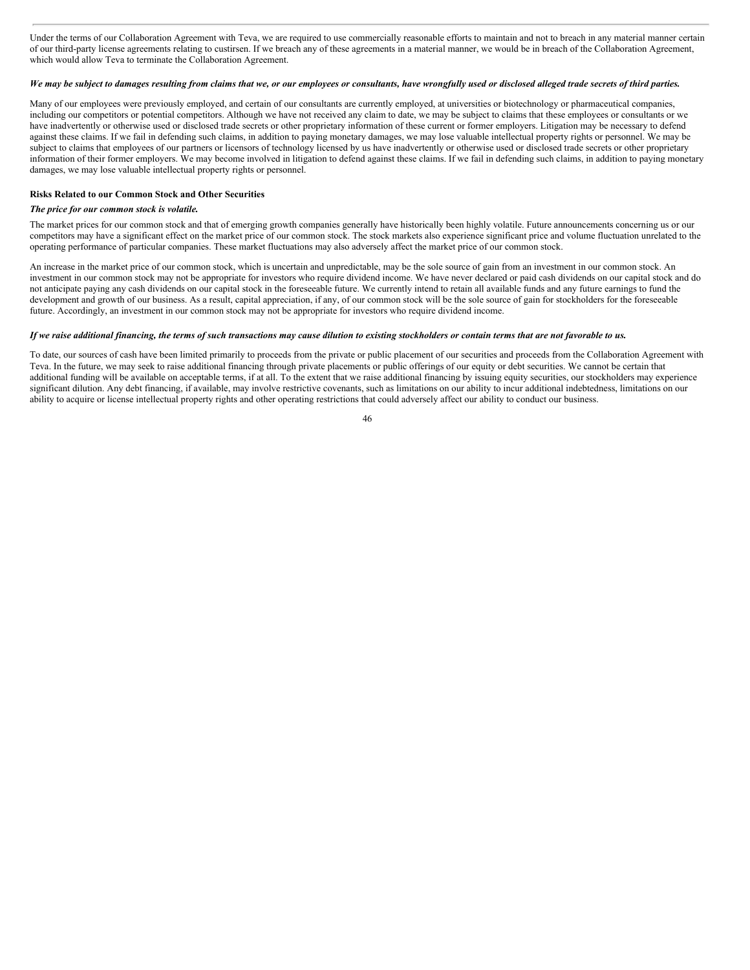Under the terms of our Collaboration Agreement with Teva, we are required to use commercially reasonable efforts to maintain and not to breach in any material manner certain of our third-party license agreements relating to custirsen. If we breach any of these agreements in a material manner, we would be in breach of the Collaboration Agreement, which would allow Teva to terminate the Collaboration Agreement.

#### We may be subject to damages resulting from claims that we, or our employees or consultants, have wrongfully used or disclosed alleged trade secrets of third parties.

Many of our employees were previously employed, and certain of our consultants are currently employed, at universities or biotechnology or pharmaceutical companies, including our competitors or potential competitors. Although we have not received any claim to date, we may be subject to claims that these employees or consultants or we have inadvertently or otherwise used or disclosed trade secrets or other proprietary information of these current or former employers. Litigation may be necessary to defend against these claims. If we fail in defending such claims, in addition to paying monetary damages, we may lose valuable intellectual property rights or personnel. We may be subject to claims that employees of our partners or licensors of technology licensed by us have inadvertently or otherwise used or disclosed trade secrets or other proprietary information of their former employers. We may become involved in litigation to defend against these claims. If we fail in defending such claims, in addition to paying monetary damages, we may lose valuable intellectual property rights or personnel.

## **Risks Related to our Common Stock and Other Securities**

#### *The price for our common stock is volatile.*

The market prices for our common stock and that of emerging growth companies generally have historically been highly volatile. Future announcements concerning us or our competitors may have a significant effect on the market price of our common stock. The stock markets also experience significant price and volume fluctuation unrelated to the operating performance of particular companies. These market fluctuations may also adversely affect the market price of our common stock.

An increase in the market price of our common stock, which is uncertain and unpredictable, may be the sole source of gain from an investment in our common stock. An investment in our common stock may not be appropriate for investors who require dividend income. We have never declared or paid cash dividends on our capital stock and do not anticipate paying any cash dividends on our capital stock in the foreseeable future. We currently intend to retain all available funds and any future earnings to fund the development and growth of our business. As a result, capital appreciation, if any, of our common stock will be the sole source of gain for stockholders for the foreseeable future. Accordingly, an investment in our common stock may not be appropriate for investors who require dividend income.

#### If we raise additional financing, the terms of such transactions may cause dilution to existing stockholders or contain terms that are not favorable to us.

To date, our sources of cash have been limited primarily to proceeds from the private or public placement of our securities and proceeds from the Collaboration Agreement with Teva. In the future, we may seek to raise additional financing through private placements or public offerings of our equity or debt securities. We cannot be certain that additional funding will be available on acceptable terms, if at all. To the extent that we raise additional financing by issuing equity securities, our stockholders may experience significant dilution. Any debt financing, if available, may involve restrictive covenants, such as limitations on our ability to incur additional indebtedness, limitations on our ability to acquire or license intellectual property rights and other operating restrictions that could adversely affect our ability to conduct our business.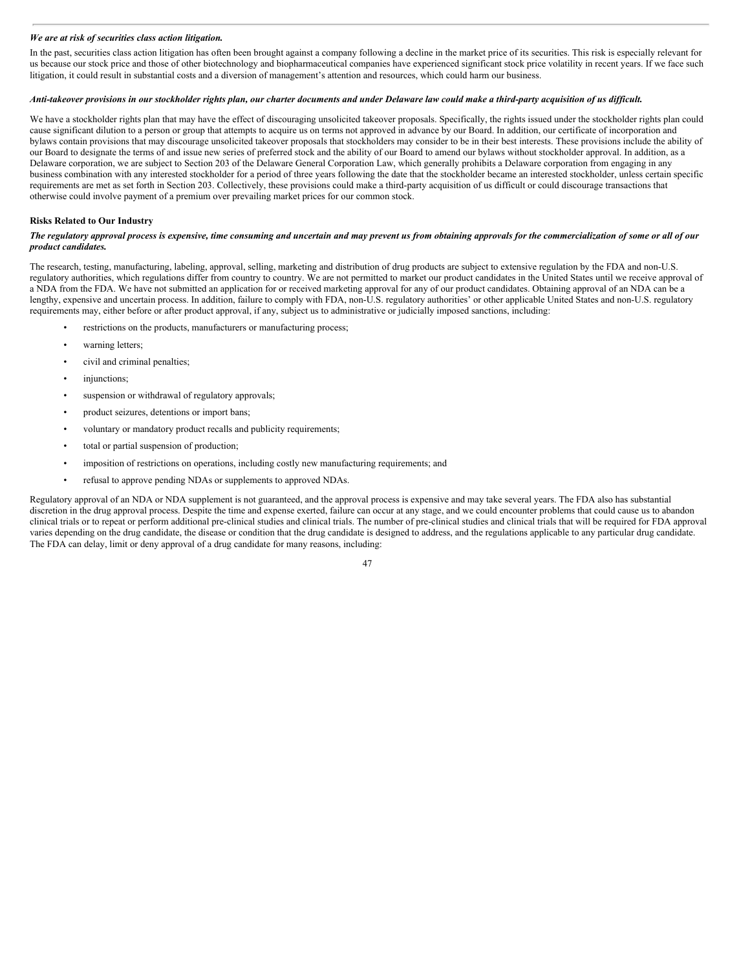#### *We are at risk of securities class action litigation.*

In the past, securities class action litigation has often been brought against a company following a decline in the market price of its securities. This risk is especially relevant for us because our stock price and those of other biotechnology and biopharmaceutical companies have experienced significant stock price volatility in recent years. If we face such litigation, it could result in substantial costs and a diversion of management's attention and resources, which could harm our business.

#### Anti-takeover provisions in our stockholder rights plan, our charter documents and under Delaware law could make a third-party acquisition of us difficult.

We have a stockholder rights plan that may have the effect of discouraging unsolicited takeover proposals. Specifically, the rights issued under the stockholder rights plan could cause significant dilution to a person or group that attempts to acquire us on terms not approved in advance by our Board. In addition, our certificate of incorporation and bylaws contain provisions that may discourage unsolicited takeover proposals that stockholders may consider to be in their best interests. These provisions include the ability of our Board to designate the terms of and issue new series of preferred stock and the ability of our Board to amend our bylaws without stockholder approval. In addition, as a Delaware corporation, we are subject to Section 203 of the Delaware General Corporation Law, which generally prohibits a Delaware corporation from engaging in any business combination with any interested stockholder for a period of three years following the date that the stockholder became an interested stockholder, unless certain specific requirements are met as set forth in Section 203. Collectively, these provisions could make a third-party acquisition of us difficult or could discourage transactions that otherwise could involve payment of a premium over prevailing market prices for our common stock.

#### **Risks Related to Our Industry**

#### The regulatory approval process is expensive, time consuming and uncertain and may prevent us from obtaining approvals for the commercialization of some or all of our *product candidates.*

The research, testing, manufacturing, labeling, approval, selling, marketing and distribution of drug products are subject to extensive regulation by the FDA and non-U.S. regulatory authorities, which regulations differ from country to country. We are not permitted to market our product candidates in the United States until we receive approval of a NDA from the FDA. We have not submitted an application for or received marketing approval for any of our product candidates. Obtaining approval of an NDA can be a lengthy, expensive and uncertain process. In addition, failure to comply with FDA, non-U.S. regulatory authorities' or other applicable United States and non-U.S. regulatory requirements may, either before or after product approval, if any, subject us to administrative or judicially imposed sanctions, including:

- restrictions on the products, manufacturers or manufacturing process;
- warning letters;
- civil and criminal penalties;
- injunctions;
- suspension or withdrawal of regulatory approvals;
- product seizures, detentions or import bans;
- voluntary or mandatory product recalls and publicity requirements;
- total or partial suspension of production;
- imposition of restrictions on operations, including costly new manufacturing requirements; and
- refusal to approve pending NDAs or supplements to approved NDAs.

Regulatory approval of an NDA or NDA supplement is not guaranteed, and the approval process is expensive and may take several years. The FDA also has substantial discretion in the drug approval process. Despite the time and expense exerted, failure can occur at any stage, and we could encounter problems that could cause us to abandon clinical trials or to repeat or perform additional pre-clinical studies and clinical trials. The number of pre-clinical studies and clinical trials that will be required for FDA approval varies depending on the drug candidate, the disease or condition that the drug candidate is designed to address, and the regulations applicable to any particular drug candidate. The FDA can delay, limit or deny approval of a drug candidate for many reasons, including: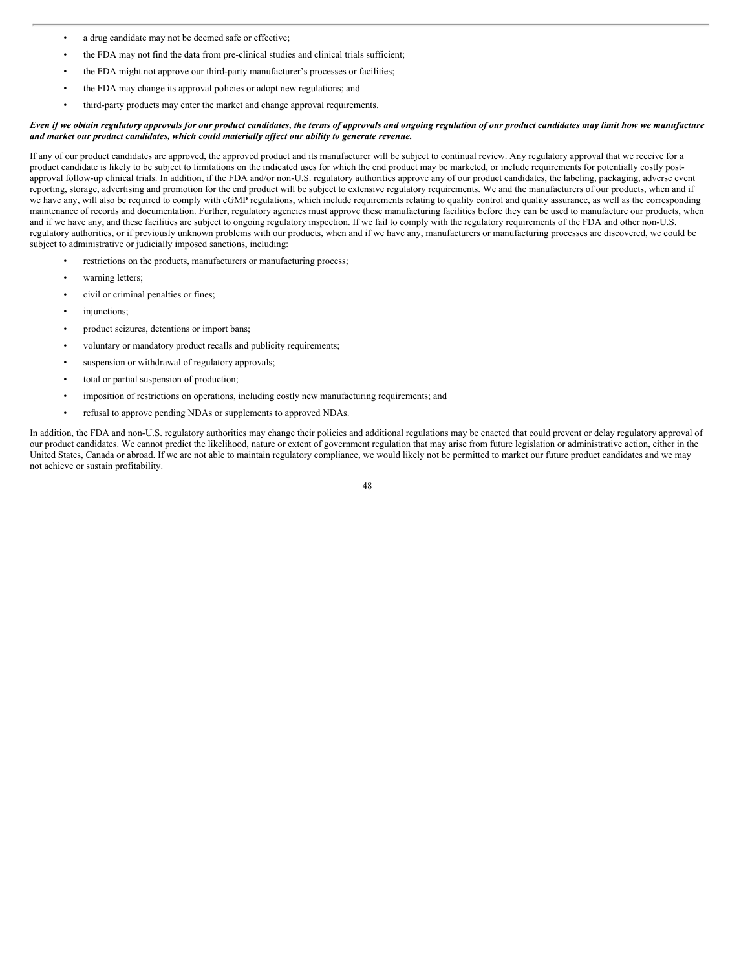- a drug candidate may not be deemed safe or effective;
- the FDA may not find the data from pre-clinical studies and clinical trials sufficient;
- the FDA might not approve our third-party manufacturer's processes or facilities;
- the FDA may change its approval policies or adopt new regulations; and
- third-party products may enter the market and change approval requirements.

#### Even if we obtain regulatory approvals for our product candidates, the terms of approvals and ongoing regulation of our product candidates may limit how we manufacture *and market our product candidates, which could materially af ect our ability to generate revenue.*

If any of our product candidates are approved, the approved product and its manufacturer will be subject to continual review. Any regulatory approval that we receive for a product candidate is likely to be subject to limitations on the indicated uses for which the end product may be marketed, or include requirements for potentially costly postapproval follow-up clinical trials. In addition, if the FDA and/or non-U.S. regulatory authorities approve any of our product candidates, the labeling, packaging, adverse event reporting, storage, advertising and promotion for the end product will be subject to extensive regulatory requirements. We and the manufacturers of our products, when and if we have any, will also be required to comply with cGMP regulations, which include requirements relating to quality control and quality assurance, as well as the corresponding maintenance of records and documentation. Further, regulatory agencies must approve these manufacturing facilities before they can be used to manufacture our products, when and if we have any, and these facilities are subject to ongoing regulatory inspection. If we fail to comply with the regulatory requirements of the FDA and other non-U.S. regulatory authorities, or if previously unknown problems with our products, when and if we have any, manufacturers or manufacturing processes are discovered, we could be subject to administrative or judicially imposed sanctions, including:

- restrictions on the products, manufacturers or manufacturing process;
- warning letters;
- civil or criminal penalties or fines;
- injunctions;
- product seizures, detentions or import bans;
- voluntary or mandatory product recalls and publicity requirements;
- suspension or withdrawal of regulatory approvals;
- total or partial suspension of production;
- imposition of restrictions on operations, including costly new manufacturing requirements; and
- refusal to approve pending NDAs or supplements to approved NDAs.

In addition, the FDA and non-U.S. regulatory authorities may change their policies and additional regulations may be enacted that could prevent or delay regulatory approval of our product candidates. We cannot predict the likelihood, nature or extent of government regulation that may arise from future legislation or administrative action, either in the United States, Canada or abroad. If we are not able to maintain regulatory compliance, we would likely not be permitted to market our future product candidates and we may not achieve or sustain profitability.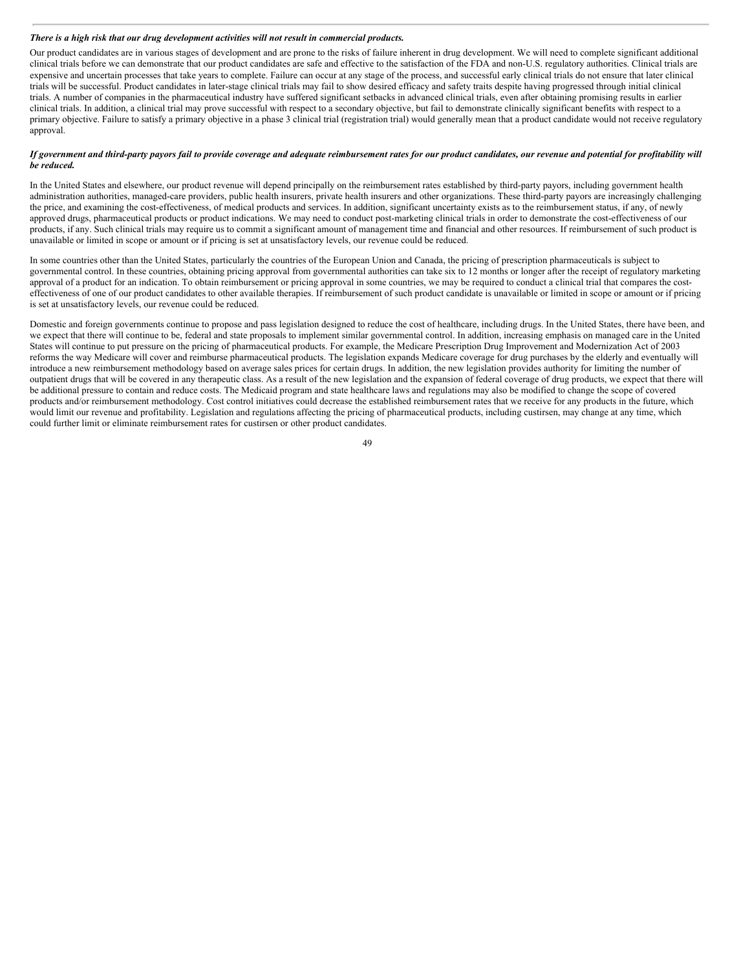#### *There is a high risk that our drug development activities will not result in commercial products.*

Our product candidates are in various stages of development and are prone to the risks of failure inherent in drug development. We will need to complete significant additional clinical trials before we can demonstrate that our product candidates are safe and effective to the satisfaction of the FDA and non-U.S. regulatory authorities. Clinical trials are expensive and uncertain processes that take years to complete. Failure can occur at any stage of the process, and successful early clinical trials do not ensure that later clinical trials will be successful. Product candidates in later-stage clinical trials may fail to show desired efficacy and safety traits despite having progressed through initial clinical trials. A number of companies in the pharmaceutical industry have suffered significant setbacks in advanced clinical trials, even after obtaining promising results in earlier clinical trials. In addition, a clinical trial may prove successful with respect to a secondary objective, but fail to demonstrate clinically significant benefits with respect to a primary objective. Failure to satisfy a primary objective in a phase 3 clinical trial (registration trial) would generally mean that a product candidate would not receive regulatory approval.

#### If government and third-party payors fail to provide coverage and adequate reimbursement rates for our product candidates, our revenue and potential for profitability will *be reduced.*

In the United States and elsewhere, our product revenue will depend principally on the reimbursement rates established by third-party payors, including government health administration authorities, managed-care providers, public health insurers, private health insurers and other organizations. These third-party payors are increasingly challenging the price, and examining the cost-effectiveness, of medical products and services. In addition, significant uncertainty exists as to the reimbursement status, if any, of newly approved drugs, pharmaceutical products or product indications. We may need to conduct post-marketing clinical trials in order to demonstrate the cost-effectiveness of our products, if any. Such clinical trials may require us to commit a significant amount of management time and financial and other resources. If reimbursement of such product is unavailable or limited in scope or amount or if pricing is set at unsatisfactory levels, our revenue could be reduced.

In some countries other than the United States, particularly the countries of the European Union and Canada, the pricing of prescription pharmaceuticals is subject to governmental control. In these countries, obtaining pricing approval from governmental authorities can take six to 12 months or longer after the receipt of regulatory marketing approval of a product for an indication. To obtain reimbursement or pricing approval in some countries, we may be required to conduct a clinical trial that compares the costeffectiveness of one of our product candidates to other available therapies. If reimbursement of such product candidate is unavailable or limited in scope or amount or if pricing is set at unsatisfactory levels, our revenue could be reduced.

Domestic and foreign governments continue to propose and pass legislation designed to reduce the cost of healthcare, including drugs. In the United States, there have been, and we expect that there will continue to be, federal and state proposals to implement similar governmental control. In addition, increasing emphasis on managed care in the United States will continue to put pressure on the pricing of pharmaceutical products. For example, the Medicare Prescription Drug Improvement and Modernization Act of 2003 reforms the way Medicare will cover and reimburse pharmaceutical products. The legislation expands Medicare coverage for drug purchases by the elderly and eventually will introduce a new reimbursement methodology based on average sales prices for certain drugs. In addition, the new legislation provides authority for limiting the number of outpatient drugs that will be covered in any therapeutic class. As a result of the new legislation and the expansion of federal coverage of drug products, we expect that there will be additional pressure to contain and reduce costs. The Medicaid program and state healthcare laws and regulations may also be modified to change the scope of covered products and/or reimbursement methodology. Cost control initiatives could decrease the established reimbursement rates that we receive for any products in the future, which would limit our revenue and profitability. Legislation and regulations affecting the pricing of pharmaceutical products, including custirsen, may change at any time, which could further limit or eliminate reimbursement rates for custirsen or other product candidates.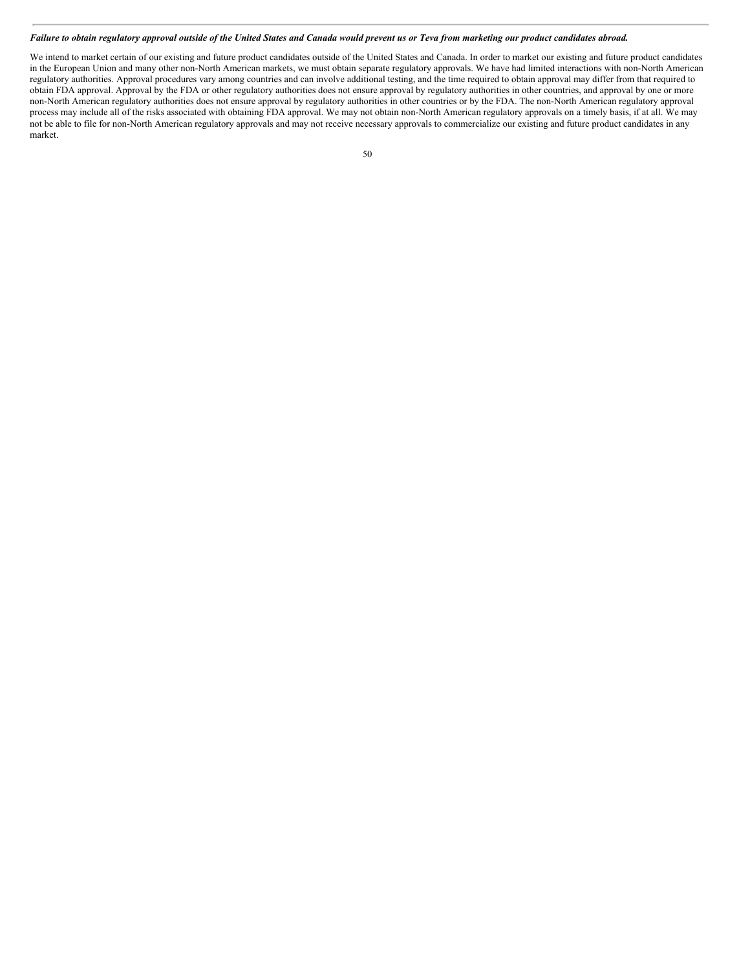#### Failure to obtain regulatory approval outside of the United States and Canada would prevent us or Teva from marketing our product candidates abroad.

We intend to market certain of our existing and future product candidates outside of the United States and Canada. In order to market our existing and future product candidates in the European Union and many other non-North American markets, we must obtain separate regulatory approvals. We have had limited interactions with non-North American regulatory authorities. Approval procedures vary among countries and can involve additional testing, and the time required to obtain approval may differ from that required to obtain FDA approval. Approval by the FDA or other regulatory authorities does not ensure approval by regulatory authorities in other countries, and approval by one or more non-North American regulatory authorities does not ensure approval by regulatory authorities in other countries or by the FDA. The non-North American regulatory approval process may include all of the risks associated with obtaining FDA approval. We may not obtain non-North American regulatory approvals on a timely basis, if at all. We may not be able to file for non-North American regulatory approvals and may not receive necessary approvals to commercialize our existing and future product candidates in any market.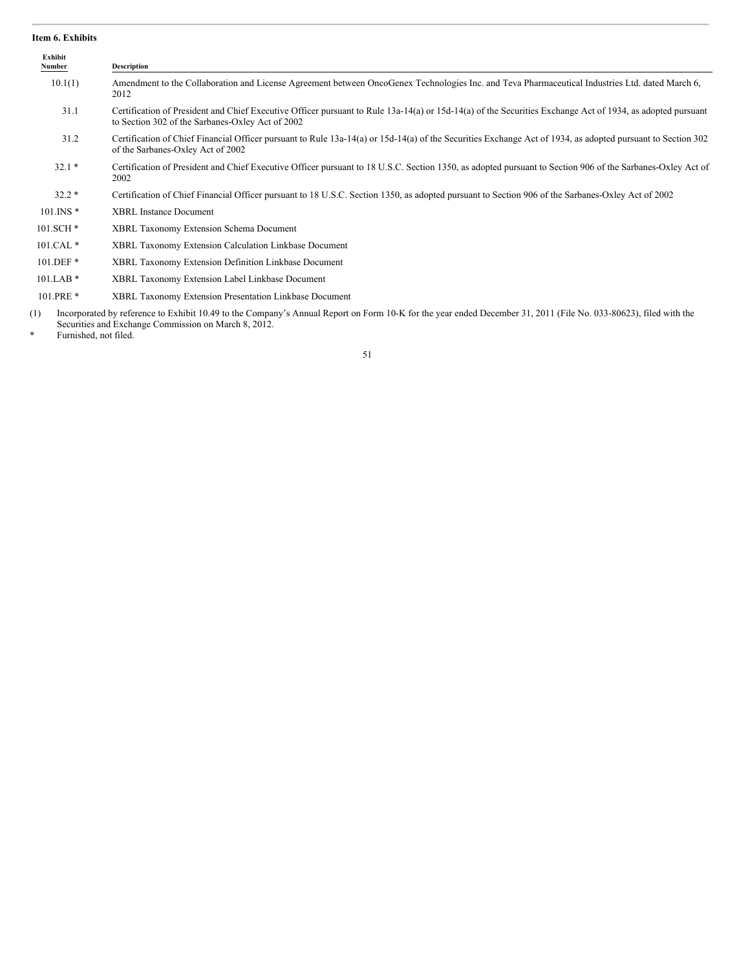## <span id="page-50-0"></span>**Item 6. Exhibits**

| <b>Description</b>                                                                                                                                                                                             |
|----------------------------------------------------------------------------------------------------------------------------------------------------------------------------------------------------------------|
| Amendment to the Collaboration and License Agreement between OncoGenex Technologies Inc. and Teva Pharmaceutical Industries Ltd. dated March 6,<br>2012                                                        |
| Certification of President and Chief Executive Officer pursuant to Rule 13a-14(a) or 15d-14(a) of the Securities Exchange Act of 1934, as adopted pursuant<br>to Section 302 of the Sarbanes-Oxley Act of 2002 |
| Certification of Chief Financial Officer pursuant to Rule 13a-14(a) or 15d-14(a) of the Securities Exchange Act of 1934, as adopted pursuant to Section 302<br>of the Sarbanes-Oxley Act of 2002               |
| Certification of President and Chief Executive Officer pursuant to 18 U.S.C. Section 1350, as adopted pursuant to Section 906 of the Sarbanes-Oxley Act of<br>2002                                             |
| Certification of Chief Financial Officer pursuant to 18 U.S.C. Section 1350, as adopted pursuant to Section 906 of the Sarbanes-Oxley Act of 2002                                                              |
| <b>XBRL Instance Document</b>                                                                                                                                                                                  |
| XBRL Taxonomy Extension Schema Document                                                                                                                                                                        |
| XBRL Taxonomy Extension Calculation Linkbase Document                                                                                                                                                          |
| XBRL Taxonomy Extension Definition Linkbase Document                                                                                                                                                           |
| XBRL Taxonomy Extension Label Linkbase Document                                                                                                                                                                |
| XBRL Taxonomy Extension Presentation Linkbase Document                                                                                                                                                         |
|                                                                                                                                                                                                                |

(1) Incorporated by reference to Exhibit 10.49 to the Company's Annual Report on Form 10-K for the year ended December 31, 2011 (File No. 033-80623), filed with the Securities and Exchange Commission on March 8, 2012.

\* Furnished, not filed.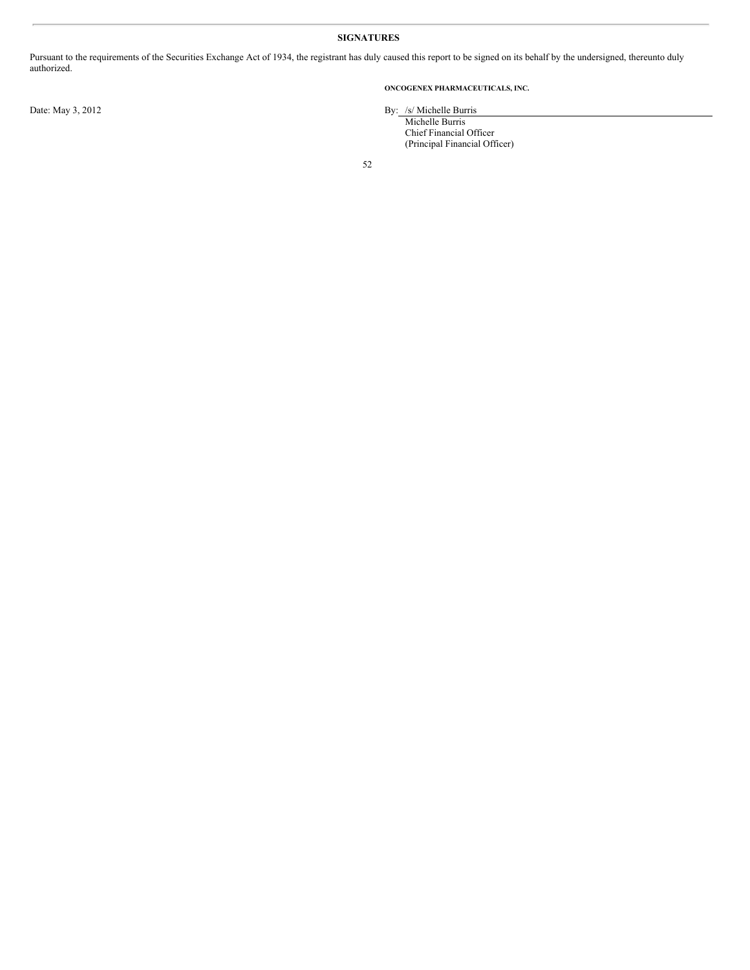## <span id="page-51-0"></span>**SIGNATURES**

Pursuant to the requirements of the Securities Exchange Act of 1934, the registrant has duly caused this report to be signed on its behalf by the undersigned, thereunto duly authorized.

## **ONCOGENEX PHARMACEUTICALS, INC.**

Date: May 3, 2012 By: /s/ Michelle Burris

Michelle Burris Chief Financial Officer (Principal Financial Officer)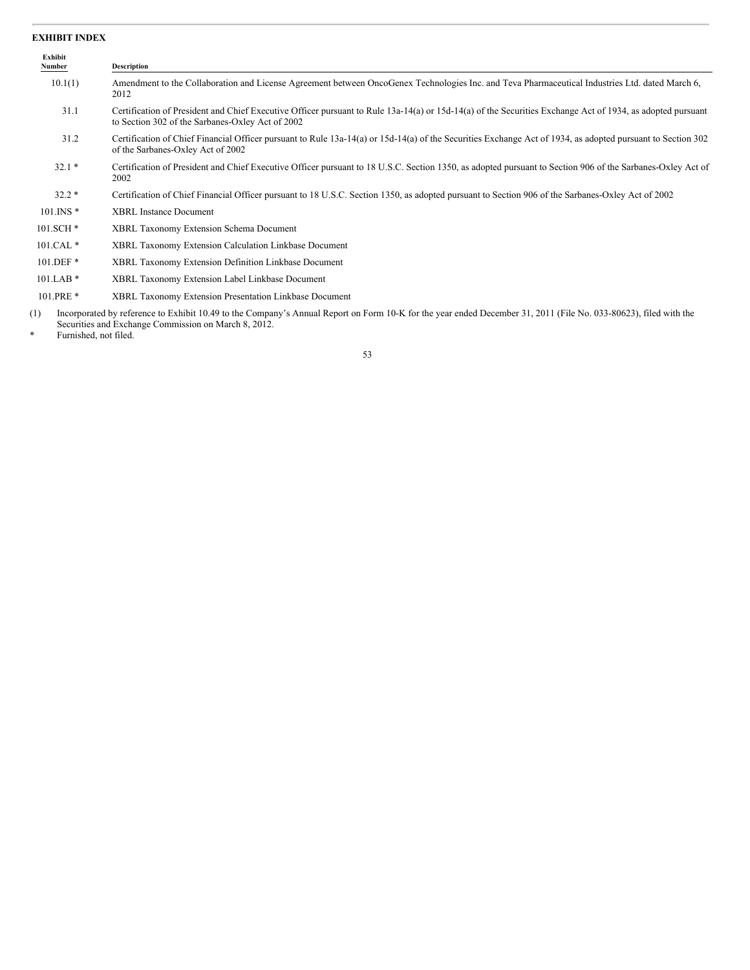## <span id="page-52-0"></span>**EXHIBIT INDEX**

| Exhibit<br>Number | <b>Description</b>                                                                                                                                                                                             |
|-------------------|----------------------------------------------------------------------------------------------------------------------------------------------------------------------------------------------------------------|
| 10.1(1)           | Amendment to the Collaboration and License Agreement between OncoGenex Technologies Inc. and Teva Pharmaceutical Industries Ltd. dated March 6,<br>2012                                                        |
| 31.1              | Certification of President and Chief Executive Officer pursuant to Rule 13a-14(a) or 15d-14(a) of the Securities Exchange Act of 1934, as adopted pursuant<br>to Section 302 of the Sarbanes-Oxley Act of 2002 |
| 31.2              | Certification of Chief Financial Officer pursuant to Rule 13a-14(a) or 15d-14(a) of the Securities Exchange Act of 1934, as adopted pursuant to Section 302<br>of the Sarbanes-Oxley Act of 2002               |
| $32.1*$           | Certification of President and Chief Executive Officer pursuant to 18 U.S.C. Section 1350, as adopted pursuant to Section 906 of the Sarbanes-Oxley Act of<br>2002                                             |
| $32.2*$           | Certification of Chief Financial Officer pursuant to 18 U.S.C. Section 1350, as adopted pursuant to Section 906 of the Sarbanes-Oxley Act of 2002                                                              |
| $101$ . INS $*$   | <b>XBRL Instance Document</b>                                                                                                                                                                                  |
| $101.SCH*$        | XBRL Taxonomy Extension Schema Document                                                                                                                                                                        |
| $101.CAL*$        | XBRL Taxonomy Extension Calculation Linkbase Document                                                                                                                                                          |
| $101.$ DEF $*$    | XBRL Taxonomy Extension Definition Linkbase Document                                                                                                                                                           |
| $101$ .LAB $*$    | XBRL Taxonomy Extension Label Linkbase Document                                                                                                                                                                |
| $101.PRE*$        | XBRL Taxonomy Extension Presentation Linkbase Document                                                                                                                                                         |

(1) Incorporated by reference to Exhibit 10.49 to the Company's Annual Report on Form 10-K for the year ended December 31, 2011 (File No. 033-80623), filed with the Securities and Exchange Commission on March 8, 2012.

\* Furnished, not filed.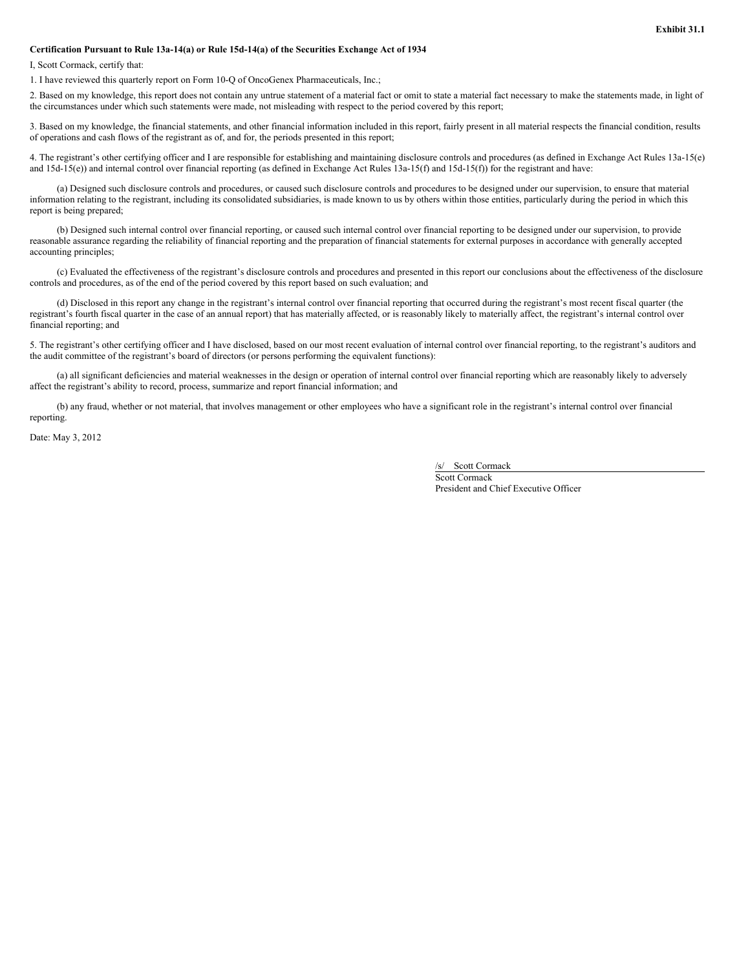#### **Certification Pursuant to Rule 13a-14(a) or Rule 15d-14(a) of the Securities Exchange Act of 1934**

I, Scott Cormack, certify that:

1. I have reviewed this quarterly report on Form 10-Q of OncoGenex Pharmaceuticals, Inc.;

2. Based on my knowledge, this report does not contain any untrue statement of a material fact or omit to state a material fact necessary to make the statements made, in light of the circumstances under which such statements were made, not misleading with respect to the period covered by this report;

3. Based on my knowledge, the financial statements, and other financial information included in this report, fairly present in all material respects the financial condition, results of operations and cash flows of the registrant as of, and for, the periods presented in this report;

4. The registrant's other certifying officer and I are responsible for establishing and maintaining disclosure controls and procedures (as defined in Exchange Act Rules 13a-15(e) and  $15d-15(e)$ ) and internal control over financial reporting (as defined in Exchange Act Rules  $13a-15(f)$  and  $15d-15(f)$ ) for the registrant and have:

(a) Designed such disclosure controls and procedures, or caused such disclosure controls and procedures to be designed under our supervision, to ensure that material information relating to the registrant, including its consolidated subsidiaries, is made known to us by others within those entities, particularly during the period in which this report is being prepared;

(b) Designed such internal control over financial reporting, or caused such internal control over financial reporting to be designed under our supervision, to provide reasonable assurance regarding the reliability of financial reporting and the preparation of financial statements for external purposes in accordance with generally accepted accounting principles;

(c) Evaluated the effectiveness of the registrant's disclosure controls and procedures and presented in this report our conclusions about the effectiveness of the disclosure controls and procedures, as of the end of the period covered by this report based on such evaluation; and

(d) Disclosed in this report any change in the registrant's internal control over financial reporting that occurred during the registrant's most recent fiscal quarter (the registrant's fourth fiscal quarter in the case of an annual report) that has materially affected, or is reasonably likely to materially affect, the registrant's internal control over financial reporting; and

5. The registrant's other certifying officer and I have disclosed, based on our most recent evaluation of internal control over financial reporting, to the registrant's auditors and the audit committee of the registrant's board of directors (or persons performing the equivalent functions):

(a) all significant deficiencies and material weaknesses in the design or operation of internal control over financial reporting which are reasonably likely to adversely affect the registrant's ability to record, process, summarize and report financial information; and

(b) any fraud, whether or not material, that involves management or other employees who have a significant role in the registrant's internal control over financial reporting.

Date: May 3, 2012

/s/ Scott Cormack

Scott Cormack President and Chief Executive Officer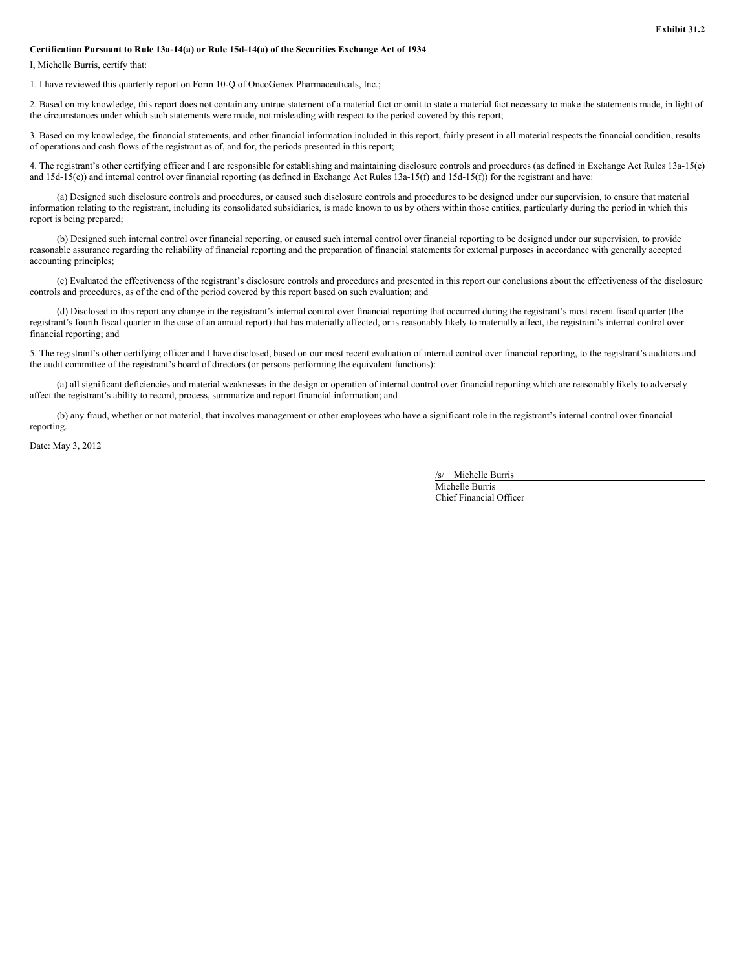#### **Certification Pursuant to Rule 13a-14(a) or Rule 15d-14(a) of the Securities Exchange Act of 1934**

I, Michelle Burris, certify that:

1. I have reviewed this quarterly report on Form 10-Q of OncoGenex Pharmaceuticals, Inc.;

2. Based on my knowledge, this report does not contain any untrue statement of a material fact or omit to state a material fact necessary to make the statements made, in light of the circumstances under which such statements were made, not misleading with respect to the period covered by this report;

3. Based on my knowledge, the financial statements, and other financial information included in this report, fairly present in all material respects the financial condition, results of operations and cash flows of the registrant as of, and for, the periods presented in this report;

4. The registrant's other certifying officer and I are responsible for establishing and maintaining disclosure controls and procedures (as defined in Exchange Act Rules 13a-15(e) and 15d-15(e)) and internal control over financial reporting (as defined in Exchange Act Rules 13a-15(f) and 15d-15(f)) for the registrant and have:

(a) Designed such disclosure controls and procedures, or caused such disclosure controls and procedures to be designed under our supervision, to ensure that material information relating to the registrant, including its consolidated subsidiaries, is made known to us by others within those entities, particularly during the period in which this report is being prepared;

(b) Designed such internal control over financial reporting, or caused such internal control over financial reporting to be designed under our supervision, to provide reasonable assurance regarding the reliability of financial reporting and the preparation of financial statements for external purposes in accordance with generally accepted accounting principles;

(c) Evaluated the effectiveness of the registrant's disclosure controls and procedures and presented in this report our conclusions about the effectiveness of the disclosure controls and procedures, as of the end of the period covered by this report based on such evaluation; and

(d) Disclosed in this report any change in the registrant's internal control over financial reporting that occurred during the registrant's most recent fiscal quarter (the registrant's fourth fiscal quarter in the case of an annual report) that has materially affected, or is reasonably likely to materially affect, the registrant's internal control over financial reporting; and

5. The registrant's other certifying officer and I have disclosed, based on our most recent evaluation of internal control over financial reporting, to the registrant's auditors and the audit committee of the registrant's board of directors (or persons performing the equivalent functions):

(a) all significant deficiencies and material weaknesses in the design or operation of internal control over financial reporting which are reasonably likely to adversely affect the registrant's ability to record, process, summarize and report financial information; and

(b) any fraud, whether or not material, that involves management or other employees who have a significant role in the registrant's internal control over financial reporting.

Date: May 3, 2012

/s/ Michelle Burris

Michelle Burris Chief Financial Officer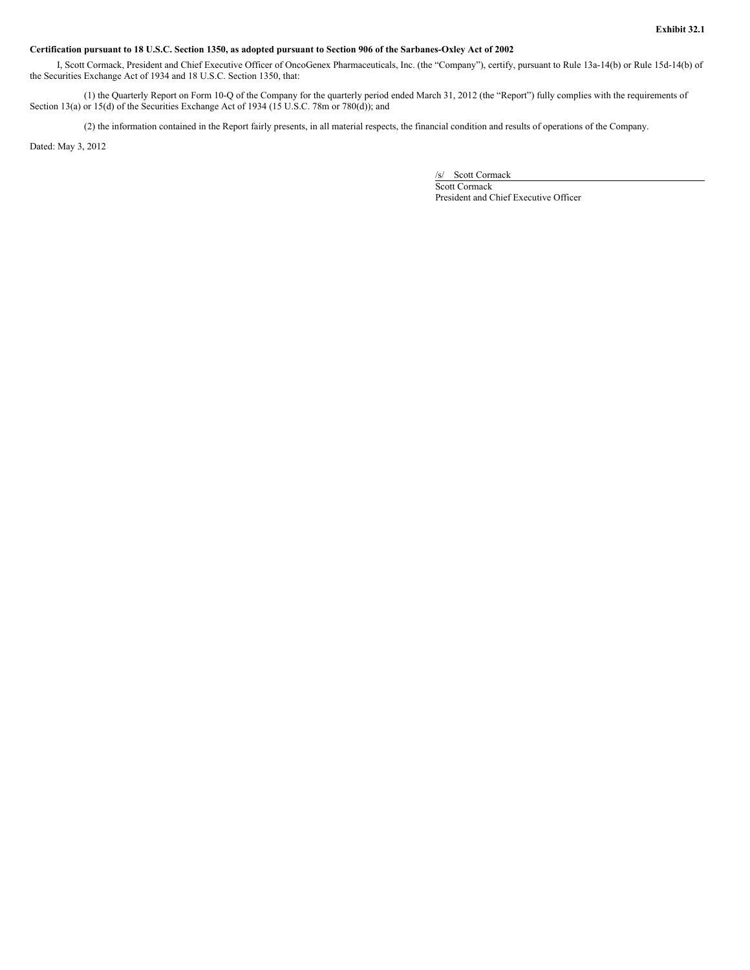## Certification pursuant to 18 U.S.C. Section 1350, as adopted pursuant to Section 906 of the Sarbanes-Oxley Act of 2002

I, Scott Cormack, President and Chief Executive Officer of OncoGenex Pharmaceuticals, Inc. (the "Company"), certify, pursuant to Rule 13a-14(b) or Rule 15d-14(b) of the Securities Exchange Act of 1934 and 18 U.S.C. Section 1350, that:

(1) the Quarterly Report on Form 10-Q of the Company for the quarterly period ended March 31, 2012 (the "Report") fully complies with the requirements of Section 13(a) or 15(d) of the Securities Exchange Act of 1934 (15 U.S.C. 78m or 780(d)); and

(2) the information contained in the Report fairly presents, in all material respects, the financial condition and results of operations of the Company.

Dated: May 3, 2012

/s/ Scott Cormack

Scott Cormack President and Chief Executive Officer